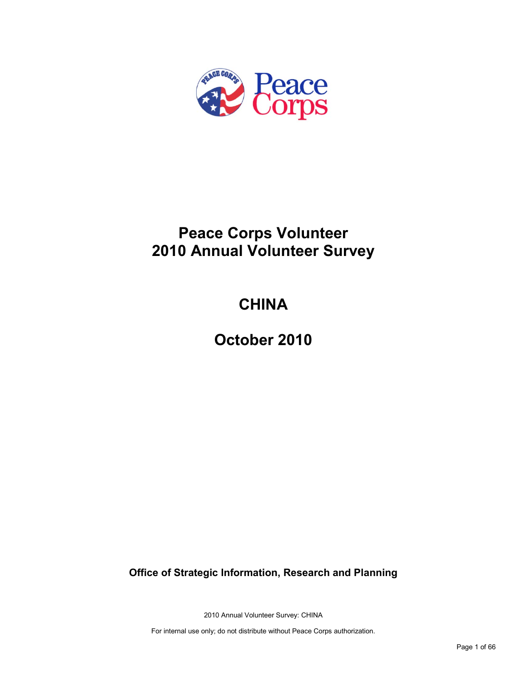

# **Peace Corps Volunteer 2010 Annual Volunteer Survey**

# **CHINA**

**October 2010**

**Office of Strategic Information, Research and Planning**

2010 Annual Volunteer Survey: CHINA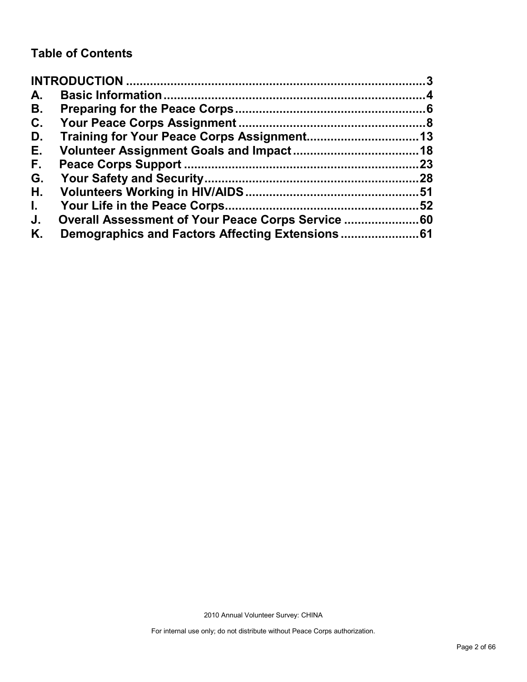## **Table of Contents**

| A.           |                                                |     |
|--------------|------------------------------------------------|-----|
| В.           |                                                |     |
| C.           |                                                |     |
| D.           |                                                |     |
| Е.           |                                                |     |
| F.           |                                                | .23 |
| G.           |                                                |     |
| Η.           |                                                |     |
| $\mathbf{L}$ |                                                |     |
| J.           | Overall Assessment of Your Peace Corps Service |     |
| Κ.           |                                                |     |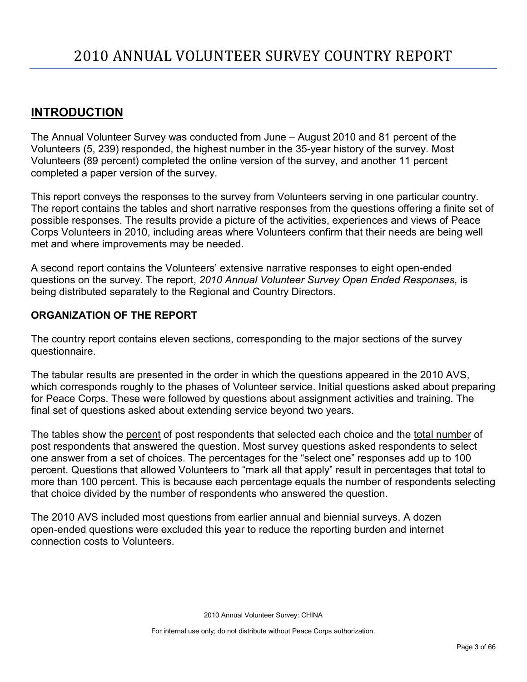## <span id="page-2-0"></span>**INTRODUCTION**

The Annual Volunteer Survey was conducted from June – August 2010 and 81 percent of the Volunteers (5, 239) responded, the highest number in the 35-year history of the survey. Most Volunteers (89 percent) completed the online version of the survey, and another 11 percent completed a paper version of the survey.

This report conveys the responses to the survey from Volunteers serving in one particular country. The report contains the tables and short narrative responses from the questions offering a finite set of possible responses. The results provide a picture of the activities, experiences and views of Peace Corps Volunteers in 2010, including areas where Volunteers confirm that their needs are being well met and where improvements may be needed.

A second report contains the Volunteers' extensive narrative responses to eight open-ended questions on the survey. The report, *2010 Annual Volunteer Survey Open Ended Responses,* is being distributed separately to the Regional and Country Directors.

## **ORGANIZATION OF THE REPORT**

The country report contains eleven sections, corresponding to the major sections of the survey questionnaire.

The tabular results are presented in the order in which the questions appeared in the 2010 AVS, which corresponds roughly to the phases of Volunteer service. Initial questions asked about preparing for Peace Corps. These were followed by questions about assignment activities and training. The final set of questions asked about extending service beyond two years.

The tables show the percent of post respondents that selected each choice and the total number of post respondents that answered the question. Most survey questions asked respondents to select one answer from a set of choices. The percentages for the "select one" responses add up to 100 percent. Questions that allowed Volunteers to "mark all that apply" result in percentages that total to more than 100 percent. This is because each percentage equals the number of respondents selecting that choice divided by the number of respondents who answered the question.

The 2010 AVS included most questions from earlier annual and biennial surveys. A dozen open-ended questions were excluded this year to reduce the reporting burden and internet connection costs to Volunteers.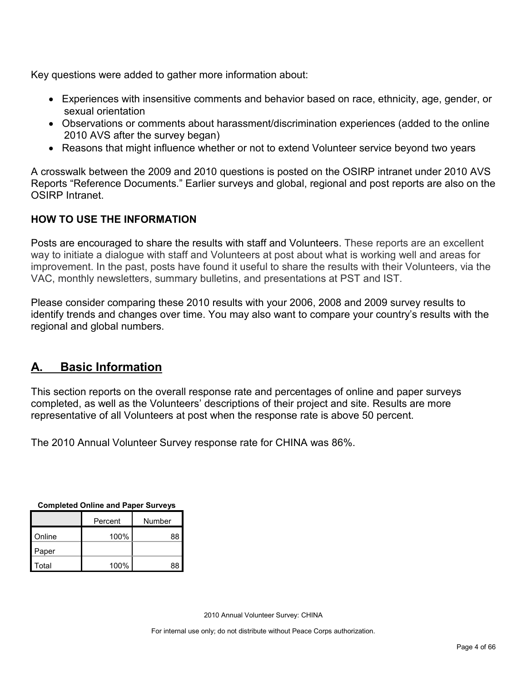Key questions were added to gather more information about:

- Experiences with insensitive comments and behavior based on race, ethnicity, age, gender, or sexual orientation
- Observations or comments about harassment/discrimination experiences (added to the online 2010 AVS after the survey began)
- Reasons that might influence whether or not to extend Volunteer service beyond two years

A crosswalk between the 2009 and 2010 questions is posted on the OSIRP intranet under 2010 AVS Reports "Reference Documents." Earlier surveys and global, regional and post reports are also on the OSIRP Intranet.

## **HOW TO USE THE INFORMATION**

Posts are encouraged to share the results with staff and Volunteers. These reports are an excellent way to initiate a dialogue with staff and Volunteers at post about what is working well and areas for improvement. In the past, posts have found it useful to share the results with their Volunteers, via the VAC, monthly newsletters, summary bulletins, and presentations at PST and IST.

Please consider comparing these 2010 results with your 2006, 2008 and 2009 survey results to identify trends and changes over time. You may also want to compare your country's results with the regional and global numbers.

## <span id="page-3-0"></span>**A. Basic Information**

This section reports on the overall response rate and percentages of online and paper surveys completed, as well as the Volunteers' descriptions of their project and site. Results are more representative of all Volunteers at post when the response rate is above 50 percent.

The 2010 Annual Volunteer Survey response rate for CHINA was 86%.

| <b>Completed Online and Paper Surveys</b> |  |  |  |
|-------------------------------------------|--|--|--|
|                                           |  |  |  |

|        | Percent | Number |
|--------|---------|--------|
| Online | 100%    | 88     |
| Paper  |         |        |
| Total  | 100%    | 88     |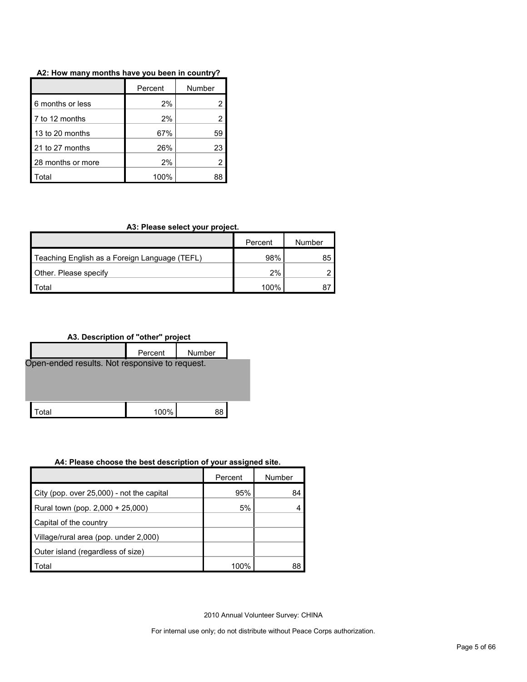| A2: How many months have you been in country? |  |  |  |
|-----------------------------------------------|--|--|--|
|-----------------------------------------------|--|--|--|

|                   | Percent | Number |
|-------------------|---------|--------|
| 6 months or less  | 2%      |        |
| 7 to 12 months    | 2%      |        |
| 13 to 20 months   | 67%     | 59     |
| 21 to 27 months   | 26%     | 23     |
| 28 months or more | 2%      |        |
| ัดtal             | 100%    | 38     |

#### **A3: Please select your project.**

|                                               | Percent | Number |
|-----------------------------------------------|---------|--------|
| Teaching English as a Foreign Language (TEFL) | 98%     | 85     |
| <b>Other. Please specify</b>                  | 2%      |        |
| <sup>-</sup> otal                             | 100%    |        |

**A3. Description of "other" project**



#### **A4: Please choose the best description of your assigned site.**

|                                           | Percent | Number |
|-------------------------------------------|---------|--------|
| City (pop. over 25,000) - not the capital | 95%     | 84     |
| Rural town (pop. 2,000 + 25,000)          | 5%      |        |
| Capital of the country                    |         |        |
| Village/rural area (pop. under 2,000)     |         |        |
| Outer island (regardless of size)         |         |        |
| Total                                     | 100%    | 88     |

2010 Annual Volunteer Survey: CHINA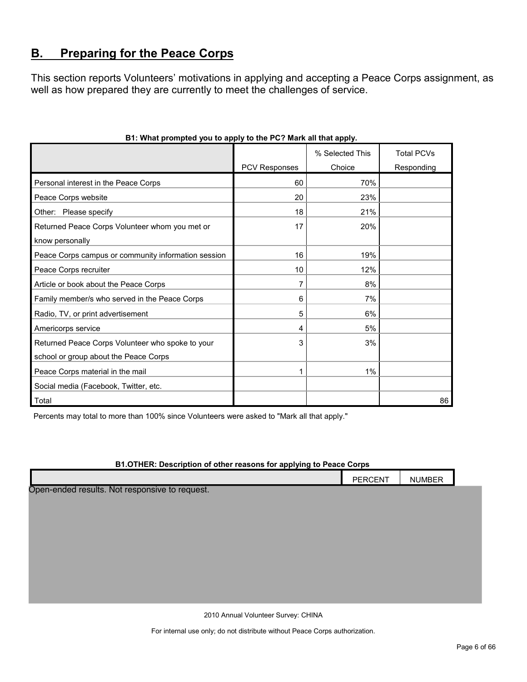## <span id="page-5-0"></span>**B. Preparing for the Peace Corps**

This section reports Volunteers' motivations in applying and accepting a Peace Corps assignment, as well as how prepared they are currently to meet the challenges of service.

|                                                     |               | % Selected This | <b>Total PCVs</b> |
|-----------------------------------------------------|---------------|-----------------|-------------------|
|                                                     | PCV Responses | Choice          | Responding        |
| Personal interest in the Peace Corps                | 60            | 70%             |                   |
| Peace Corps website                                 | 20            | 23%             |                   |
| Other: Please specify                               | 18            | 21%             |                   |
| Returned Peace Corps Volunteer whom you met or      | 17            | 20%             |                   |
| know personally                                     |               |                 |                   |
| Peace Corps campus or community information session | 16            | 19%             |                   |
| Peace Corps recruiter                               | 10            | 12%             |                   |
| Article or book about the Peace Corps               | 7             | 8%              |                   |
| Family member/s who served in the Peace Corps       | 6             | 7%              |                   |
| Radio, TV, or print advertisement                   | 5             | 6%              |                   |
| Americorps service                                  | 4             | 5%              |                   |
| Returned Peace Corps Volunteer who spoke to your    | 3             | 3%              |                   |
| school or group about the Peace Corps               |               |                 |                   |
| Peace Corps material in the mail                    | 1             | 1%              |                   |
| Social media (Facebook, Twitter, etc.               |               |                 |                   |
| Total                                               |               |                 | 86                |

### **B1: What prompted you to apply to the PC? Mark all that apply.**

Percents may total to more than 100% since Volunteers were asked to "Mark all that apply."

#### **B1.OTHER: Description of other reasons for applying to Peace Corps**

|                                                | PERCENT | <b>NUMBER</b> |  |
|------------------------------------------------|---------|---------------|--|
| Open-ended results. Not responsive to request. |         |               |  |
|                                                |         |               |  |
|                                                |         |               |  |
|                                                |         |               |  |
|                                                |         |               |  |
|                                                |         |               |  |
|                                                |         |               |  |
|                                                |         |               |  |

2010 Annual Volunteer Survey: CHINA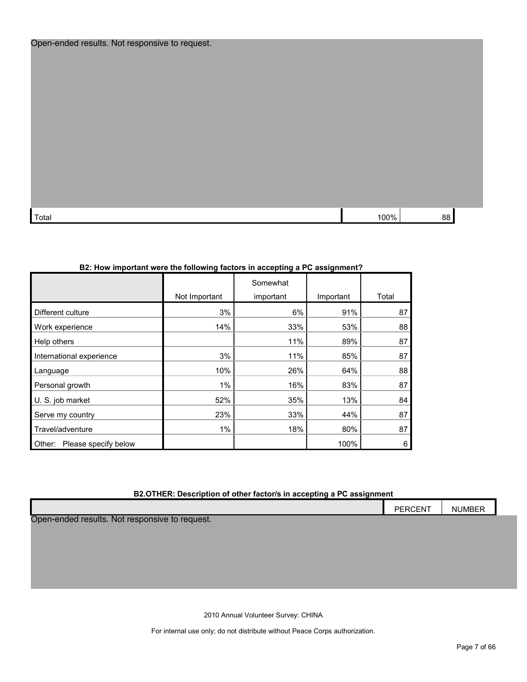| Open-ended results. Not responsive to request. |  |  |
|------------------------------------------------|--|--|
|------------------------------------------------|--|--|

| Total | ' በበ% | 88 |
|-------|-------|----|

### **B2: How important were the following factors in accepting a PC assignment?**

|                                |               | Somewhat  |           |       |
|--------------------------------|---------------|-----------|-----------|-------|
|                                | Not Important | important | Important | Total |
| Different culture              | 3%            | 6%        | 91%       | 87    |
| Work experience                | 14%           | 33%       | 53%       | 88    |
| Help others                    |               | 11%       | 89%       | 87    |
| International experience       | 3%            | 11%       | 85%       | 87    |
| Language                       | 10%           | 26%       | 64%       | 88    |
| Personal growth                | 1%            | 16%       | 83%       | 87    |
| U. S. job market               | 52%           | 35%       | 13%       | 84    |
| Serve my country               | 23%           | 33%       | 44%       | 87    |
| Travel/adventure               | 1%            | 18%       | 80%       | 87    |
| Please specify below<br>Other: |               |           | 100%      | 6     |

### **B2.OTHER: Description of other factor/s in accepting a PC assignment**

|                                                | <b>PERCENT</b> | <b>NUMBER</b> |  |
|------------------------------------------------|----------------|---------------|--|
| Open-ended results. Not responsive to request. |                |               |  |

2010 Annual Volunteer Survey: CHINA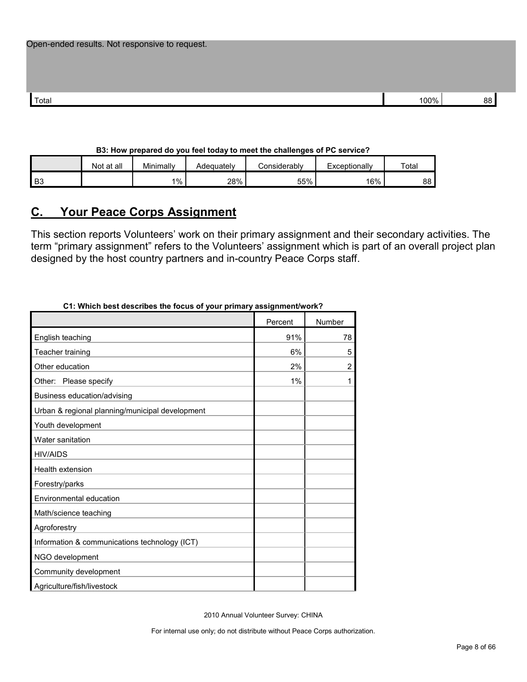| Total | 00% | ״ |
|-------|-----|---|

#### **B3: How prepared do you feel today to meet the challenges of PC service?**

|                | Not at all | Minimally | Adequatelv | considerably. | Exceptionally | Total |
|----------------|------------|-----------|------------|---------------|---------------|-------|
| B <sub>3</sub> |            | $1\%$     | 28%        | 55%           | 16%           | 88    |

## <span id="page-7-0"></span>**C. Your Peace Corps Assignment**

This section reports Volunteers' work on their primary assignment and their secondary activities. The term "primary assignment" refers to the Volunteers' assignment which is part of an overall project plan designed by the host country partners and in-country Peace Corps staff.

| o i. Willon best describes the locus of your primary assignment/work : |         |                |
|------------------------------------------------------------------------|---------|----------------|
|                                                                        | Percent | Number         |
| English teaching                                                       | 91%     | 78             |
| Teacher training                                                       | 6%      | 5              |
| Other education                                                        | 2%      | $\overline{2}$ |
| Other: Please specify                                                  | 1%      | 1              |
| Business education/advising                                            |         |                |
| Urban & regional planning/municipal development                        |         |                |
| Youth development                                                      |         |                |
| Water sanitation                                                       |         |                |
| <b>HIV/AIDS</b>                                                        |         |                |
| Health extension                                                       |         |                |
| Forestry/parks                                                         |         |                |
| Environmental education                                                |         |                |
| Math/science teaching                                                  |         |                |
| Agroforestry                                                           |         |                |
| Information & communications technology (ICT)                          |         |                |
| NGO development                                                        |         |                |
| Community development                                                  |         |                |
| Agriculture/fish/livestock                                             |         |                |

**C1: Which best describes the focus of your primary assignment/work?**

2010 Annual Volunteer Survey: CHINA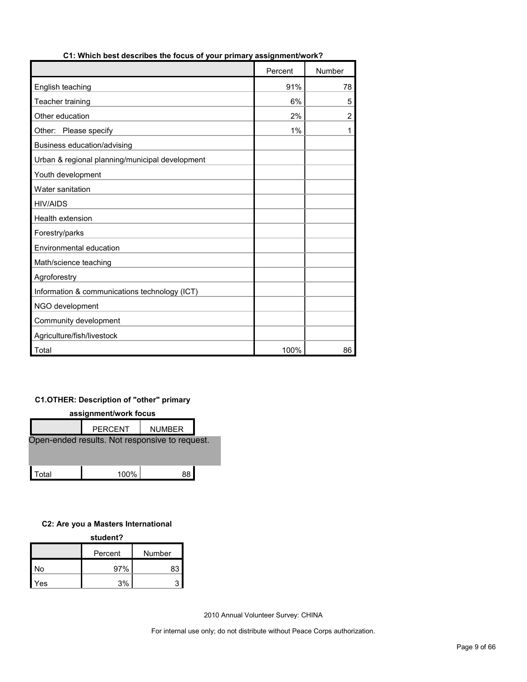|                                                 | Percent | Number         |
|-------------------------------------------------|---------|----------------|
| English teaching                                | 91%     | 78             |
| Teacher training                                | 6%      | 5              |
| Other education                                 | 2%      | $\overline{2}$ |
| Other: Please specify                           | 1%      | 1              |
| Business education/advising                     |         |                |
| Urban & regional planning/municipal development |         |                |
| Youth development                               |         |                |
| Water sanitation                                |         |                |
| <b>HIV/AIDS</b>                                 |         |                |
| <b>Health extension</b>                         |         |                |
| Forestry/parks                                  |         |                |
| Environmental education                         |         |                |
| Math/science teaching                           |         |                |
| Agroforestry                                    |         |                |
| Information & communications technology (ICT)   |         |                |
| NGO development                                 |         |                |
| Community development                           |         |                |
| Agriculture/fish/livestock                      |         |                |
| Total                                           | 100%    | 86             |

#### **C1: Which best describes the focus of your primary assignment/work?**

### **C1.OTHER: Description of "other" primary**

| assignment/work focus                          |                |               |  |  |  |
|------------------------------------------------|----------------|---------------|--|--|--|
|                                                | <b>PERCENT</b> | <b>NUMBER</b> |  |  |  |
| Open-ended results. Not responsive to request. |                |               |  |  |  |
|                                                |                |               |  |  |  |
|                                                |                |               |  |  |  |
| ั∩tal                                          | 100%           | 88            |  |  |  |

#### **C2: Are you a Masters International**

| student? |         |        |  |  |
|----------|---------|--------|--|--|
|          | Percent | Number |  |  |
| No       | 97%     | 83     |  |  |
| Yes      | 3%      |        |  |  |

2010 Annual Volunteer Survey: CHINA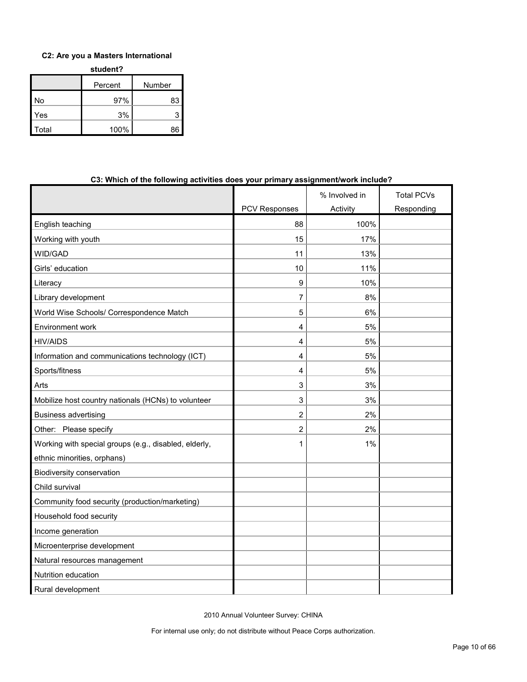#### **C2: Are you a Masters International**

**student?**

|       | Percent | Number |  |
|-------|---------|--------|--|
| No    | 97%     | 83     |  |
| Yes   | 3%      | 3      |  |
| Total | 100%    | 86     |  |

| עוווערווער טווע ועווויש<br><u>avuviuva</u>            | priniur y            | assignment work melade: |                   |
|-------------------------------------------------------|----------------------|-------------------------|-------------------|
|                                                       |                      | % Involved in           | <b>Total PCVs</b> |
|                                                       | <b>PCV Responses</b> | Activity                | Responding        |
| English teaching                                      | 88                   | 100%                    |                   |
| Working with youth                                    | 15                   | 17%                     |                   |
| WID/GAD                                               | 11                   | 13%                     |                   |
| Girls' education                                      | 10                   | 11%                     |                   |
| Literacy                                              | 9                    | 10%                     |                   |
| Library development                                   | 7                    | 8%                      |                   |
| World Wise Schools/ Correspondence Match              | 5                    | 6%                      |                   |
| Environment work                                      | 4                    | 5%                      |                   |
| <b>HIV/AIDS</b>                                       | 4                    | 5%                      |                   |
| Information and communications technology (ICT)       | 4                    | 5%                      |                   |
| Sports/fitness                                        | 4                    | 5%                      |                   |
| Arts                                                  | 3                    | 3%                      |                   |
| Mobilize host country nationals (HCNs) to volunteer   | 3                    | 3%                      |                   |
| <b>Business advertising</b>                           | 2                    | 2%                      |                   |
| Other: Please specify                                 | $\overline{2}$       | 2%                      |                   |
| Working with special groups (e.g., disabled, elderly, | 1                    | 1%                      |                   |
| ethnic minorities, orphans)                           |                      |                         |                   |
| Biodiversity conservation                             |                      |                         |                   |
| Child survival                                        |                      |                         |                   |
| Community food security (production/marketing)        |                      |                         |                   |
| Household food security                               |                      |                         |                   |
| Income generation                                     |                      |                         |                   |
| Microenterprise development                           |                      |                         |                   |
| Natural resources management                          |                      |                         |                   |
| Nutrition education                                   |                      |                         |                   |
| Rural development                                     |                      |                         |                   |

#### **C3: Which of the following activities does your primary assignment/work include?**

2010 Annual Volunteer Survey: CHINA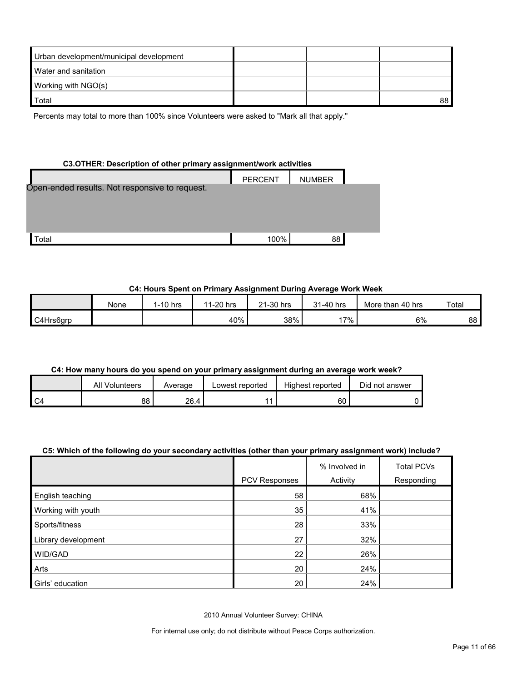| Urban development/municipal development |  |    |
|-----------------------------------------|--|----|
| Water and sanitation                    |  |    |
| Working with NGO(s)                     |  |    |
| Total                                   |  | 88 |

Percents may total to more than 100% since Volunteers were asked to "Mark all that apply."

#### **C3.OTHER: Description of other primary assignment/work activities**

|                                                | <b>PERCENT</b> | <b>NUMBER</b> |  |
|------------------------------------------------|----------------|---------------|--|
| Open-ended results. Not responsive to request. |                |               |  |
|                                                |                |               |  |
|                                                |                |               |  |
|                                                |                |               |  |
| <sup>-</sup> otal                              | 100%           | 88            |  |

#### **C4: Hours Spent on Primary Assignment During Average Work Week**

|           | None | $1-10$ hrs | 1-20 hrs<br>11 | 21-30 hrs | 31-40 hrs | More than 40 hrs | Total |
|-----------|------|------------|----------------|-----------|-----------|------------------|-------|
| C4Hrs6grp |      |            | 40%            | 38%       | $7\%$     | 6%               | 88    |

#### **C4: How many hours do you spend on your primary assignment during an average work week?**

| All Volunteers | Average | Lowest reported | Highest reported | Did not answer |
|----------------|---------|-----------------|------------------|----------------|
| 88             | 26.4    |                 | 60               |                |

#### **C5: Which of the following do your secondary activities (other than your primary assignment work) include?**

|                     |               | % Involved in | <b>Total PCVs</b> |
|---------------------|---------------|---------------|-------------------|
|                     | PCV Responses | Activity      | Responding        |
| English teaching    | 58            | 68%           |                   |
| Working with youth  | 35            | 41%           |                   |
| Sports/fitness      | 28            | 33%           |                   |
| Library development | 27            | 32%           |                   |
| WID/GAD             | 22            | 26%           |                   |
| Arts                | 20            | 24%           |                   |
| Girls' education    | 20            | 24%           |                   |

2010 Annual Volunteer Survey: CHINA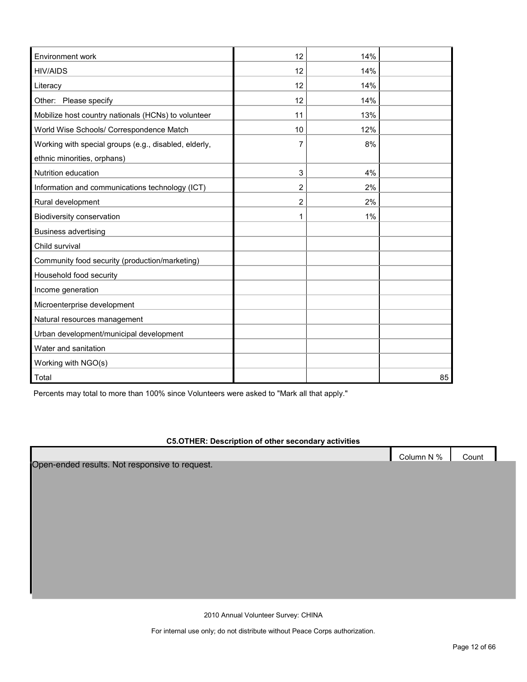| Environment work                                      | 12 | 14% |    |
|-------------------------------------------------------|----|-----|----|
| <b>HIV/AIDS</b>                                       | 12 | 14% |    |
| Literacy                                              | 12 | 14% |    |
| Other: Please specify                                 | 12 | 14% |    |
| Mobilize host country nationals (HCNs) to volunteer   | 11 | 13% |    |
| World Wise Schools/ Correspondence Match              | 10 | 12% |    |
| Working with special groups (e.g., disabled, elderly, | 7  | 8%  |    |
| ethnic minorities, orphans)                           |    |     |    |
| Nutrition education                                   | 3  | 4%  |    |
| Information and communications technology (ICT)       | 2  | 2%  |    |
| Rural development                                     | 2  | 2%  |    |
| Biodiversity conservation                             | 1  | 1%  |    |
| <b>Business advertising</b>                           |    |     |    |
| Child survival                                        |    |     |    |
| Community food security (production/marketing)        |    |     |    |
| Household food security                               |    |     |    |
| Income generation                                     |    |     |    |
| Microenterprise development                           |    |     |    |
| Natural resources management                          |    |     |    |
| Urban development/municipal development               |    |     |    |
| Water and sanitation                                  |    |     |    |
| Working with NGO(s)                                   |    |     |    |
| Total                                                 |    |     | 85 |

Percents may total to more than 100% since Volunteers were asked to "Mark all that apply."

#### **C5.OTHER: Description of other secondary activities**

Open-ended results. Not responsive to request.

2010 Annual Volunteer Survey: CHINA

For internal use only; do not distribute without Peace Corps authorization.

Column N % Count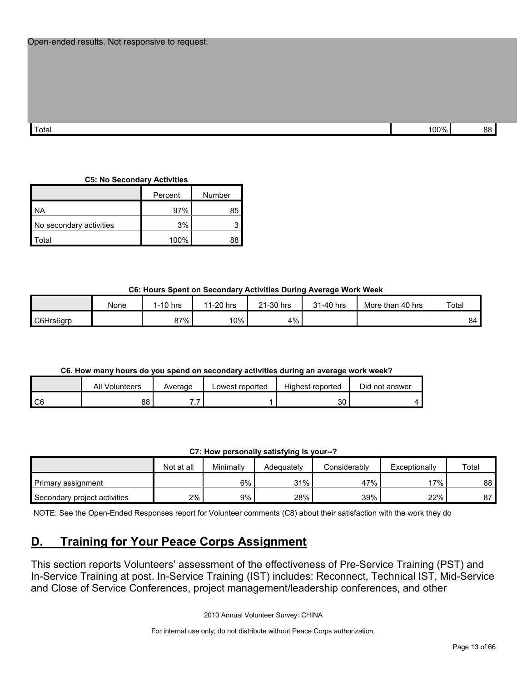| Total | 00% |  |
|-------|-----|--|

#### **C5: No Secondary Activities**

|                         | Percent | Number |
|-------------------------|---------|--------|
| <b>NA</b>               | 97%     | 85     |
| No secondary activities | 3%      |        |
| `otal                   | 100%    |        |

**C6: Hours Spent on Secondary Activities During Average Work Week**

|           | None | 1-10 hrs | 1-20 hrs<br>44 | 21-30 hrs | 31-40 hrs | More than 40 hrs | Total |
|-----------|------|----------|----------------|-----------|-----------|------------------|-------|
| C6Hrs6grp |      | 87%      | $10\%$         | $4\%$     |           |                  | 84    |

#### **C6. How many hours do you spend on secondary activities during an average work week?**

|         | All '<br>Volunteers | Average | Lowest reported | Highest reported | Did not answer |
|---------|---------------------|---------|-----------------|------------------|----------------|
| C<br>υu | 88                  | . .     |                 | ົ<br>აυ          |                |

#### **C7: How personally satisfying is your--?**

|                              | Not at all | Minimally | Adeauatelv | Considerably | Exceptionally | Total |
|------------------------------|------------|-----------|------------|--------------|---------------|-------|
| Primary assignment           |            | 6%        | 31%        | 47%          | $17\%$        | 88 I  |
| Secondary project activities | 2%         | 9%        | 28%        | 39%          | 22%           | 87    |

NOTE: See the Open-Ended Responses report for Volunteer comments (C8) about their satisfaction with the work they do

## <span id="page-12-0"></span>**D. Training for Your Peace Corps Assignment**

This section reports Volunteers' assessment of the effectiveness of Pre-Service Training (PST) and In-Service Training at post. In-Service Training (IST) includes: Reconnect, Technical IST, Mid-Service and Close of Service Conferences, project management/leadership conferences, and other

2010 Annual Volunteer Survey: CHINA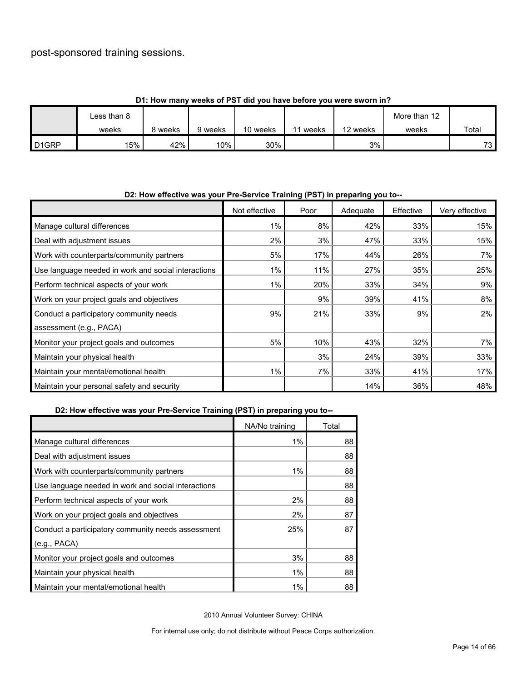## post-sponsored training sessions.

|                   | <b>1. HOW HIGHT WEEKS OF FST GIG YOU HAVE DEIDLE YOU WELE SWOLLEN!!!</b> |       |         |          |       |          |              |       |
|-------------------|--------------------------------------------------------------------------|-------|---------|----------|-------|----------|--------------|-------|
|                   | Less than 8                                                              |       |         |          |       |          | More than 12 |       |
|                   | weeks                                                                    | weeks | 9 weeks | 10 weeks | weeks | 12 weeks | weeks        | Total |
| D <sub>1GRP</sub> | 15%                                                                      | 42%   | $10\%$  | 30%      |       | 3%       |              | 73 I  |

### **D1: How many weeks of PST did you have before you were sworn in?**

| D2: How effective was your Pre-Service Training (PST) in preparing you to-- |               |      |          |           |                |
|-----------------------------------------------------------------------------|---------------|------|----------|-----------|----------------|
|                                                                             | Not effective | Poor | Adequate | Effective | Very effective |
| Manage cultural differences                                                 | $1\%$         | 8%   | 42%      | 33%       | 15%            |
| Deal with adjustment issues                                                 | 2%            | 3%   | 47%      | 33%       | 15%            |
| Work with counterparts/community partners                                   | 5%            | 17%  | 44%      | 26%       | 7%             |
| Use language needed in work and social interactions                         | $1\%$         | 11%  | 27%      | 35%       | 25%            |
| Perform technical aspects of your work                                      | 1%            | 20%  | 33%      | 34%       | 9%             |
| Work on your project goals and objectives                                   |               | 9%   | 39%      | 41%       | 8%             |
| Conduct a participatory community needs                                     | 9%            | 21%  | 33%      | 9%        | $2\%$          |
| assessment (e.g., PACA)                                                     |               |      |          |           |                |
| Monitor your project goals and outcomes                                     | 5%            | 10%  | 43%      | 32%       | 7%             |
| Maintain your physical health                                               |               | 3%   | 24%      | 39%       | 33%            |
| Maintain your mental/emotional health                                       | $1\%$         | 7%   | 33%      | 41%       | 17%            |
| Maintain your personal safety and security                                  |               |      | 14%      | 36%       | 48%            |

### **D2: How effective was your Pre-Service Training (PST) in preparing you to--**

### **D2: How effective was your Pre-Service Training (PST) in preparing you to--**

|                                                     | NA/No training | Total |
|-----------------------------------------------------|----------------|-------|
| Manage cultural differences                         | $1\%$          | 88    |
| Deal with adjustment issues                         |                | 88    |
| Work with counterparts/community partners           | 1%             | 88    |
| Use language needed in work and social interactions |                | 88    |
| Perform technical aspects of your work              | 2%             | 88    |
| Work on your project goals and objectives           | 2%             | 87    |
| Conduct a participatory community needs assessment  | 25%            | 87    |
| (e.g., PACA)                                        |                |       |
| Monitor your project goals and outcomes             | 3%             | 88    |
| Maintain your physical health                       | 1%             | 88    |
| Maintain your mental/emotional health               | 1%             | 88    |

2010 Annual Volunteer Survey: CHINA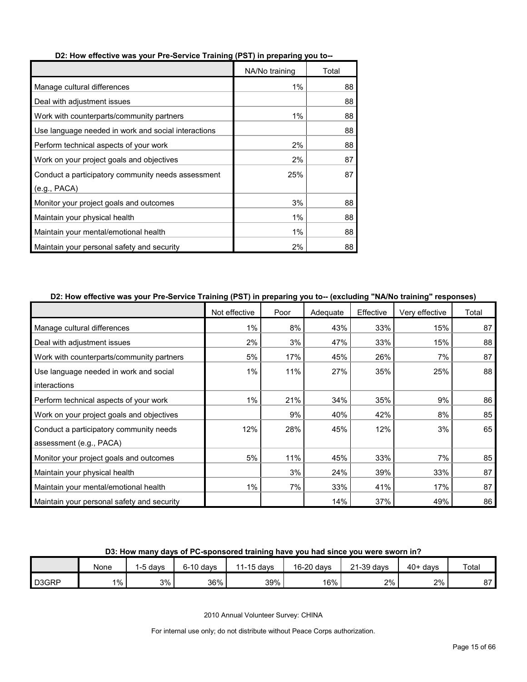|                                                     | NA/No training | Total |
|-----------------------------------------------------|----------------|-------|
| Manage cultural differences                         | 1%             | 88    |
| Deal with adjustment issues                         |                | 88    |
| Work with counterparts/community partners           | 1%             | 88    |
| Use language needed in work and social interactions |                | 88    |
| Perform technical aspects of your work              | 2%             | 88    |
| Work on your project goals and objectives           | 2%             | 87    |
| Conduct a participatory community needs assessment  | 25%            | 87    |
| (e.g., PACA)                                        |                |       |
| Monitor your project goals and outcomes             | 3%             | 88    |
| Maintain your physical health                       | 1%             | 88    |
| Maintain your mental/emotional health               | 1%             | 88    |
| Maintain your personal safety and security          | 2%             | 88    |

#### **D2: How effective was your Pre-Service Training (PST) in preparing you to--**

#### **D2: How effective was your Pre-Service Training (PST) in preparing you to-- (excluding "NA/No training" responses)**

|                                            | Not effective | Poor | Adequate | Effective | Very effective | Total |
|--------------------------------------------|---------------|------|----------|-----------|----------------|-------|
| Manage cultural differences                | $1\%$         | 8%   | 43%      | 33%       | 15%            | 87    |
| Deal with adjustment issues                | 2%            | 3%   | 47%      | 33%       | 15%            | 88    |
| Work with counterparts/community partners  | 5%            | 17%  | 45%      | 26%       | 7%             | 87    |
| Use language needed in work and social     | $1\%$         | 11%  | 27%      | 35%       | 25%            | 88    |
| interactions                               |               |      |          |           |                |       |
| Perform technical aspects of your work     | $1\%$         | 21%  | 34%      | 35%       | 9%             | 86    |
| Work on your project goals and objectives  |               | 9%   | 40%      | 42%       | 8%             | 85    |
| Conduct a participatory community needs    | 12%           | 28%  | 45%      | 12%       | 3%             | 65    |
| assessment (e.g., PACA)                    |               |      |          |           |                |       |
| Monitor your project goals and outcomes    | 5%            | 11%  | 45%      | 33%       | 7%             | 85    |
| Maintain your physical health              |               | 3%   | 24%      | 39%       | 33%            | 87    |
| Maintain your mental/emotional health      | 1%            | 7%   | 33%      | 41%       | 17%            | 87    |
| Maintain your personal safety and security |               |      | 14%      | 37%       | 49%            | 86    |

#### **D3: How many days of PC-sponsored training have you had since you were sworn in?**

|       | None  | -5 davs | $6-10$ davs | $1-15$ davs | 16-20 days | 21-39 days | $40+$ davs | Total  |
|-------|-------|---------|-------------|-------------|------------|------------|------------|--------|
| D3GRP | $1\%$ | 3%      | 36%         | 39%         | 16%        | 2%         | 2%         | $\sim$ |

2010 Annual Volunteer Survey: CHINA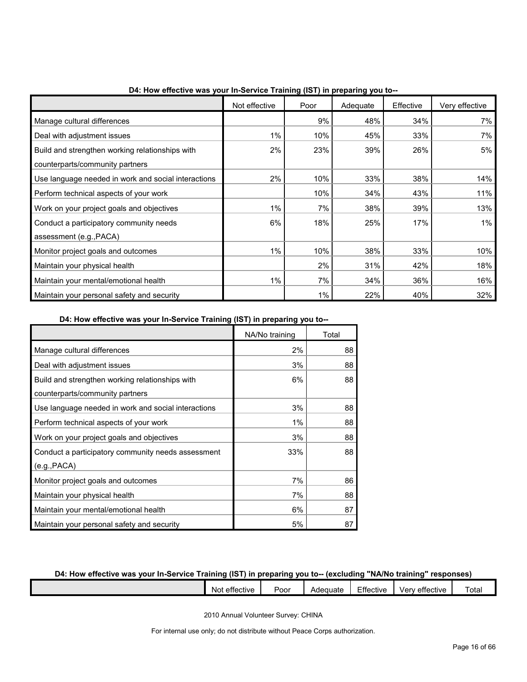|                                                     | Not effective | Poor | Adequate | Effective | Very effective |
|-----------------------------------------------------|---------------|------|----------|-----------|----------------|
| Manage cultural differences                         |               | 9%   | 48%      | 34%       | 7%             |
| Deal with adjustment issues                         | 1%            | 10%  | 45%      | 33%       | 7%             |
| Build and strengthen working relationships with     | 2%            | 23%  | 39%      | 26%       | 5%             |
| counterparts/community partners                     |               |      |          |           |                |
| Use language needed in work and social interactions | 2%            | 10%  | 33%      | 38%       | 14%            |
| Perform technical aspects of your work              |               | 10%  | 34%      | 43%       | 11%            |
| Work on your project goals and objectives           | 1%            | 7%   | 38%      | 39%       | 13%            |
| Conduct a participatory community needs             | 6%            | 18%  | 25%      | 17%       | $1\%$          |
| assessment (e.g., PACA)                             |               |      |          |           |                |
| Monitor project goals and outcomes                  | $1\%$         | 10%  | 38%      | 33%       | 10%            |
| Maintain your physical health                       |               | 2%   | 31%      | 42%       | 18%            |
| Maintain your mental/emotional health               | 1%            | 7%   | 34%      | 36%       | 16%            |
| Maintain your personal safety and security          |               | 1%   | 22%      | 40%       | 32%            |

**D4: How effective was your In-Service Training (IST) in preparing you to--**

**D4: How effective was your In-Service Training (IST) in preparing you to--**

|                                                     | NA/No training | Total |
|-----------------------------------------------------|----------------|-------|
| Manage cultural differences                         | 2%             | 88    |
| Deal with adjustment issues                         | 3%             | 88    |
| Build and strengthen working relationships with     | 6%             | 88    |
| counterparts/community partners                     |                |       |
| Use language needed in work and social interactions | 3%             | 88    |
| Perform technical aspects of your work              | 1%             | 88    |
| Work on your project goals and objectives           | 3%             | 88    |
| Conduct a participatory community needs assessment  | 33%            | 88    |
| (e.g., PACA)                                        |                |       |
| Monitor project goals and outcomes                  | 7%             | 86    |
| Maintain your physical health                       | 7%             | 88    |
| Maintain your mental/emotional health               | 6%             | 87    |
| Maintain your personal safety and security          | 5%             | 87    |

#### **D4: How effective was your In-Service Training (IST) in preparing you to-- (excluding "NA/No training" responses)**

| ∵effective<br><b>N</b> ot | $\overline{\phantom{a}}$<br>Poor | Adequate | $ -$<br>. .<br>ttective: | $\overline{\phantom{a}}$<br>ver<br>effective<br>. . | ∶otai |
|---------------------------|----------------------------------|----------|--------------------------|-----------------------------------------------------|-------|
|                           |                                  |          |                          |                                                     |       |

2010 Annual Volunteer Survey: CHINA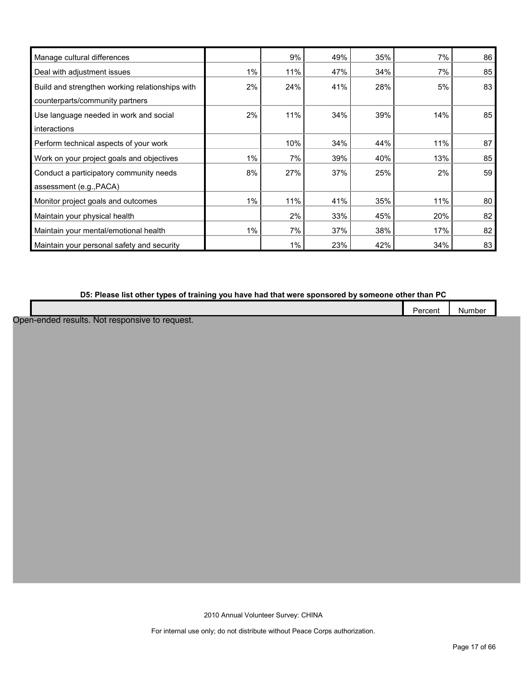| Manage cultural differences                     |       | 9%  | 49% | 35% | 7%  | 86 |
|-------------------------------------------------|-------|-----|-----|-----|-----|----|
| Deal with adjustment issues                     | 1%    | 11% | 47% | 34% | 7%  | 85 |
| Build and strengthen working relationships with | $2\%$ | 24% | 41% | 28% | 5%  | 83 |
| counterparts/community partners                 |       |     |     |     |     |    |
| Use language needed in work and social          | 2%    | 11% | 34% | 39% | 14% | 85 |
| interactions                                    |       |     |     |     |     |    |
| Perform technical aspects of your work          |       | 10% | 34% | 44% | 11% | 87 |
| Work on your project goals and objectives       | 1%    | 7%  | 39% | 40% | 13% | 85 |
| Conduct a participatory community needs         | 8%    | 27% | 37% | 25% | 2%  | 59 |
| assessment (e.g., PACA)                         |       |     |     |     |     |    |
| Monitor project goals and outcomes              | $1\%$ | 11% | 41% | 35% | 11% | 80 |
| Maintain your physical health                   |       | 2%  | 33% | 45% | 20% | 82 |
| Maintain your mental/emotional health           | $1\%$ | 7%  | 37% | 38% | 17% | 82 |
| Maintain your personal safety and security      |       | 1%  | 23% | 42% | 34% | 83 |

### **D5: Please list other types of training you have had that were sponsored by someone other than PC**

|  |     |    |  |  |  |  |  |  |  |  |  | -<br>-<br>.<br>$\cdot$ ) $\cdot$ | cent | .<br>NU<br>nne |  |
|--|-----|----|--|--|--|--|--|--|--|--|--|----------------------------------|------|----------------|--|
|  | --- | -- |  |  |  |  |  |  |  |  |  |                                  |      |                |  |

Open-ended results. Not responsive to request.

2010 Annual Volunteer Survey: CHINA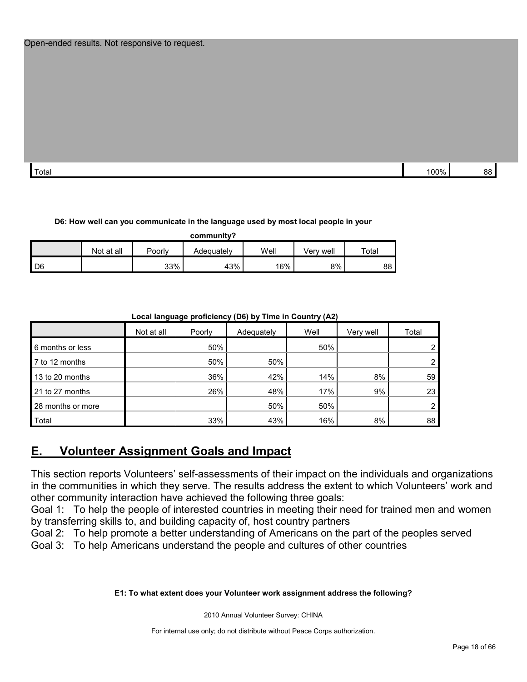Total 100% 88

#### **D6: How well can you communicate in the language used by most local people in your**

**community?**

|      | Not at all | Poorly | Adequatelv | Well | Verv well | $\tau$ otal |
|------|------------|--------|------------|------|-----------|-------------|
| l D6 |            | 33%    | 43%        | 16%  | 8%        | 88 I        |

#### **Local language proficiency (D6) by Time in Country (A2)**

|                   | Not at all | Poorly | Adequately | Well | Very well | Total |
|-------------------|------------|--------|------------|------|-----------|-------|
| 6 months or less  |            | 50%    |            | 50%  |           |       |
| 7 to 12 months    |            | 50%    | 50%        |      |           |       |
| 13 to 20 months   |            | 36%    | 42%        | 14%  | 8%        | 59    |
| 21 to 27 months   |            | 26%    | 48%        | 17%  | 9%        | 23    |
| 28 months or more |            |        | 50%        | 50%  |           |       |
| Total             |            | 33%    | 43%        | 16%  | 8%        | 88    |

## <span id="page-17-0"></span>**E. Volunteer Assignment Goals and Impact**

This section reports Volunteers' self-assessments of their impact on the individuals and organizations in the communities in which they serve. The results address the extent to which Volunteers' work and other community interaction have achieved the following three goals:

Goal 1: To help the people of interested countries in meeting their need for trained men and women by transferring skills to, and building capacity of, host country partners

Goal 2: To help promote a better understanding of Americans on the part of the peoples served

Goal 3: To help Americans understand the people and cultures of other countries

#### **E1: To what extent does your Volunteer work assignment address the following?**

2010 Annual Volunteer Survey: CHINA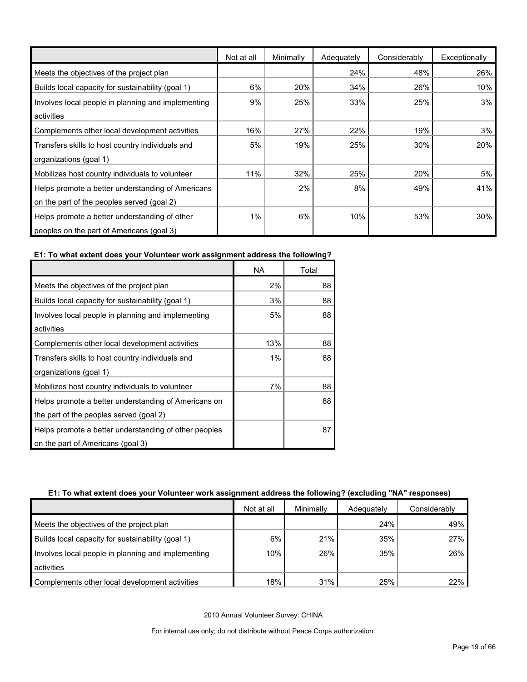|                                                    | Not at all | Minimally | Adequately | Considerably | Exceptionally |
|----------------------------------------------------|------------|-----------|------------|--------------|---------------|
| Meets the objectives of the project plan           |            |           | 24%        | 48%          | 26%           |
| Builds local capacity for sustainability (goal 1)  | 6%         | 20%       | 34%        | 26%          | 10%           |
| Involves local people in planning and implementing | 9%         | 25%       | 33%        | 25%          | 3%            |
| activities                                         |            |           |            |              |               |
| Complements other local development activities     | 16%        | 27%       | 22%        | 19%          | 3%            |
| Transfers skills to host country individuals and   | 5%         | 19%       | 25%        | 30%          | 20%           |
| organizations (goal 1)                             |            |           |            |              |               |
| Mobilizes host country individuals to volunteer    | 11%        | 32%       | 25%        | 20%          | 5%            |
| Helps promote a better understanding of Americans  |            | 2%        | 8%         | 49%          | 41%           |
| on the part of the peoples served (goal 2)         |            |           |            |              |               |
| Helps promote a better understanding of other      | 1%         | 6%        | 10%        | 53%          | 30%           |
| peoples on the part of Americans (goal 3)          |            |           |            |              |               |

## **E1: To what extent does your Volunteer work assignment address the following?**

|                                                       | NA  | Total |
|-------------------------------------------------------|-----|-------|
| Meets the objectives of the project plan              | 2%  | 88    |
| Builds local capacity for sustainability (goal 1)     | 3%  | 88    |
| Involves local people in planning and implementing    | 5%  | 88    |
| activities                                            |     |       |
| Complements other local development activities        | 13% | 88    |
| Transfers skills to host country individuals and      | 1%  | 88    |
| organizations (goal 1)                                |     |       |
| Mobilizes host country individuals to volunteer       | 7%  | 88    |
| Helps promote a better understanding of Americans on  |     | 88    |
| the part of the peoples served (goal 2)               |     |       |
| Helps promote a better understanding of other peoples |     | 87    |
| on the part of Americans (goal 3)                     |     |       |

#### **E1: To what extent does your Volunteer work assignment address the following? (excluding "NA" responses)**

|                                                    | Not at all | Minimally | Adequately | Considerably |
|----------------------------------------------------|------------|-----------|------------|--------------|
| Meets the objectives of the project plan           |            |           | 24%        | 49%          |
| Builds local capacity for sustainability (goal 1)  | 6%         | 21%       | 35%        | 27%          |
| Involves local people in planning and implementing | 10%        | 26%       | 35%        | 26%          |
| activities                                         |            |           |            |              |
| Complements other local development activities     | 18%        | 31%       | 25%        | 22%          |

2010 Annual Volunteer Survey: CHINA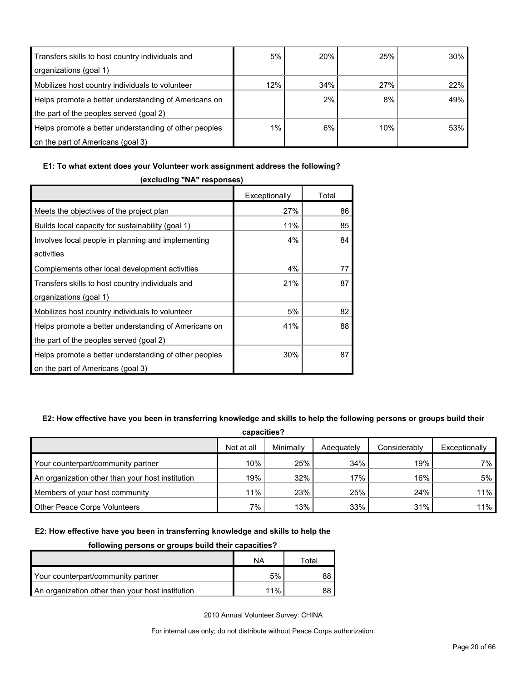| Transfers skills to host country individuals and      | 5%  | <b>20%</b> | 25% | 30% |
|-------------------------------------------------------|-----|------------|-----|-----|
| organizations (goal 1)                                |     |            |     |     |
| Mobilizes host country individuals to volunteer       | 12% | 34%        | 27% | 22% |
| Helps promote a better understanding of Americans on  |     | 2%         | 8%  | 49% |
| the part of the peoples served (goal 2)               |     |            |     |     |
| Helps promote a better understanding of other peoples | 1%  | 6%         | 10% | 53% |
| on the part of Americans (goal 3)                     |     |            |     |     |

#### **E1: To what extent does your Volunteer work assignment address the following?**

| (excluding "NA" responses)                            |               |       |  |  |  |  |  |
|-------------------------------------------------------|---------------|-------|--|--|--|--|--|
|                                                       | Exceptionally | Total |  |  |  |  |  |
| Meets the objectives of the project plan              | 27%           | 86    |  |  |  |  |  |
| Builds local capacity for sustainability (goal 1)     | 11%           | 85    |  |  |  |  |  |
| Involves local people in planning and implementing    | $4\%$         | 84    |  |  |  |  |  |
| activities                                            |               |       |  |  |  |  |  |
| Complements other local development activities        | 4%            | 77    |  |  |  |  |  |
| Transfers skills to host country individuals and      | 21%           | 87    |  |  |  |  |  |
| organizations (goal 1)                                |               |       |  |  |  |  |  |
| Mobilizes host country individuals to volunteer       | 5%            | 82    |  |  |  |  |  |
| Helps promote a better understanding of Americans on  | 41%           | 88    |  |  |  |  |  |
| the part of the peoples served (goal 2)               |               |       |  |  |  |  |  |
| Helps promote a better understanding of other peoples | 30%           | 87    |  |  |  |  |  |
| on the part of Americans (goal 3)                     |               |       |  |  |  |  |  |

#### **E2: How effective have you been in transferring knowledge and skills to help the following persons or groups build their**

| capacities?                                      |            |           |            |              |               |  |  |  |  |
|--------------------------------------------------|------------|-----------|------------|--------------|---------------|--|--|--|--|
|                                                  | Not at all | Minimally | Adequately | Considerably | Exceptionally |  |  |  |  |
| Your counterpart/community partner               | 10%        | 25%       | 34%        | 19%          | 7% l          |  |  |  |  |
| An organization other than your host institution | 19%        | 32%       | 17%        | 16%          | 5%            |  |  |  |  |
| Members of your host community                   | 11%        | 23%       | 25%        | 24%          | 11%           |  |  |  |  |
| Other Peace Corps Volunteers                     | 7%         | 13%       | 33%        | 31%          | $11\%$        |  |  |  |  |

#### **E2: How effective have you been in transferring knowledge and skills to help the**

#### **following persons or groups build their capacities?**

|                                                  | NA  | Total |
|--------------------------------------------------|-----|-------|
| Your counterpart/community partner               | 5%  |       |
| An organization other than your host institution | 11% | 88    |

2010 Annual Volunteer Survey: CHINA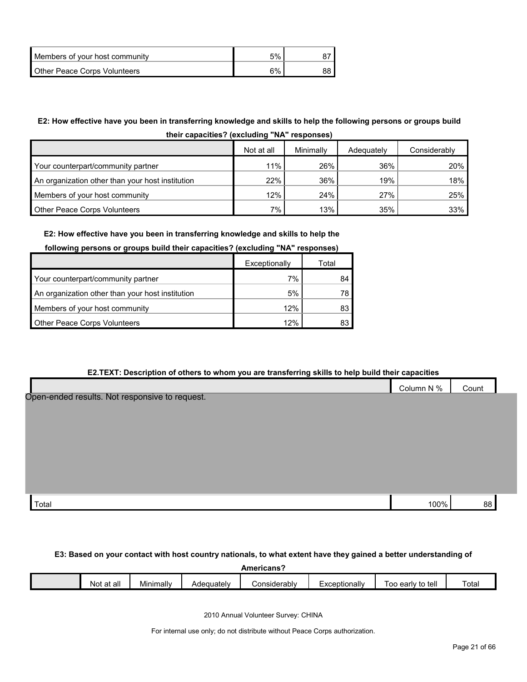| Members of your host community | 5% |  |
|--------------------------------|----|--|
| Other Peace Corps Volunteers   | 6% |  |

## **E2: How effective have you been in transferring knowledge and skills to help the following persons or groups build**

| their capacities? (excluding "NA" responses) |  |
|----------------------------------------------|--|
|----------------------------------------------|--|

|                                                  | Not at all | Minimally | Adequately | Considerably |
|--------------------------------------------------|------------|-----------|------------|--------------|
| Your counterpart/community partner               | 11%        | 26%       | 36%        | 20%          |
| An organization other than your host institution | 22%        | 36%       | 19%        | 18%          |
| Members of your host community                   | 12%        | 24%       | 27%        | 25%          |
| <b>Other Peace Corps Volunteers</b>              | $7\%$      | 13%       | 35%        | 33%          |

#### **E2: How effective have you been in transferring knowledge and skills to help the**

#### **following persons or groups build their capacities? (excluding "NA" responses)**

|                                                  | Exceptionally | Total |
|--------------------------------------------------|---------------|-------|
| Your counterpart/community partner               | 7%            | 84    |
| An organization other than your host institution | 5%            |       |
| Members of your host community                   | 12%           | 83    |
| <b>Other Peace Corps Volunteers</b>              | 12%           |       |

#### **E2.TEXT: Description of others to whom you are transferring skills to help build their capacities**

|                                                | Column N % | Count |  |
|------------------------------------------------|------------|-------|--|
| Open-ended results. Not responsive to request. |            |       |  |
|                                                |            |       |  |
|                                                |            |       |  |
|                                                |            |       |  |
|                                                |            |       |  |
|                                                |            |       |  |
|                                                |            |       |  |
| Total                                          | 100%       | 88    |  |

#### **E3: Based on your contact with host country nationals, to what extent have they gained a better understanding of**

|               |                            |            | Americans            |                                   |                      |       |
|---------------|----------------------------|------------|----------------------|-----------------------------------|----------------------|-------|
| Not<br>at all | . .<br>$   -$<br>Minimallv | Adequately | <i>C</i> onsiderabl∨ | -xceptionally<br>⊥∧ບ <sub>ໍ</sub> | to tell<br>Too early | Total |

2010 Annual Volunteer Survey: CHINA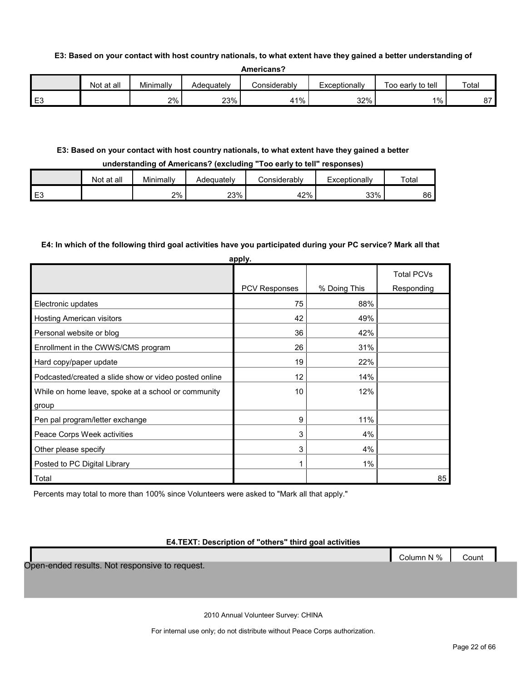#### **E3: Based on your contact with host country nationals, to what extent have they gained a better understanding of**

|                | t at all<br>Not | Minimally | Adequatelv | onsiderabl∨ٽ | Exceptionally | Too early to tell | Total  |
|----------------|-----------------|-----------|------------|--------------|---------------|-------------------|--------|
| E <sub>3</sub> |                 | 2%        | 23%        | $1\%$<br>4   | 32%           | $1\%$ .           | $\sim$ |

#### **E3: Based on your contact with host country nationals, to what extent have they gained a better**

#### **understanding of Americans? (excluding "Too early to tell" responses)**

|                | Not at all | Minimally | Adequately | onsiderablvٽ | Exceptionally | Total |
|----------------|------------|-----------|------------|--------------|---------------|-------|
| E <sub>3</sub> |            | 2%        | 23%        | 42%          | 33%           | 86    |

#### **E4: In which of the following third goal activities have you participated during your PC service? Mark all that**

|                                                       | apply.               |              |                   |
|-------------------------------------------------------|----------------------|--------------|-------------------|
|                                                       |                      |              | <b>Total PCVs</b> |
|                                                       | <b>PCV Responses</b> | % Doing This | Responding        |
| Electronic updates                                    | 75                   | 88%          |                   |
| <b>Hosting American visitors</b>                      | 42                   | 49%          |                   |
| Personal website or blog                              | 36                   | 42%          |                   |
| Enrollment in the CWWS/CMS program                    | 26                   | 31%          |                   |
| Hard copy/paper update                                | 19                   | 22%          |                   |
| Podcasted/created a slide show or video posted online | 12                   | 14%          |                   |
| While on home leave, spoke at a school or community   | 10                   | 12%          |                   |
| group                                                 |                      |              |                   |
| Pen pal program/letter exchange                       | 9                    | 11%          |                   |
| Peace Corps Week activities                           | 3                    | 4%           |                   |
| Other please specify                                  | 3                    | 4%           |                   |
| Posted to PC Digital Library                          | 1                    | $1\%$        |                   |
| Total                                                 |                      |              | 85                |

Percents may total to more than 100% since Volunteers were asked to "Mark all that apply."

#### **E4.TEXT: Description of "others" third goal activities**

Open-ended results. Not responsive to request.

Column N % Count

2010 Annual Volunteer Survey: CHINA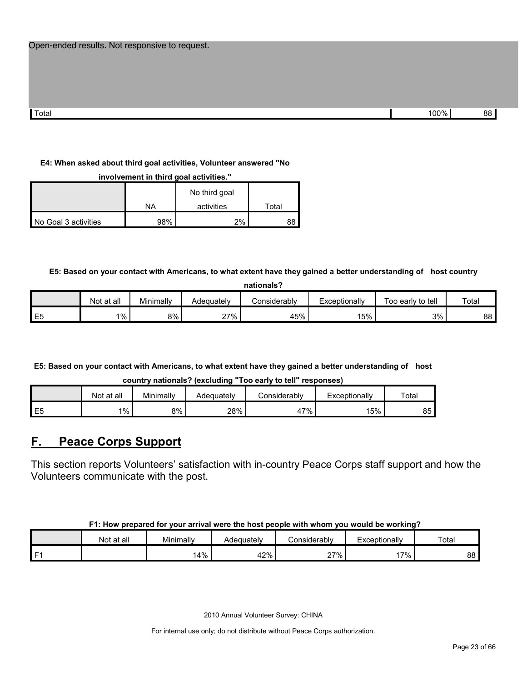| Total | 100% | n. |
|-------|------|----|

#### **E4: When asked about third goal activities, Volunteer answered "No**

**involvement in third goal activities."** 

|                      |     | No third goal |       |
|----------------------|-----|---------------|-------|
|                      | NA  | activities    | Total |
| No Goal 3 activities | 98% | 2%            | 88    |

**E5: Based on your contact with Americans, to what extent have they gained a better understanding of host country** 

| nationals?     |            |           |            |              |               |                   |       |  |  |  |
|----------------|------------|-----------|------------|--------------|---------------|-------------------|-------|--|--|--|
|                | Not at all | Minimally | Adequately | Considerablv | Exceptionally | Too early to tell | Total |  |  |  |
| E <sub>5</sub> | $1\%$      | 8%        | 27%        | 45%          | 15%           | 3%                | 88    |  |  |  |

**E5: Based on your contact with Americans, to what extent have they gained a better understanding of host country nationals? (excluding "Too early to tell" responses)**

|                | Not at all | Minimally | Adequatelv | Considerabl∨     | Exceptionally | Total |
|----------------|------------|-----------|------------|------------------|---------------|-------|
| E <sub>5</sub> | $1\%$      | 8%        | 28%        | 17%<br><u>т,</u> | 5%            | 85    |

## <span id="page-22-0"></span>**F. Peace Corps Support**

This section reports Volunteers' satisfaction with in-country Peace Corps staff support and how the Volunteers communicate with the post.

| F1: How prepared for your arrival were the host people with whom you would be working? |  |
|----------------------------------------------------------------------------------------|--|
|----------------------------------------------------------------------------------------|--|

|      | Not at all | Minimally | Adequatelv | Considerably  | Exceptionally | Total |
|------|------------|-----------|------------|---------------|---------------|-------|
| l F1 |            | 4%ا       | 42%        | 27%<br>$\sim$ | 7%            | 88    |

2010 Annual Volunteer Survey: CHINA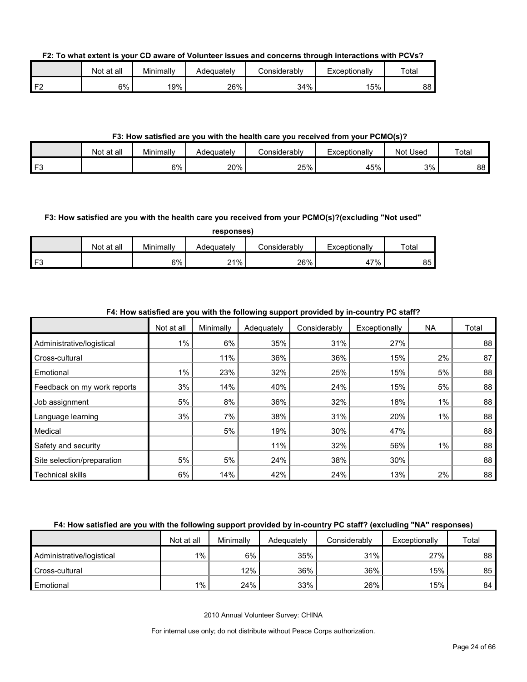**F2: To what extent is your CD aware of Volunteer issues and concerns through interactions with PCVs?**

|                | Not at all | Minimally | Adequatelv | onsiderablvٽ | Exceptionally | Total |
|----------------|------------|-----------|------------|--------------|---------------|-------|
| F <sub>2</sub> | 6%         | 19%       | 26%        | 34%          | 5%            | 88    |

#### **F3: How satisfied are you with the health care you received from your PCMO(s)?**

|            | at all<br>Not | Minimally | Adequately | Considerablv | Exceptionally<br>二人じビ | Used<br>Not | Total |
|------------|---------------|-----------|------------|--------------|-----------------------|-------------|-------|
| FЗ<br>- 11 |               | 6%        | 20%        | 25%          | 45%                   | 3%          | 88    |

#### **F3: How satisfied are you with the health care you received from your PCMO(s)?(excluding "Not used"**

|                |            |           | responses) |              |               |             |
|----------------|------------|-----------|------------|--------------|---------------|-------------|
|                | Not at all | Minimally | Adequately | Considerablv | Exceptionally | $\tau$ otal |
| F <sub>3</sub> |            | 6%        | 21%        | 26%          | 47%           | 85          |

#### **F4: How satisfied are you with the following support provided by in-country PC staff?**

|                             | Not at all | Minimally | Adequately | Considerably | Exceptionally | <b>NA</b> | Total |
|-----------------------------|------------|-----------|------------|--------------|---------------|-----------|-------|
| Administrative/logistical   | $1\%$      | 6%        | 35%        | 31%          | 27%           |           | 88    |
| Cross-cultural              |            | 11%       | 36%        | 36%          | 15%           | 2%        | 87    |
| Emotional                   | 1%         | 23%       | 32%        | 25%          | 15%           | 5%        | 88    |
| Feedback on my work reports | 3%         | 14%       | 40%        | 24%          | 15%           | 5%        | 88    |
| Job assignment              | 5%         | 8%        | 36%        | 32%          | 18%           | 1%        | 88    |
| Language learning           | 3%         | 7%        | 38%        | 31%          | 20%           | 1%        | 88    |
| Medical                     |            | 5%        | 19%        | 30%          | 47%           |           | 88    |
| Safety and security         |            |           | 11%        | 32%          | 56%           | $1\%$     | 88    |
| Site selection/preparation  | 5%         | 5%        | 24%        | 38%          | 30%           |           | 88    |
| <b>Technical skills</b>     | 6%         | 14%       | 42%        | 24%          | 13%           | 2%        | 88    |

#### **F4: How satisfied are you with the following support provided by in-country PC staff? (excluding "NA" responses)**

|                           | Not at all | Minimally | Adequately | Considerably | Exceptionally | Total |
|---------------------------|------------|-----------|------------|--------------|---------------|-------|
| Administrative/logistical | 1%         | 6%        | 35%        | 31%          | 27%           | 88    |
| Cross-cultural            |            | 12%       | 36%        | 36%          | 15%           | 85    |
| Emotional                 | 1%         | 24%       | 33%        | 26%          | 15%           | 84    |

2010 Annual Volunteer Survey: CHINA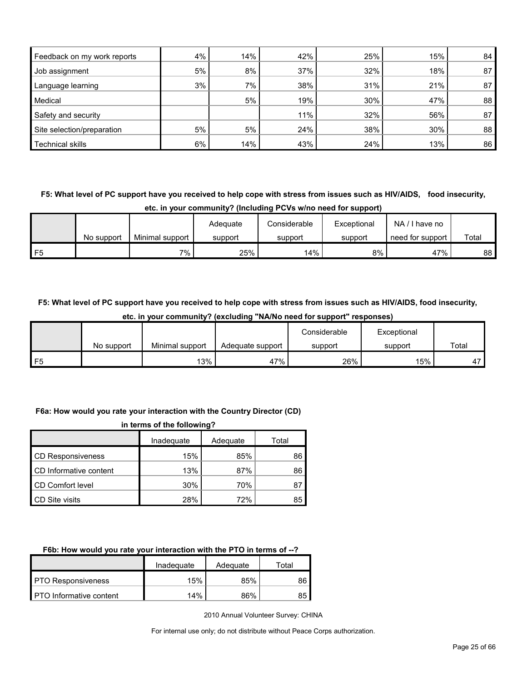| Feedback on my work reports | 4% | 14% | 42% | 25% | 15% | 84 |
|-----------------------------|----|-----|-----|-----|-----|----|
| Job assignment              | 5% | 8%  | 37% | 32% | 18% | 87 |
| Language learning           | 3% | 7%  | 38% | 31% | 21% | 87 |
| Medical                     |    | 5%  | 19% | 30% | 47% | 88 |
| Safety and security         |    |     | 11% | 32% | 56% | 87 |
| Site selection/preparation  | 5% | 5%  | 24% | 38% | 30% | 88 |
| <b>Technical skills</b>     | 6% | 14% | 43% | 24% | 13% | 86 |

**F5: What level of PC support have you received to help cope with stress from issues such as HIV/AIDS, food insecurity,** 

| etc. in your community? (Including PCVs w/no need for support) |  |
|----------------------------------------------------------------|--|
|----------------------------------------------------------------|--|

|    |            |                 | Adequate | Considerable | Exceptional | NA/<br>' I have no |       |
|----|------------|-----------------|----------|--------------|-------------|--------------------|-------|
|    | No support | Minimal support | support  | support      | support     | need for support   | Total |
| F5 |            | 7%              | 25%      | 14%          | 8%          | 47%                | 88 I  |

**F5: What level of PC support have you received to help cope with stress from issues such as HIV/AIDS, food insecurity,** 

|            |                 |                  | Considerable | Exceptional |       |
|------------|-----------------|------------------|--------------|-------------|-------|
| No support | Minimal support | Adequate support | support      | support     | Total |
|            | 13%             | 47%              | 26%          | 15%         |       |

#### **etc. in your community? (excluding "NA/No need for support" responses)**

#### **F6a: How would you rate your interaction with the Country Director (CD)**

| in terms of the following? |            |          |       |  |
|----------------------------|------------|----------|-------|--|
|                            | Inadequate | Adequate | Total |  |
| <b>CD Responsiveness</b>   | 15%        | 85%      | 86    |  |
| CD Informative content     | 13%        | 87%      | 86    |  |
| <b>CD Comfort level</b>    | 30%        | 70%      | 87    |  |
| CD Site visits             | 28%        | 72%      | 85    |  |

#### **F6b: How would you rate your interaction with the PTO in terms of --?**

|                                | Inadeguate | Adequate | ⊤ota⊩ |
|--------------------------------|------------|----------|-------|
| <b>PTO Responsiveness</b>      | 15%        | 85%      | 86    |
| <b>PTO</b> Informative content | 14%        | 86%      | 85    |

2010 Annual Volunteer Survey: CHINA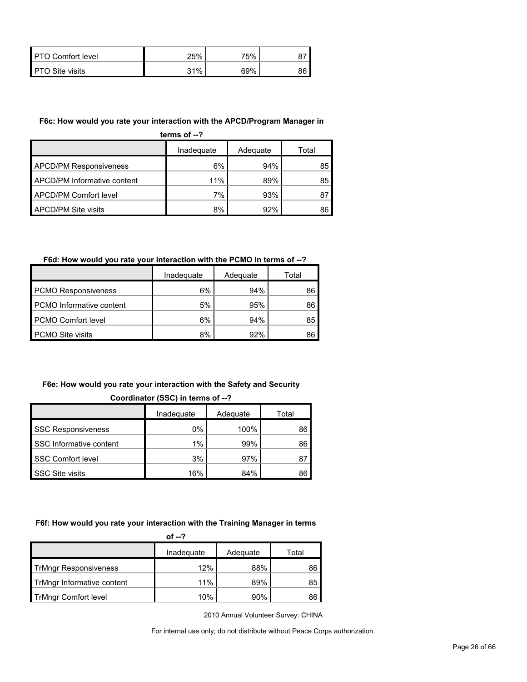| <b>PTO Comfort level</b> | 25% | 75% |    |
|--------------------------|-----|-----|----|
| <b>PTO Site visits</b>   | 31% | 69% | oс |

#### **F6c: How would you rate your interaction with the APCD/Program Manager in**

| terms of $-2$                 |            |          |       |  |  |
|-------------------------------|------------|----------|-------|--|--|
|                               | Inadequate | Adequate | Total |  |  |
| <b>APCD/PM Responsiveness</b> | 6%         | 94%      | 85    |  |  |
| APCD/PM Informative content   | 11%        | 89%      | 85    |  |  |
| APCD/PM Comfort level         | 7%         | 93%      | 87    |  |  |
| APCD/PM Site visits           | 8%         | 92%      | 86    |  |  |

### **F6d: How would you rate your interaction with the PCMO in terms of --?**

|                                 | Inadequate | Adequate | Total |
|---------------------------------|------------|----------|-------|
| <b>PCMO Responsiveness</b>      | 6%         | 94%      | 86    |
| <b>PCMO</b> Informative content | 5%         | 95%      | 86    |
| <b>PCMO Comfort level</b>       | 6%         | 94%      | 85    |
| <b>PCMO Site visits</b>         | 8%         | 92%      | 86    |

#### **F6e: How would you rate your interaction with the Safety and Security Coordinator (SSC) in terms of --?**

|                           | Inadequate | Adequate | Total |  |  |
|---------------------------|------------|----------|-------|--|--|
| <b>SSC Responsiveness</b> | 0%         | 100%     | 86    |  |  |
| SSC Informative content   | 1%         | 99%      | 86    |  |  |
| <b>SSC Comfort level</b>  | 3%         | 97%      | 81    |  |  |
| <b>SSC Site visits</b>    | 16%        | 84%      | 86    |  |  |

#### **F6f: How would you rate your interaction with the Training Manager in terms**

|                              | of $-2$    |          |       |
|------------------------------|------------|----------|-------|
|                              | Inadequate | Adequate | Total |
| <b>TrMngr Responsiveness</b> | 12%        | 88%      | 86    |
| TrMngr Informative content   | 11%        | 89%      | 85    |
| <b>TrMngr Comfort level</b>  | 10%        | 90%      | 86    |

2010 Annual Volunteer Survey: CHINA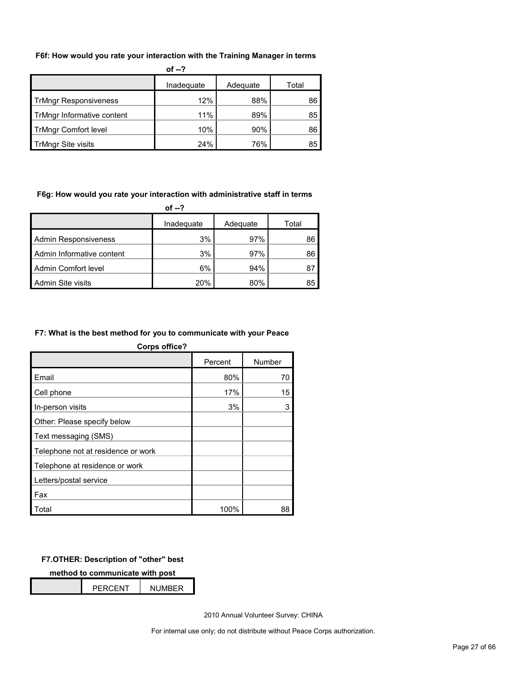#### **F6f: How would you rate your interaction with the Training Manager in terms**

| of $-2$                      |            |          |       |  |  |  |  |
|------------------------------|------------|----------|-------|--|--|--|--|
|                              | Inadequate | Adequate | Total |  |  |  |  |
| <b>TrMngr Responsiveness</b> | 12%        | 88%      | 86    |  |  |  |  |
| TrMngr Informative content   | 11%        | 89%      | 85    |  |  |  |  |
| <b>TrMngr Comfort level</b>  | 10%        | 90%      | 86    |  |  |  |  |
| TrMngr Site visits           | 24%        | 76%      | 85    |  |  |  |  |

#### **F6g: How would you rate your interaction with administrative staff in terms**

| of --?                      |            |          |       |  |  |  |  |
|-----------------------------|------------|----------|-------|--|--|--|--|
|                             | Inadequate | Adequate | Total |  |  |  |  |
| <b>Admin Responsiveness</b> | 3%         | 97%      | 86    |  |  |  |  |
| Admin Informative content   | 3%         | 97%      | 86    |  |  |  |  |
| Admin Comfort level         | 6%         | 94%      | 87    |  |  |  |  |
| Admin Site visits           | 20%        | 80%      | 85    |  |  |  |  |

#### **F7: What is the best method for you to communicate with your Peace**

| <b>Corps office?</b>               |         |        |  |  |  |  |  |
|------------------------------------|---------|--------|--|--|--|--|--|
|                                    | Percent | Number |  |  |  |  |  |
| Email                              | 80%     | 70     |  |  |  |  |  |
| Cell phone                         | 17%     | 15     |  |  |  |  |  |
| In-person visits                   | 3%      | 3      |  |  |  |  |  |
| Other: Please specify below        |         |        |  |  |  |  |  |
| Text messaging (SMS)               |         |        |  |  |  |  |  |
| Telephone not at residence or work |         |        |  |  |  |  |  |
| Telephone at residence or work     |         |        |  |  |  |  |  |
| Letters/postal service             |         |        |  |  |  |  |  |
| Fax                                |         |        |  |  |  |  |  |
| Total                              | 100%    | 88     |  |  |  |  |  |

#### **F7.OTHER: Description of "other" best**

**method to communicate with post**

|  | <b>PFRCFNT</b> | <b>NUMBER</b> |  |
|--|----------------|---------------|--|
|  |                |               |  |

2010 Annual Volunteer Survey: CHINA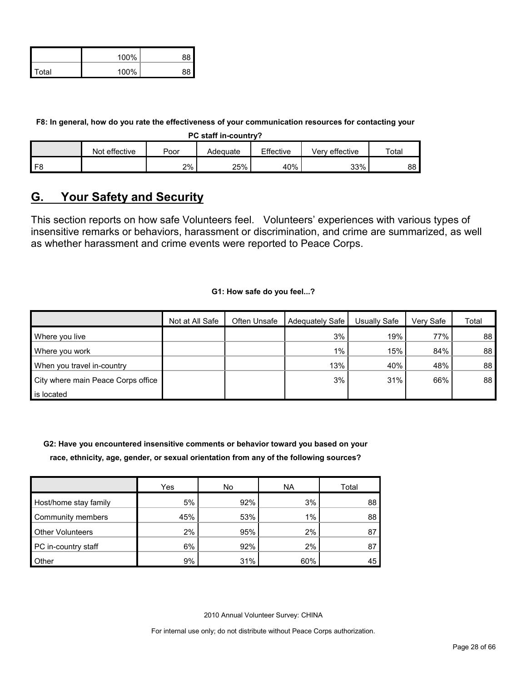|              | 100% |          |
|--------------|------|----------|
| <b>Total</b> | 100% | $\Omega$ |

**F8: In general, how do you rate the effectiveness of your communication resources for contacting your** 

**PC staff in-country?**

|      | effective<br>Not | Poor | Adequate | Effective | Verv effective | $\tau$ otai |
|------|------------------|------|----------|-----------|----------------|-------------|
| l F8 |                  | 2%   | 25%      | 40%       | 33%            | 88          |

## <span id="page-27-0"></span>**G. Your Safety and Security**

This section reports on how safe Volunteers feel. Volunteers' experiences with various types of insensitive remarks or behaviors, harassment or discrimination, and crime are summarized, as well as whether harassment and crime events were reported to Peace Corps.

#### **G1: How safe do you feel...?**

|                                    | Not at All Safe | Often Unsafe | Adequately Safe | Usually Safe | Verv Safe | Total           |
|------------------------------------|-----------------|--------------|-----------------|--------------|-----------|-----------------|
| Where you live                     |                 |              | 3%              | 19%          | 77%       | 88              |
| Where you work                     |                 |              | $1\%$           | 15%          | 84%       | 88              |
| When you travel in-country         |                 |              | 13%             | 40%          | 48%       | 88              |
| City where main Peace Corps office |                 |              | 3%              | 31%          | 66%       | 88 <sup>°</sup> |
| is located                         |                 |              |                 |              |           |                 |

**G2: Have you encountered insensitive comments or behavior toward you based on your race, ethnicity, age, gender, or sexual orientation from any of the following sources?**

|                         | Yes | No  | <b>NA</b> | Total |
|-------------------------|-----|-----|-----------|-------|
| Host/home stay family   | 5%  | 92% | 3%        | 88    |
| Community members       | 45% | 53% | 1%        | 88    |
| <b>Other Volunteers</b> | 2%  | 95% | 2%        | 87    |
| PC in-country staff     | 6%  | 92% | 2%        | 87    |
| Other                   | 9%  | 31% | 60%       | 45    |

2010 Annual Volunteer Survey: CHINA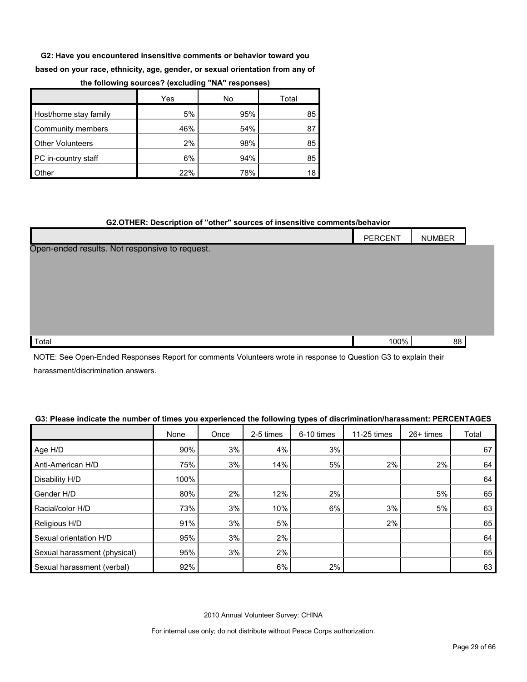**G2: Have you encountered insensitive comments or behavior toward you** 

**based on your race, ethnicity, age, gender, or sexual orientation from any of** 

|                         | Yes | No  | Total |
|-------------------------|-----|-----|-------|
| Host/home stay family   | 5%  | 95% | 85    |
| Community members       | 46% | 54% | 87    |
| <b>Other Volunteers</b> | 2%  | 98% | 85    |
| PC in-country staff     | 6%  | 94% | 85    |
| Other                   | 22% | 78% | 18    |

#### **the following sources? (excluding "NA" responses)**

#### **G2.OTHER: Description of "other" sources of insensitive comments/behavior**

|                                                | PERCENT | <b>NUMBER</b> |  |
|------------------------------------------------|---------|---------------|--|
| Open-ended results. Not responsive to request. |         |               |  |
|                                                |         |               |  |
|                                                |         |               |  |
|                                                |         |               |  |
|                                                |         |               |  |
|                                                |         |               |  |
| Total                                          | 100%    | 88            |  |

NOTE: See Open-Ended Responses Report for comments Volunteers wrote in response to Question G3 to explain their harassment/discrimination answers.

#### **G3: Please indicate the number of times you experienced the following types of discrimination/harassment: PERCENTAGES**

|                              | None | Once | 2-5 times | 6-10 times | 11-25 times | 26+ times | Total |
|------------------------------|------|------|-----------|------------|-------------|-----------|-------|
| Age H/D                      | 90%  | 3%   | 4%        | 3%         |             |           | 67    |
| Anti-American H/D            | 75%  | 3%   | 14%       | 5%         | 2%          | 2%        | 64    |
| Disability H/D               | 100% |      |           |            |             |           | 64    |
| Gender H/D                   | 80%  | 2%   | 12%       | 2%         |             | 5%        | 65    |
| Racial/color H/D             | 73%  | 3%   | 10%       | 6%         | 3%          | 5%        | 63    |
| Religious H/D                | 91%  | 3%   | 5%        |            | 2%          |           | 65    |
| Sexual orientation H/D       | 95%  | 3%   | 2%        |            |             |           | 64    |
| Sexual harassment (physical) | 95%  | 3%   | 2%        |            |             |           | 65    |
| Sexual harassment (verbal)   | 92%  |      | 6%        | 2%         |             |           | 63    |

2010 Annual Volunteer Survey: CHINA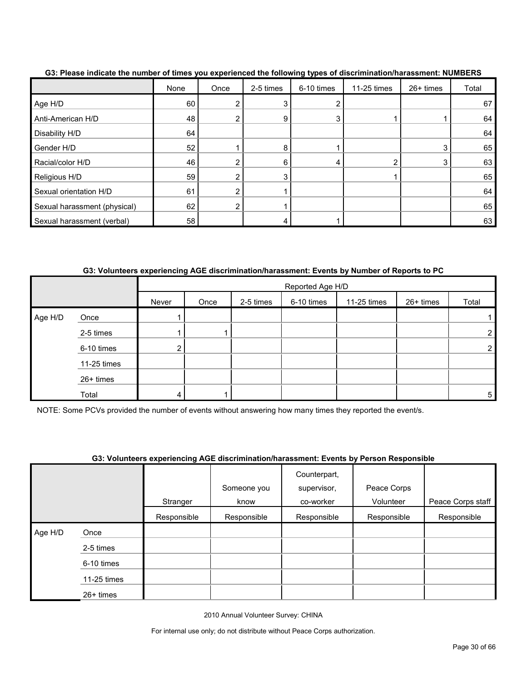|                              | None | Once | 2-5 times | חלי שי<br>6-10 times | 11-25 times | 26+ times | Total |
|------------------------------|------|------|-----------|----------------------|-------------|-----------|-------|
| Age H/D                      | 60   |      |           |                      |             |           | 67    |
| Anti-American H/D            | 48   |      | 9         |                      |             |           | 64    |
| Disability H/D               | 64   |      |           |                      |             |           | 64    |
| Gender H/D                   | 52   |      | 8         |                      |             | 3         | 65    |
| Racial/color H/D             | 46   |      | 6         |                      | ◠           | 3         | 63    |
| Religious H/D                | 59   |      |           |                      |             |           | 65    |
| Sexual orientation H/D       | 61   | າ    |           |                      |             |           | 64    |
| Sexual harassment (physical) | 62   |      |           |                      |             |           | 65    |
| Sexual harassment (verbal)   | 58   |      |           |                      |             |           | 63    |

**G3: Please indicate the number of times you experienced the following types of discrimination/harassment: NUMBERS**

**G3: Volunteers experiencing AGE discrimination/harassment: Events by Number of Reports to PC**

|         |             |       | Reported Age H/D |           |            |             |           |                |  |
|---------|-------------|-------|------------------|-----------|------------|-------------|-----------|----------------|--|
|         |             | Never | Once             | 2-5 times | 6-10 times | 11-25 times | 26+ times | Total          |  |
| Age H/D | Once        |       |                  |           |            |             |           |                |  |
|         | 2-5 times   |       |                  |           |            |             |           | $\overline{2}$ |  |
|         | 6-10 times  |       |                  |           |            |             |           | $\overline{2}$ |  |
|         | 11-25 times |       |                  |           |            |             |           |                |  |
|         | 26+ times   |       |                  |           |            |             |           |                |  |
|         | Total       |       |                  |           |            |             |           | 5              |  |

NOTE: Some PCVs provided the number of events without answering how many times they reported the event/s.

|         |             |             |                     | OU. TURNICEIS CAPCHENDING AUL GISU INIMIGUUM REIGUI. LYCHIS DY'T CISUN NESPUNSIDIC |                          |                   |
|---------|-------------|-------------|---------------------|------------------------------------------------------------------------------------|--------------------------|-------------------|
|         |             | Stranger    | Someone you<br>know | Counterpart,<br>supervisor,<br>co-worker                                           | Peace Corps<br>Volunteer | Peace Corps staff |
|         |             | Responsible | Responsible         | Responsible                                                                        | Responsible              | Responsible       |
| Age H/D | Once        |             |                     |                                                                                    |                          |                   |
|         | 2-5 times   |             |                     |                                                                                    |                          |                   |
|         | 6-10 times  |             |                     |                                                                                    |                          |                   |
|         | 11-25 times |             |                     |                                                                                    |                          |                   |
|         | 26+ times   |             |                     |                                                                                    |                          |                   |

## **G3: Volunteers experiencing AGE discrimination/harassment: Events by Person Responsible**

2010 Annual Volunteer Survey: CHINA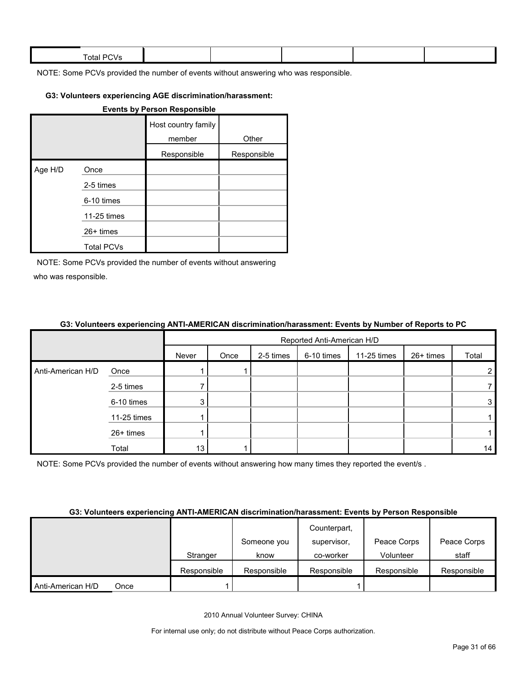| $\sim$ $\sim$<br><b>Total PC</b><br>. 17 |  |  |  |
|------------------------------------------|--|--|--|
|                                          |  |  |  |

#### **G3: Volunteers experiencing AGE discrimination/harassment:**

#### **Events by Person Responsible**

|         |                   | Host country family<br>member | Other       |
|---------|-------------------|-------------------------------|-------------|
|         |                   | Responsible                   | Responsible |
| Age H/D | Once              |                               |             |
|         | 2-5 times         |                               |             |
|         | 6-10 times        |                               |             |
|         | 11-25 times       |                               |             |
|         | $26+$ times       |                               |             |
|         | <b>Total PCVs</b> |                               |             |

NOTE: Some PCVs provided the number of events without answering who was responsible.

#### **G3: Volunteers experiencing ANTI-AMERICAN discrimination/harassment: Events by Number of Reports to PC**

|                   |             |       | Reported Anti-American H/D |           |            |             |           |                |
|-------------------|-------------|-------|----------------------------|-----------|------------|-------------|-----------|----------------|
|                   |             | Never | Once                       | 2-5 times | 6-10 times | 11-25 times | 26+ times | Total          |
| Anti-American H/D | Once        |       |                            |           |            |             |           | $\overline{2}$ |
|                   | 2-5 times   |       |                            |           |            |             |           | 7              |
|                   | 6-10 times  | 3     |                            |           |            |             |           | 3              |
|                   | 11-25 times |       |                            |           |            |             |           |                |
|                   | 26+ times   |       |                            |           |            |             |           |                |
|                   | Total       | 13    |                            |           |            |             |           | 14             |

NOTE: Some PCVs provided the number of events without answering how many times they reported the event/s.

#### **G3: Volunteers experiencing ANTI-AMERICAN discrimination/harassment: Events by Person Responsible**

|                   |      |             |             | Counterpart, |             |             |
|-------------------|------|-------------|-------------|--------------|-------------|-------------|
|                   |      |             | Someone you | supervisor,  | Peace Corps | Peace Corps |
|                   |      | Stranger    | know        | co-worker    | Volunteer   | staff       |
|                   |      | Responsible | Responsible | Responsible  | Responsible | Responsible |
| Anti-American H/D | Once |             |             |              |             |             |

2010 Annual Volunteer Survey: CHINA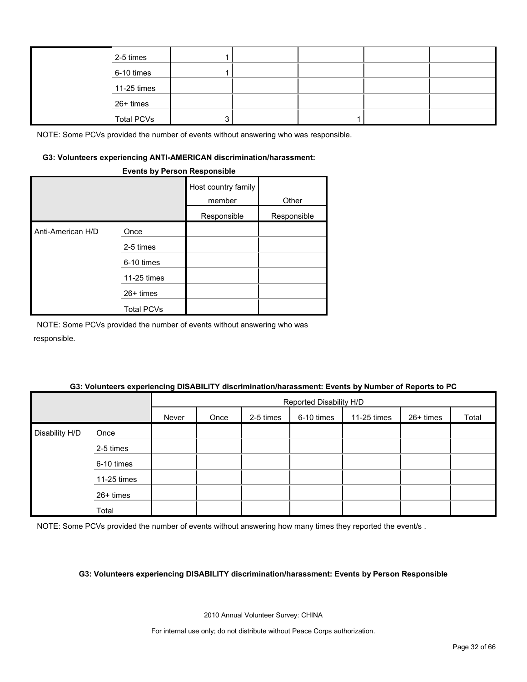| 2-5 times         |  |  |  |
|-------------------|--|--|--|
| 6-10 times        |  |  |  |
| 11-25 times       |  |  |  |
| 26+ times         |  |  |  |
| <b>Total PCVs</b> |  |  |  |

#### **G3: Volunteers experiencing ANTI-AMERICAN discrimination/harassment:**

#### **Events by Person Responsible**

|                   |                   | Host country family<br>member | Other       |
|-------------------|-------------------|-------------------------------|-------------|
|                   |                   | Responsible                   | Responsible |
| Anti-American H/D | Once              |                               |             |
|                   | 2-5 times         |                               |             |
|                   | 6-10 times        |                               |             |
|                   | 11-25 times       |                               |             |
|                   | $26+$ times       |                               |             |
|                   | <b>Total PCVs</b> |                               |             |

NOTE: Some PCVs provided the number of events without answering who was responsible.

## Reported Disability H/D Never | Once | 2-5 times | 6-10 times | 11-25 times | 26+ times | Total Disability H/D Once 2-5 times 6-10 times 11-25 times 26+ times Total

#### **G3: Volunteers experiencing DISABILITY discrimination/harassment: Events by Number of Reports to PC**

NOTE: Some PCVs provided the number of events without answering how many times they reported the event/s.

#### **G3: Volunteers experiencing DISABILITY discrimination/harassment: Events by Person Responsible**

2010 Annual Volunteer Survey: CHINA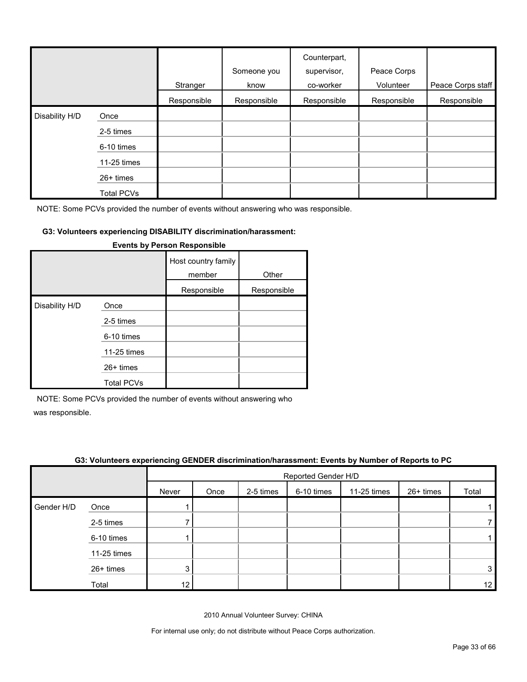|                |                   | Stranger    | Someone you<br>know | Counterpart,<br>supervisor,<br>co-worker | Peace Corps<br>Volunteer | Peace Corps staff |
|----------------|-------------------|-------------|---------------------|------------------------------------------|--------------------------|-------------------|
|                |                   | Responsible | Responsible         | Responsible                              | Responsible              | Responsible       |
| Disability H/D | Once              |             |                     |                                          |                          |                   |
|                | 2-5 times         |             |                     |                                          |                          |                   |
|                | 6-10 times        |             |                     |                                          |                          |                   |
|                | 11-25 times       |             |                     |                                          |                          |                   |
|                | 26+ times         |             |                     |                                          |                          |                   |
|                | <b>Total PCVs</b> |             |                     |                                          |                          |                   |

#### **G3: Volunteers experiencing DISABILITY discrimination/harassment:**

|                |                   | Host country family<br>member | Other       |
|----------------|-------------------|-------------------------------|-------------|
|                |                   | Responsible                   | Responsible |
| Disability H/D | Once              |                               |             |
|                | 2-5 times         |                               |             |
|                | 6-10 times        |                               |             |
|                | 11-25 times       |                               |             |
|                | 26+ times         |                               |             |
|                | <b>Total PCVs</b> |                               |             |

#### **Events by Person Responsible**

NOTE: Some PCVs provided the number of events without answering who

was responsible.

|            | . .         | $\ddot{\phantom{0}}$ |                     |           |            |             | . .       |                 |
|------------|-------------|----------------------|---------------------|-----------|------------|-------------|-----------|-----------------|
|            |             |                      | Reported Gender H/D |           |            |             |           |                 |
|            |             | Never                | Once                | 2-5 times | 6-10 times | 11-25 times | 26+ times | Total           |
| Gender H/D | Once        |                      |                     |           |            |             |           |                 |
|            | 2-5 times   |                      |                     |           |            |             |           |                 |
|            | 6-10 times  |                      |                     |           |            |             |           |                 |
|            | 11-25 times |                      |                     |           |            |             |           |                 |
|            | 26+ times   | 3                    |                     |           |            |             |           | 3               |
|            | Total       | 12                   |                     |           |            |             |           | 12 <sub>2</sub> |

#### **G3: Volunteers experiencing GENDER discrimination/harassment: Events by Number of Reports to PC**

2010 Annual Volunteer Survey: CHINA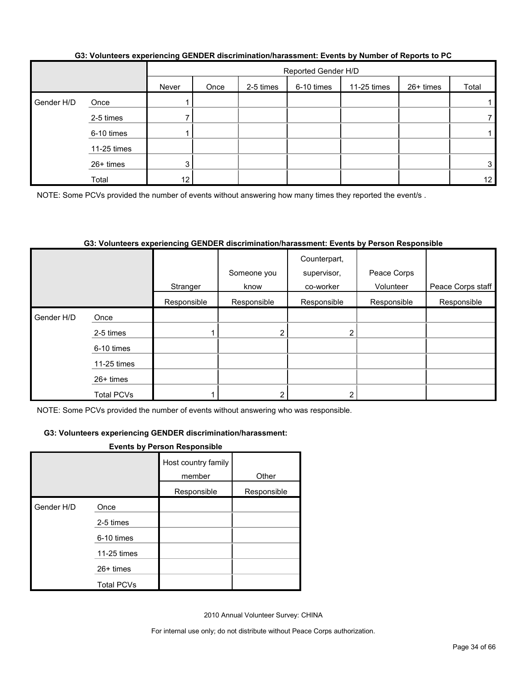|            |             |       | Reported Gender H/D |           |            |             |           |                 |  |
|------------|-------------|-------|---------------------|-----------|------------|-------------|-----------|-----------------|--|
|            |             | Never | Once                | 2-5 times | 6-10 times | 11-25 times | 26+ times | Total           |  |
| Gender H/D | Once        |       |                     |           |            |             |           |                 |  |
|            | 2-5 times   |       |                     |           |            |             |           |                 |  |
|            | 6-10 times  |       |                     |           |            |             |           |                 |  |
|            | 11-25 times |       |                     |           |            |             |           |                 |  |
|            | 26+ times   | 3     |                     |           |            |             |           | 3               |  |
|            | Total       | 12    |                     |           |            |             |           | 12 <sub>1</sub> |  |

#### **G3: Volunteers experiencing GENDER discrimination/harassment: Events by Number of Reports to PC**

NOTE: Some PCVs provided the number of events without answering how many times they reported the event/s.

#### **G3: Volunteers experiencing GENDER discrimination/harassment: Events by Person Responsible**

|            |             |             | Someone you | Counterpart,<br>supervisor, | Peace Corps |                   |
|------------|-------------|-------------|-------------|-----------------------------|-------------|-------------------|
|            |             | Stranger    | know        | co-worker                   | Volunteer   | Peace Corps staff |
|            |             | Responsible | Responsible | Responsible                 | Responsible | Responsible       |
| Gender H/D | Once        |             |             |                             |             |                   |
|            | 2-5 times   |             | 2           | ◠                           |             |                   |
|            | 6-10 times  |             |             |                             |             |                   |
|            | 11-25 times |             |             |                             |             |                   |
|            | $26+$ times |             |             |                             |             |                   |
|            | Total PCVs  |             | ◠           | ⌒                           |             |                   |

NOTE: Some PCVs provided the number of events without answering who was responsible.

#### **G3: Volunteers experiencing GENDER discrimination/harassment:**

#### **Events by Person Responsible**

|            |                   | Host country family<br>member | Other       |
|------------|-------------------|-------------------------------|-------------|
|            |                   | Responsible                   | Responsible |
| Gender H/D | Once              |                               |             |
|            | 2-5 times         |                               |             |
|            | 6-10 times        |                               |             |
|            | 11-25 times       |                               |             |
|            | $26+$ times       |                               |             |
|            | <b>Total PCVs</b> |                               |             |

2010 Annual Volunteer Survey: CHINA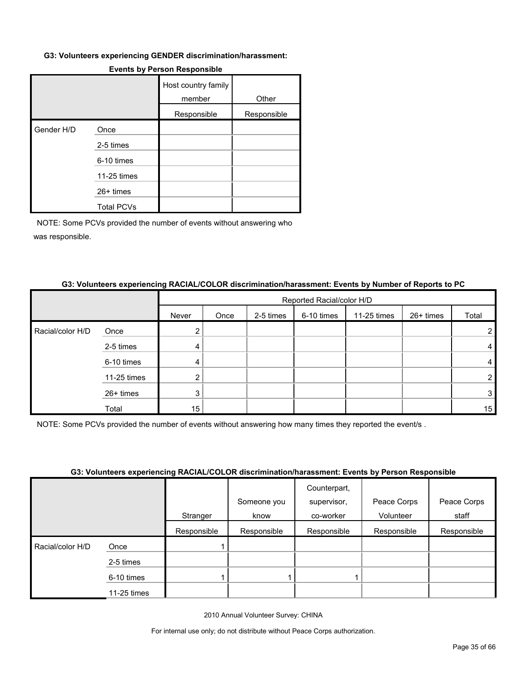#### **G3: Volunteers experiencing GENDER discrimination/harassment:**

|            |                   | Host country family<br>member | Other       |
|------------|-------------------|-------------------------------|-------------|
|            |                   | Responsible                   | Responsible |
| Gender H/D | Once              |                               |             |
|            | 2-5 times         |                               |             |
|            | 6-10 times        |                               |             |
|            | 11-25 times       |                               |             |
|            | 26+ times         |                               |             |
|            | <b>Total PCVs</b> |                               |             |

#### **Events by Person Responsible**

NOTE: Some PCVs provided the number of events without answering who was responsible.

#### **G3: Volunteers experiencing RACIAL/COLOR discrimination/harassment: Events by Number of Reports to PC**

|                  |             |       | Reported Racial/color H/D |           |            |             |           |       |  |  |
|------------------|-------------|-------|---------------------------|-----------|------------|-------------|-----------|-------|--|--|
|                  |             | Never | Once                      | 2-5 times | 6-10 times | 11-25 times | 26+ times | Total |  |  |
| Racial/color H/D | Once        |       |                           |           |            |             |           |       |  |  |
|                  | 2-5 times   | 4     |                           |           |            |             |           |       |  |  |
|                  | 6-10 times  | 4     |                           |           |            |             |           | 4     |  |  |
|                  | 11-25 times |       |                           |           |            |             |           |       |  |  |
|                  | 26+ times   | 3     |                           |           |            |             |           | 3     |  |  |
|                  | Total       | 15    |                           |           |            |             |           | 15    |  |  |

NOTE: Some PCVs provided the number of events without answering how many times they reported the event/s .

#### **G3: Volunteers experiencing RACIAL/COLOR discrimination/harassment: Events by Person Responsible**

|                  |             |             | Someone you | Counterpart,<br>supervisor, | Peace Corps | Peace Corps |
|------------------|-------------|-------------|-------------|-----------------------------|-------------|-------------|
|                  |             | Stranger    | know        | co-worker                   | Volunteer   | staff       |
|                  |             | Responsible | Responsible | Responsible                 | Responsible | Responsible |
| Racial/color H/D | Once        |             |             |                             |             |             |
|                  | 2-5 times   |             |             |                             |             |             |
|                  | 6-10 times  |             |             |                             |             |             |
|                  | 11-25 times |             |             |                             |             |             |

2010 Annual Volunteer Survey: CHINA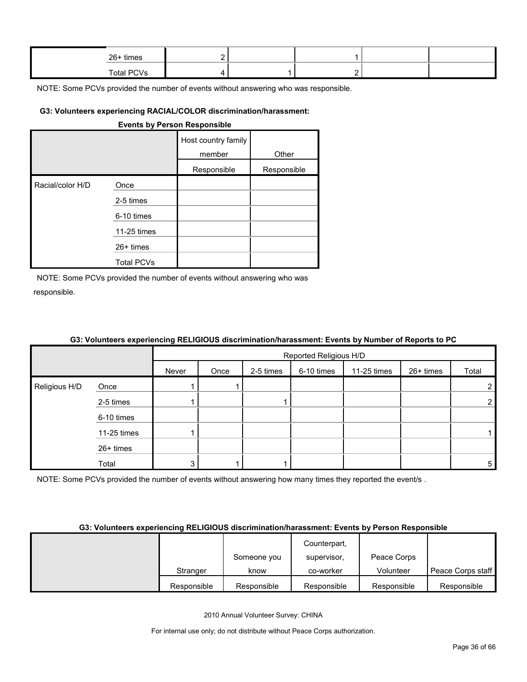| 26+ times         |  |  |  |
|-------------------|--|--|--|
| <b>Total PCVs</b> |  |  |  |

#### **G3: Volunteers experiencing RACIAL/COLOR discrimination/harassment:**

#### **Events by Person Responsible**

|                  |                   | Host country family<br>member | Other       |
|------------------|-------------------|-------------------------------|-------------|
|                  |                   | Responsible                   | Responsible |
| Racial/color H/D | Once              |                               |             |
|                  | 2-5 times         |                               |             |
|                  | 6-10 times        |                               |             |
|                  | 11-25 times       |                               |             |
|                  | $26+$ times       |                               |             |
|                  | <b>Total PCVs</b> |                               |             |

NOTE: Some PCVs provided the number of events without answering who was responsible.

|               |             |       | Reported Religious H/D |           |            |             |           |                |  |  |
|---------------|-------------|-------|------------------------|-----------|------------|-------------|-----------|----------------|--|--|
|               |             | Never | Once                   | 2-5 times | 6-10 times | 11-25 times | 26+ times | Total          |  |  |
| Religious H/D | Once        |       |                        |           |            |             |           | $\overline{2}$ |  |  |
|               | 2-5 times   |       |                        |           |            |             |           | $\overline{2}$ |  |  |
|               | 6-10 times  |       |                        |           |            |             |           |                |  |  |
|               | 11-25 times |       |                        |           |            |             |           |                |  |  |
|               | 26+ times   |       |                        |           |            |             |           |                |  |  |
|               | Total       | 3     |                        |           |            |             |           | 5              |  |  |

#### **G3: Volunteers experiencing RELIGIOUS discrimination/harassment: Events by Number of Reports to PC**

NOTE: Some PCVs provided the number of events without answering how many times they reported the event/s.

#### **G3: Volunteers experiencing RELIGIOUS discrimination/harassment: Events by Person Responsible**

|             |             | Counterpart, |             |                   |
|-------------|-------------|--------------|-------------|-------------------|
|             | Someone you | supervisor,  | Peace Corps |                   |
| Stranger    | know        | co-worker    | Volunteer   | Peace Corps staff |
| Responsible | Responsible | Responsible  | Responsible | Responsible       |

2010 Annual Volunteer Survey: CHINA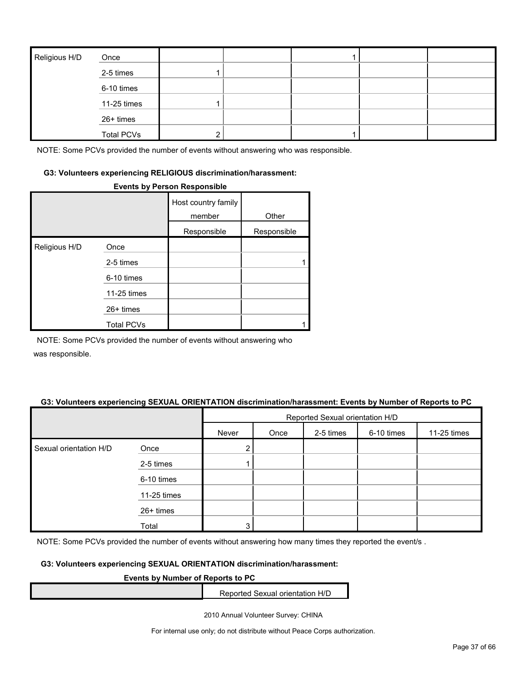| Religious H/D | Once              |   |  |  |
|---------------|-------------------|---|--|--|
|               | 2-5 times         |   |  |  |
|               | 6-10 times        |   |  |  |
|               | 11-25 times       |   |  |  |
|               | 26+ times         |   |  |  |
|               | <b>Total PCVs</b> | 2 |  |  |

#### **G3: Volunteers experiencing RELIGIOUS discrimination/harassment:**

#### **Events by Person Responsible**

|               |                   | Host country family<br>member | Other       |
|---------------|-------------------|-------------------------------|-------------|
|               |                   | Responsible                   | Responsible |
| Religious H/D | Once              |                               |             |
|               | 2-5 times         |                               |             |
|               | 6-10 times        |                               |             |
|               | 11-25 times       |                               |             |
|               | $26+$ times       |                               |             |
|               | <b>Total PCVs</b> |                               |             |

NOTE: Some PCVs provided the number of events without answering who

was responsible.

#### **G3: Volunteers experiencing SEXUAL ORIENTATION discrimination/harassment: Events by Number of Reports to PC**

|                        |             | Reported Sexual orientation H/D |      |           |            |             |  |  |
|------------------------|-------------|---------------------------------|------|-----------|------------|-------------|--|--|
|                        |             | Never                           | Once | 2-5 times | 6-10 times | 11-25 times |  |  |
| Sexual orientation H/D | Once        | $\overline{2}$                  |      |           |            |             |  |  |
|                        | 2-5 times   |                                 |      |           |            |             |  |  |
|                        | 6-10 times  |                                 |      |           |            |             |  |  |
|                        | 11-25 times |                                 |      |           |            |             |  |  |
|                        | 26+ times   |                                 |      |           |            |             |  |  |
|                        | Total       | 3                               |      |           |            |             |  |  |

NOTE: Some PCVs provided the number of events without answering how many times they reported the event/s.

#### **G3: Volunteers experiencing SEXUAL ORIENTATION discrimination/harassment:**

#### **Events by Number of Reports to PC**

Reported Sexual orientation H/D

2010 Annual Volunteer Survey: CHINA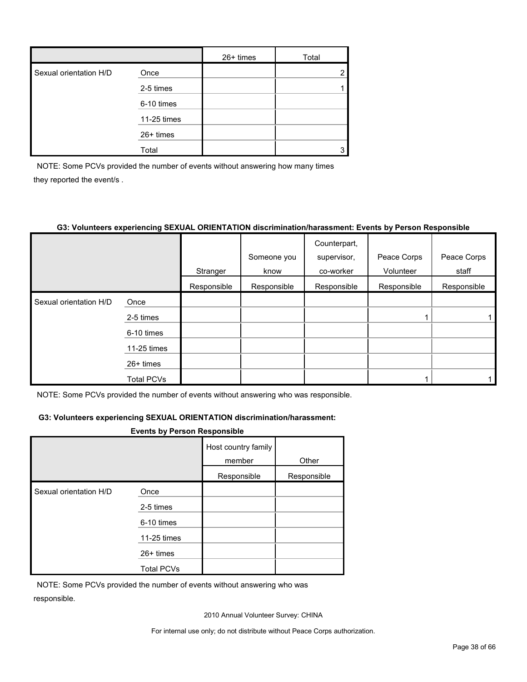|                        |             | $26+$ times | Total |
|------------------------|-------------|-------------|-------|
| Sexual orientation H/D | Once        |             | ◠     |
|                        | 2-5 times   |             |       |
|                        | 6-10 times  |             |       |
|                        | 11-25 times |             |       |
|                        | 26+ times   |             |       |
|                        | Total       |             |       |

NOTE: Some PCVs provided the number of events without answering how many times they reported the event/s .

#### **G3: Volunteers experiencing SEXUAL ORIENTATION discrimination/harassment: Events by Person Responsible**

|                        |                   |             |             | Counterpart, |             |             |
|------------------------|-------------------|-------------|-------------|--------------|-------------|-------------|
|                        |                   |             | Someone you | supervisor,  | Peace Corps | Peace Corps |
|                        |                   | Stranger    | know        | co-worker    | Volunteer   | staff       |
|                        |                   | Responsible | Responsible | Responsible  | Responsible | Responsible |
| Sexual orientation H/D | Once              |             |             |              |             |             |
|                        | 2-5 times         |             |             |              |             |             |
|                        | 6-10 times        |             |             |              |             |             |
|                        | 11-25 times       |             |             |              |             |             |
|                        | 26+ times         |             |             |              |             |             |
|                        | <b>Total PCVs</b> |             |             |              |             |             |

NOTE: Some PCVs provided the number of events without answering who was responsible.

#### **G3: Volunteers experiencing SEXUAL ORIENTATION discrimination/harassment:**

#### **Events by Person Responsible**

|                        |                   | Host country family<br>member | Other       |
|------------------------|-------------------|-------------------------------|-------------|
|                        |                   | Responsible                   | Responsible |
| Sexual orientation H/D | Once              |                               |             |
|                        | 2-5 times         |                               |             |
|                        | 6-10 times        |                               |             |
|                        | 11-25 times       |                               |             |
|                        | $26+$ times       |                               |             |
|                        | <b>Total PCVs</b> |                               |             |

NOTE: Some PCVs provided the number of events without answering who was responsible.

2010 Annual Volunteer Survey: CHINA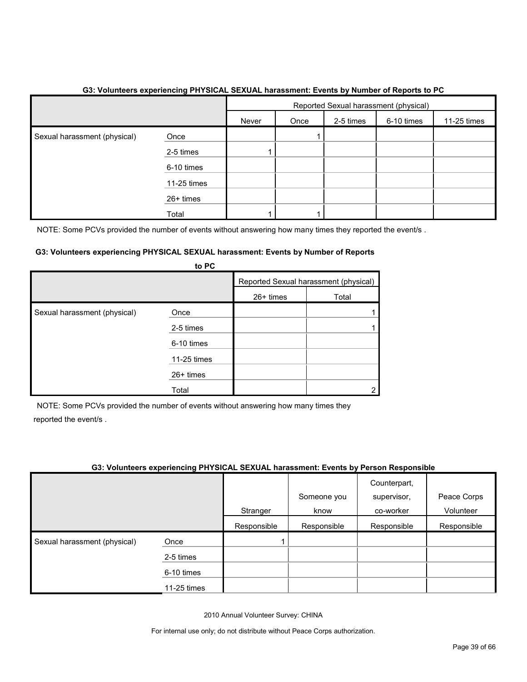|                              |             | Reported Sexual harassment (physical) |      |           |            |             |
|------------------------------|-------------|---------------------------------------|------|-----------|------------|-------------|
|                              |             | Never                                 | Once | 2-5 times | 6-10 times | 11-25 times |
| Sexual harassment (physical) | Once        |                                       |      |           |            |             |
|                              | 2-5 times   |                                       |      |           |            |             |
|                              | 6-10 times  |                                       |      |           |            |             |
|                              | 11-25 times |                                       |      |           |            |             |
|                              | 26+ times   |                                       |      |           |            |             |
|                              | Total       |                                       |      |           |            |             |

#### **G3: Volunteers experiencing PHYSICAL SEXUAL harassment: Events by Number of Reports to PC**

NOTE: Some PCVs provided the number of events without answering how many times they reported the event/s.

#### **G3: Volunteers experiencing PHYSICAL SEXUAL harassment: Events by Number of Reports**

|                              | to PC       |           |                                       |
|------------------------------|-------------|-----------|---------------------------------------|
|                              |             |           | Reported Sexual harassment (physical) |
|                              |             | 26+ times | Total                                 |
| Sexual harassment (physical) | Once        |           |                                       |
|                              | 2-5 times   |           |                                       |
|                              | 6-10 times  |           |                                       |
|                              | 11-25 times |           |                                       |
|                              | 26+ times   |           |                                       |
|                              | Total       |           |                                       |

NOTE: Some PCVs provided the number of events without answering how many times they reported the event/s .

#### **G3: Volunteers experiencing PHYSICAL SEXUAL harassment: Events by Person Responsible**

|                              |             |             | Someone you | Counterpart,<br>supervisor, | Peace Corps |
|------------------------------|-------------|-------------|-------------|-----------------------------|-------------|
|                              |             | Stranger    | know        | co-worker                   | Volunteer   |
|                              |             | Responsible | Responsible | Responsible                 | Responsible |
| Sexual harassment (physical) | Once        |             |             |                             |             |
|                              | 2-5 times   |             |             |                             |             |
|                              | 6-10 times  |             |             |                             |             |
|                              | 11-25 times |             |             |                             |             |

2010 Annual Volunteer Survey: CHINA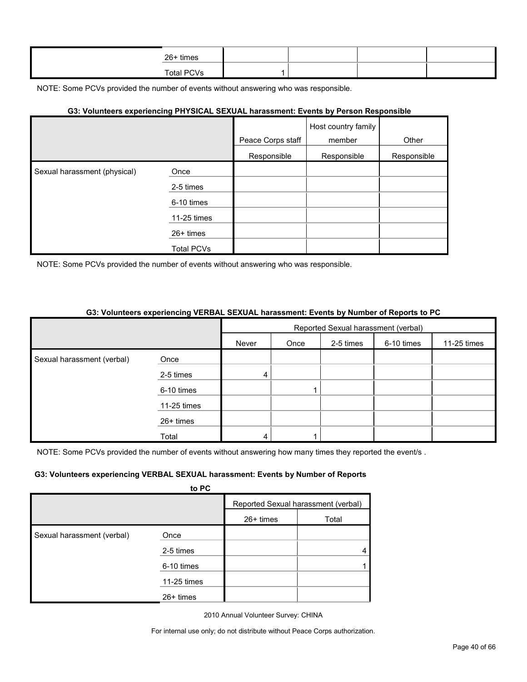| 26+ times  |  |  |
|------------|--|--|
| Total PCVs |  |  |

#### **G3: Volunteers experiencing PHYSICAL SEXUAL harassment: Events by Person Responsible**

|                              |                   |                   | Host country family |             |
|------------------------------|-------------------|-------------------|---------------------|-------------|
|                              |                   | Peace Corps staff | member              | Other       |
|                              |                   | Responsible       | Responsible         | Responsible |
| Sexual harassment (physical) | Once              |                   |                     |             |
|                              | 2-5 times         |                   |                     |             |
|                              | 6-10 times        |                   |                     |             |
|                              | 11-25 times       |                   |                     |             |
|                              | 26+ times         |                   |                     |             |
|                              | <b>Total PCVs</b> |                   |                     |             |

NOTE: Some PCVs provided the number of events without answering who was responsible.

#### **G3: Volunteers experiencing VERBAL SEXUAL harassment: Events by Number of Reports to PC**

|                            |             | Reported Sexual harassment (verbal) |      |           |            |             |
|----------------------------|-------------|-------------------------------------|------|-----------|------------|-------------|
|                            |             | Never                               | Once | 2-5 times | 6-10 times | 11-25 times |
| Sexual harassment (verbal) | Once        |                                     |      |           |            |             |
|                            | 2-5 times   | 4                                   |      |           |            |             |
|                            | 6-10 times  |                                     |      |           |            |             |
|                            | 11-25 times |                                     |      |           |            |             |
|                            | 26+ times   |                                     |      |           |            |             |
|                            | Total       | 4                                   |      |           |            |             |

NOTE: Some PCVs provided the number of events without answering how many times they reported the event/s.

#### **G3: Volunteers experiencing VERBAL SEXUAL harassment: Events by Number of Reports**

|                            | to PC       |             |                                     |
|----------------------------|-------------|-------------|-------------------------------------|
|                            |             |             | Reported Sexual harassment (verbal) |
|                            |             | $26+$ times | Total                               |
| Sexual harassment (verbal) | Once        |             |                                     |
|                            | 2-5 times   |             |                                     |
|                            | 6-10 times  |             |                                     |
|                            | 11-25 times |             |                                     |
|                            | $26+$ times |             |                                     |

2010 Annual Volunteer Survey: CHINA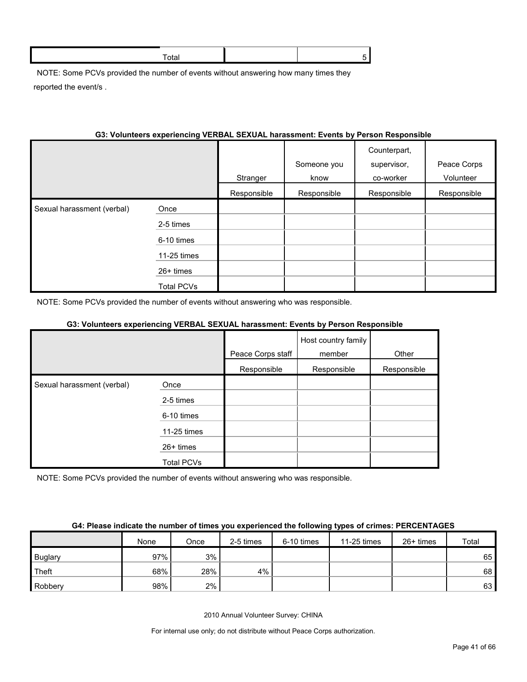NOTE: Some PCVs provided the number of events without answering how many times they reported the event/s .

#### **G3: Volunteers experiencing VERBAL SEXUAL harassment: Events by Person Responsible**

|                            |                   | Stranger    | Someone you<br>know | Counterpart,<br>supervisor,<br>co-worker | Peace Corps<br>Volunteer |
|----------------------------|-------------------|-------------|---------------------|------------------------------------------|--------------------------|
|                            |                   | Responsible | Responsible         | Responsible                              | Responsible              |
| Sexual harassment (verbal) | Once              |             |                     |                                          |                          |
|                            | 2-5 times         |             |                     |                                          |                          |
|                            | 6-10 times        |             |                     |                                          |                          |
|                            | 11-25 times       |             |                     |                                          |                          |
|                            | $26+$ times       |             |                     |                                          |                          |
|                            | <b>Total PCVs</b> |             |                     |                                          |                          |

NOTE: Some PCVs provided the number of events without answering who was responsible.

#### **G3: Volunteers experiencing VERBAL SEXUAL harassment: Events by Person Responsible**

|                            |             |                   | Host country family |             |
|----------------------------|-------------|-------------------|---------------------|-------------|
|                            |             | Peace Corps staff | member              | Other       |
|                            |             | Responsible       | Responsible         | Responsible |
| Sexual harassment (verbal) | Once        |                   |                     |             |
|                            | 2-5 times   |                   |                     |             |
|                            | 6-10 times  |                   |                     |             |
|                            | 11-25 times |                   |                     |             |
|                            | $26+$ times |                   |                     |             |
|                            | Total PCVs  |                   |                     |             |

NOTE: Some PCVs provided the number of events without answering who was responsible.

#### **G4: Please indicate the number of times you experienced the following types of crimes: PERCENTAGES**

|                | None | Once | 2-5 times | 6-10 times | 11-25 times | 26+ times | Total |
|----------------|------|------|-----------|------------|-------------|-----------|-------|
| <b>Buglary</b> | 97%  | 3%   |           |            |             |           | 65    |
| Theft          | 68%  | 28%  | $4\%$     |            |             |           | 68    |
| Robbery        | 98%  | 2%   |           |            |             |           | 63    |

2010 Annual Volunteer Survey: CHINA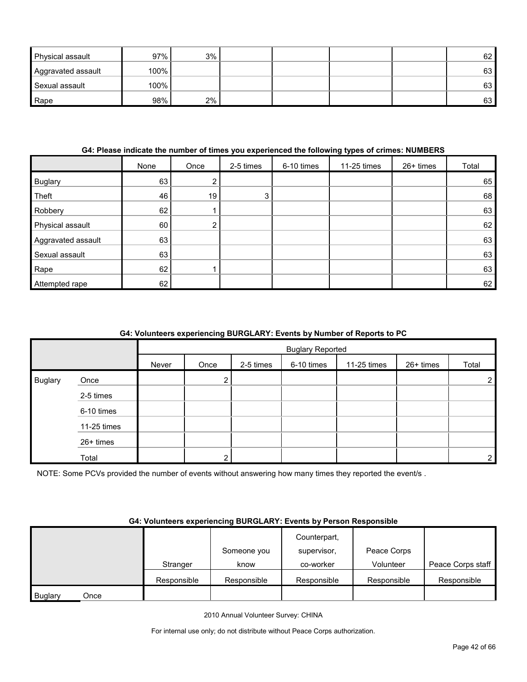| <b>Physical assault</b> | 97%  | 3% |  |  | 62 |
|-------------------------|------|----|--|--|----|
| Aggravated assault      | 100% |    |  |  | 63 |
| Sexual assault          | 100% |    |  |  | 63 |
| Rape                    | 98%  | 2% |  |  | 63 |

#### **G4: Please indicate the number of times you experienced the following types of crimes: NUMBERS**

|                    | None | Once | 2-5 times | 6-10 times | 11-25 times | 26+ times | Total |
|--------------------|------|------|-----------|------------|-------------|-----------|-------|
| Buglary            | 63   |      |           |            |             |           | 65    |
| Theft              | 46   | 19   | 3         |            |             |           | 68    |
| Robbery            | 62   |      |           |            |             |           | 63    |
| Physical assault   | 60   | ົ    |           |            |             |           | 62    |
| Aggravated assault | 63   |      |           |            |             |           | 63    |
| Sexual assault     | 63   |      |           |            |             |           | 63    |
| Rape               | 62   |      |           |            |             |           | 63    |
| Attempted rape     | 62   |      |           |            |             |           | 62    |

#### **G4: Volunteers experiencing BURGLARY: Events by Number of Reports to PC**

|                |             |       | <b>Buglary Reported</b> |           |            |             |           |                |  |
|----------------|-------------|-------|-------------------------|-----------|------------|-------------|-----------|----------------|--|
|                |             | Never | Once                    | 2-5 times | 6-10 times | 11-25 times | 26+ times | Total          |  |
| <b>Buglary</b> | Once        |       | າ                       |           |            |             |           | $\overline{2}$ |  |
|                | 2-5 times   |       |                         |           |            |             |           |                |  |
|                | 6-10 times  |       |                         |           |            |             |           |                |  |
|                | 11-25 times |       |                         |           |            |             |           |                |  |
|                | 26+ times   |       |                         |           |            |             |           |                |  |
|                | Total       |       | ົ                       |           |            |             |           | $\overline{2}$ |  |

NOTE: Some PCVs provided the number of events without answering how many times they reported the event/s .

#### **G4: Volunteers experiencing BURGLARY: Events by Person Responsible**

|                |      |             |             | Counterpart, |             |                   |
|----------------|------|-------------|-------------|--------------|-------------|-------------------|
|                |      |             | Someone you | supervisor.  | Peace Corps |                   |
|                |      | Stranger    | know        | co-worker    | Volunteer   | Peace Corps staff |
|                |      | Responsible | Responsible | Responsible  | Responsible | Responsible       |
| <b>Buglary</b> | Once |             |             |              |             |                   |

2010 Annual Volunteer Survey: CHINA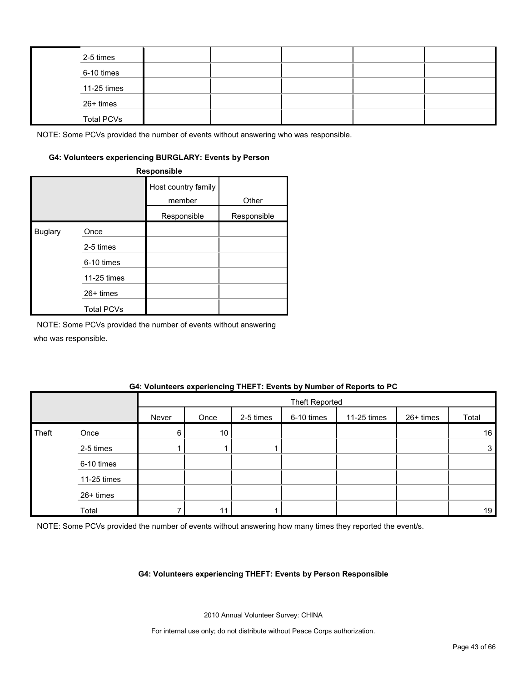| 2-5 times         |  |  |  |
|-------------------|--|--|--|
| 6-10 times        |  |  |  |
| $11-25$ times     |  |  |  |
| 26+ times         |  |  |  |
| <b>Total PCVs</b> |  |  |  |

#### **G4: Volunteers experiencing BURGLARY: Events by Person**

**Responsible**

|                |                   | Host country family<br>member | Other       |
|----------------|-------------------|-------------------------------|-------------|
|                |                   | Responsible                   | Responsible |
| <b>Buglary</b> | Once              |                               |             |
|                | 2-5 times         |                               |             |
|                | 6-10 times        |                               |             |
|                | 11-25 times       |                               |             |
|                | 26+ times         |                               |             |
|                | <b>Total PCVs</b> |                               |             |

NOTE: Some PCVs provided the number of events without answering

who was responsible.

#### **G4: Volunteers experiencing THEFT: Events by Number of Reports to PC**

|       |             |       | <b>Theft Reported</b> |           |            |             |           |       |  |
|-------|-------------|-------|-----------------------|-----------|------------|-------------|-----------|-------|--|
|       |             | Never | Once                  | 2-5 times | 6-10 times | 11-25 times | 26+ times | Total |  |
| Theft | Once        | 6     | 10 <sup>°</sup>       |           |            |             |           | 16    |  |
|       | 2-5 times   |       |                       |           |            |             |           | 3     |  |
|       | 6-10 times  |       |                       |           |            |             |           |       |  |
|       | 11-25 times |       |                       |           |            |             |           |       |  |
|       | 26+ times   |       |                       |           |            |             |           |       |  |
|       | Total       |       |                       |           |            |             |           | 19    |  |

NOTE: Some PCVs provided the number of events without answering how many times they reported the event/s.

#### **G4: Volunteers experiencing THEFT: Events by Person Responsible**

2010 Annual Volunteer Survey: CHINA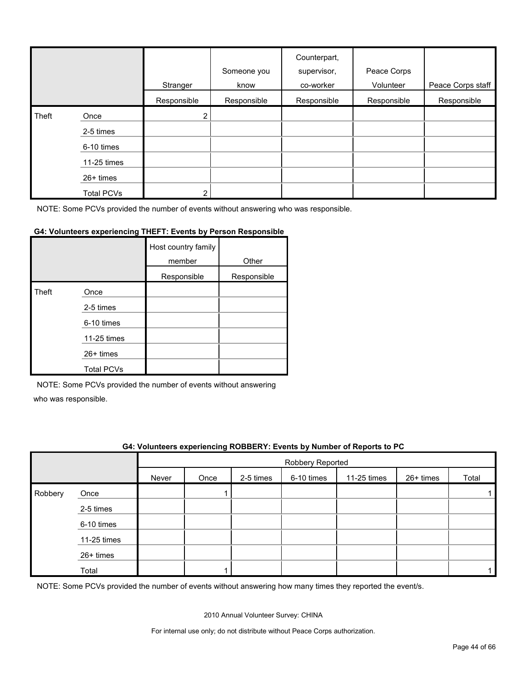|       |                   | Stranger       | Someone you<br>know | Counterpart,<br>supervisor,<br>co-worker | Peace Corps<br>Volunteer | Peace Corps staff |
|-------|-------------------|----------------|---------------------|------------------------------------------|--------------------------|-------------------|
|       |                   | Responsible    | Responsible         | Responsible                              | Responsible              | Responsible       |
| Theft | Once              | $\overline{2}$ |                     |                                          |                          |                   |
|       | 2-5 times         |                |                     |                                          |                          |                   |
|       | 6-10 times        |                |                     |                                          |                          |                   |
|       | 11-25 times       |                |                     |                                          |                          |                   |
|       | $26+$ times       |                |                     |                                          |                          |                   |
|       | <b>Total PCVs</b> | $\overline{2}$ |                     |                                          |                          |                   |

#### **G4: Volunteers experiencing THEFT: Events by Person Responsible**

|       |                   | Host country family<br>member | Other       |
|-------|-------------------|-------------------------------|-------------|
|       |                   | Responsible                   | Responsible |
| Theft | Once              |                               |             |
|       | 2-5 times         |                               |             |
|       | 6-10 times        |                               |             |
|       | 11-25 times       |                               |             |
|       | $26+$ times       |                               |             |
|       | <b>Total PCVs</b> |                               |             |

NOTE: Some PCVs provided the number of events without answering

who was responsible.

#### **G4: Volunteers experiencing ROBBERY: Events by Number of Reports to PC**

|         |             |       | Robbery Reported |           |            |             |           |       |  |
|---------|-------------|-------|------------------|-----------|------------|-------------|-----------|-------|--|
|         |             | Never | Once             | 2-5 times | 6-10 times | 11-25 times | 26+ times | Total |  |
| Robbery | Once        |       |                  |           |            |             |           |       |  |
|         | 2-5 times   |       |                  |           |            |             |           |       |  |
|         | 6-10 times  |       |                  |           |            |             |           |       |  |
|         | 11-25 times |       |                  |           |            |             |           |       |  |
|         | 26+ times   |       |                  |           |            |             |           |       |  |
|         | Total       |       |                  |           |            |             |           |       |  |

NOTE: Some PCVs provided the number of events without answering how many times they reported the event/s.

2010 Annual Volunteer Survey: CHINA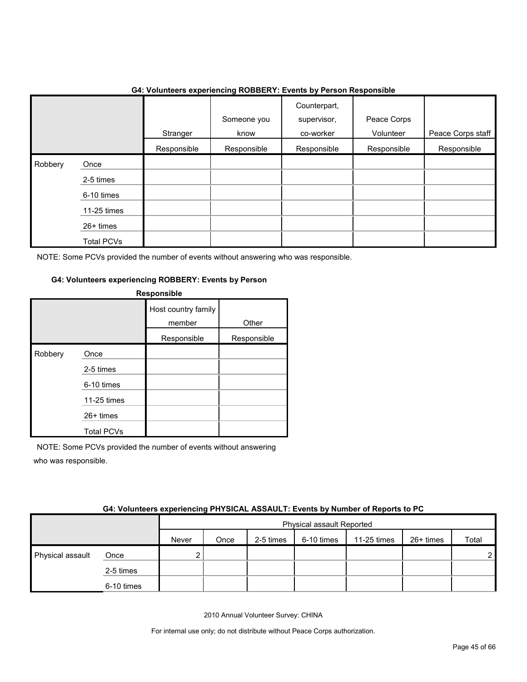|         |                   | .           | $\tilde{\phantom{a}}$ | .<br>.                                   | .                        |                   |
|---------|-------------------|-------------|-----------------------|------------------------------------------|--------------------------|-------------------|
|         |                   | Stranger    | Someone you<br>know   | Counterpart,<br>supervisor,<br>co-worker | Peace Corps<br>Volunteer | Peace Corps staff |
|         |                   | Responsible | Responsible           | Responsible                              | Responsible              | Responsible       |
| Robbery | Once              |             |                       |                                          |                          |                   |
|         | 2-5 times         |             |                       |                                          |                          |                   |
|         | 6-10 times        |             |                       |                                          |                          |                   |
|         | 11-25 times       |             |                       |                                          |                          |                   |
|         | 26+ times         |             |                       |                                          |                          |                   |
|         | <b>Total PCVs</b> |             |                       |                                          |                          |                   |

#### **G4: Volunteers experiencing ROBBERY: Events by Person Responsible**

NOTE: Some PCVs provided the number of events without answering who was responsible.

#### **G4: Volunteers experiencing ROBBERY: Events by Person**

|         |                   | <b>Responsible</b>            |             |
|---------|-------------------|-------------------------------|-------------|
|         |                   | Host country family<br>member | Other       |
|         |                   | Responsible                   | Responsible |
| Robbery | Once              |                               |             |
|         | 2-5 times         |                               |             |
|         | 6-10 times        |                               |             |
|         | 11-25 times       |                               |             |
|         | $26+$ times       |                               |             |
|         | <b>Total PCVs</b> |                               |             |

NOTE: Some PCVs provided the number of events without answering who was responsible.

|                  | <b>04. VUILIIGEIS CAPEHENGING FITTOIOAL AJJAULT. LYGHIS DY NUMBEL UI NEPULIS IU F U</b> |       |                                  |           |            |             |           |                |  |
|------------------|-----------------------------------------------------------------------------------------|-------|----------------------------------|-----------|------------|-------------|-----------|----------------|--|
|                  |                                                                                         |       | <b>Physical assault Reported</b> |           |            |             |           |                |  |
|                  |                                                                                         | Never | Once                             | 2-5 times | 6-10 times | 11-25 times | 26+ times | Total          |  |
| Physical assault | Once                                                                                    |       |                                  |           |            |             |           | 2 <sub>1</sub> |  |
|                  | 2-5 times                                                                               |       |                                  |           |            |             |           |                |  |
|                  | 6-10 times                                                                              |       |                                  |           |            |             |           |                |  |

#### **G4: Volunteers experiencing PHYSICAL ASSAULT: Events by Number of Reports to PC**

2010 Annual Volunteer Survey: CHINA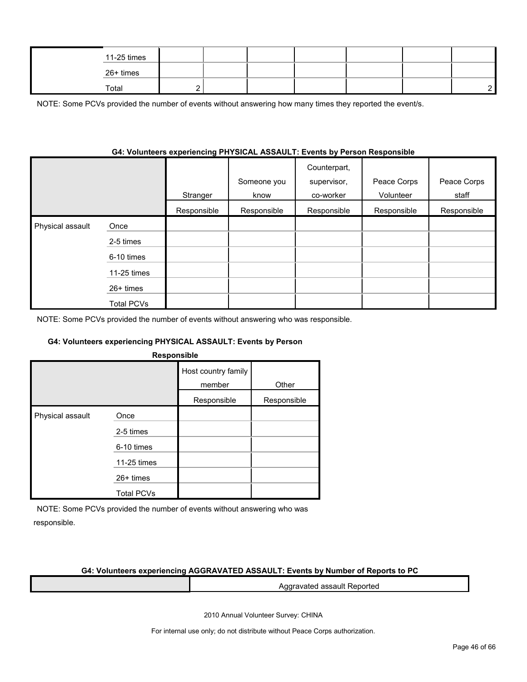| 11-25 times |  |  |  |  |
|-------------|--|--|--|--|
| 26+ times   |  |  |  |  |
| Total       |  |  |  |  |

NOTE: Some PCVs provided the number of events without answering how many times they reported the event/s.

#### **G4: Volunteers experiencing PHYSICAL ASSAULT: Events by Person Responsible**

|                  |                   | Stranger    | Someone you<br>know | Counterpart,<br>supervisor,<br>co-worker | Peace Corps<br>Volunteer | Peace Corps<br>staff |
|------------------|-------------------|-------------|---------------------|------------------------------------------|--------------------------|----------------------|
|                  |                   | Responsible | Responsible         | Responsible                              | Responsible              | Responsible          |
| Physical assault | Once              |             |                     |                                          |                          |                      |
|                  | 2-5 times         |             |                     |                                          |                          |                      |
|                  | 6-10 times        |             |                     |                                          |                          |                      |
|                  | 11-25 times       |             |                     |                                          |                          |                      |
|                  | $26+$ times       |             |                     |                                          |                          |                      |
|                  | <b>Total PCVs</b> |             |                     |                                          |                          |                      |

NOTE: Some PCVs provided the number of events without answering who was responsible.

#### **G4: Volunteers experiencing PHYSICAL ASSAULT: Events by Person**

| <b>Responsible</b> |  |  |
|--------------------|--|--|
|                    |  |  |
|                    |  |  |

|                  |                   | Host country family<br>member | Other       |  |
|------------------|-------------------|-------------------------------|-------------|--|
|                  |                   | Responsible                   | Responsible |  |
| Physical assault | Once              |                               |             |  |
|                  | 2-5 times         |                               |             |  |
|                  | 6-10 times        |                               |             |  |
|                  | 11-25 times       |                               |             |  |
|                  | $26+$ times       |                               |             |  |
|                  | <b>Total PCVs</b> |                               |             |  |

NOTE: Some PCVs provided the number of events without answering who was responsible.

#### **G4: Volunteers experiencing AGGRAVATED ASSAULT: Events by Number of Reports to PC**

Aggravated assault Reported

2010 Annual Volunteer Survey: CHINA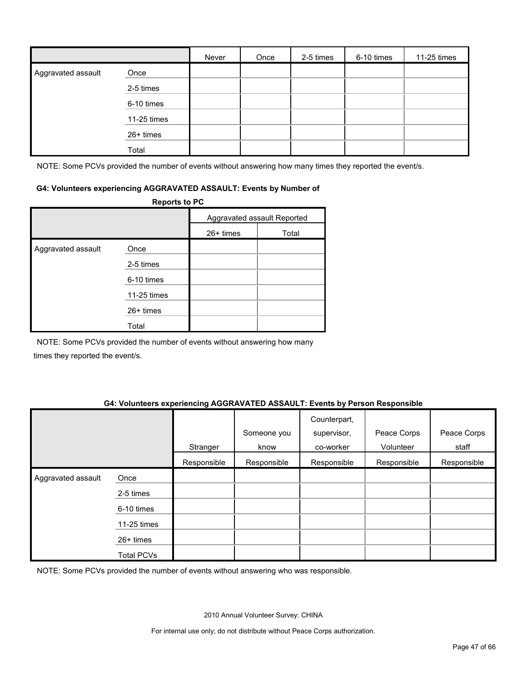|                    |             | Never | Once | 2-5 times | 6-10 times | 11-25 times |
|--------------------|-------------|-------|------|-----------|------------|-------------|
| Aggravated assault | Once        |       |      |           |            |             |
|                    | 2-5 times   |       |      |           |            |             |
|                    | 6-10 times  |       |      |           |            |             |
|                    | 11-25 times |       |      |           |            |             |
|                    | 26+ times   |       |      |           |            |             |
|                    | Total       |       |      |           |            |             |

NOTE: Some PCVs provided the number of events without answering how many times they reported the event/s.

#### **G4: Volunteers experiencing AGGRAVATED ASSAULT: Events by Number of**

|                    | <b>Reports to PC</b> |             |                             |
|--------------------|----------------------|-------------|-----------------------------|
|                    |                      |             | Aggravated assault Reported |
|                    |                      | $26+$ times | Total                       |
| Aggravated assault | Once                 |             |                             |
|                    | 2-5 times            |             |                             |
|                    | 6-10 times           |             |                             |
|                    | 11-25 times          |             |                             |
|                    | $26+$ times          |             |                             |
|                    | Total                |             |                             |

NOTE: Some PCVs provided the number of events without answering how many times they reported the event/s.

#### **G4: Volunteers experiencing AGGRAVATED ASSAULT: Events by Person Responsible**

|                    |                   | Stranger    | Someone you<br>know | Counterpart,<br>supervisor,<br>co-worker | Peace Corps<br>Volunteer | Peace Corps<br>staff |
|--------------------|-------------------|-------------|---------------------|------------------------------------------|--------------------------|----------------------|
|                    |                   | Responsible | Responsible         | Responsible                              | Responsible              | Responsible          |
| Aggravated assault | Once              |             |                     |                                          |                          |                      |
|                    | 2-5 times         |             |                     |                                          |                          |                      |
|                    | 6-10 times        |             |                     |                                          |                          |                      |
|                    | 11-25 times       |             |                     |                                          |                          |                      |
|                    | $26+$ times       |             |                     |                                          |                          |                      |
|                    | <b>Total PCVs</b> |             |                     |                                          |                          |                      |

NOTE: Some PCVs provided the number of events without answering who was responsible.

2010 Annual Volunteer Survey: CHINA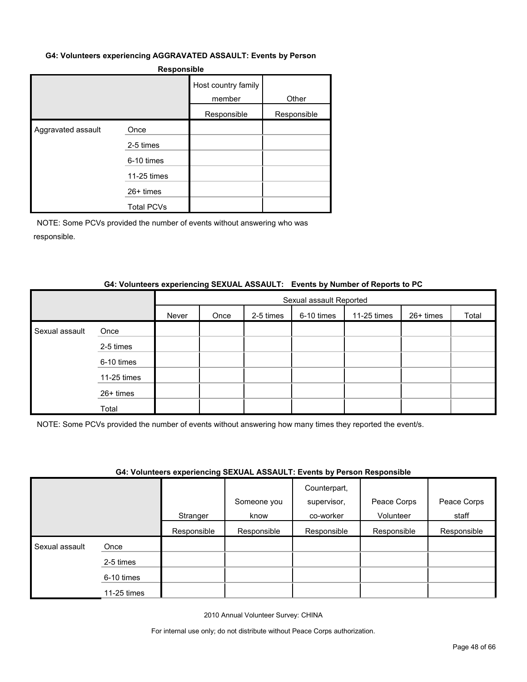#### **G4: Volunteers experiencing AGGRAVATED ASSAULT: Events by Person**

|                    | <b>Responsible</b> |                               |             |  |  |  |  |  |
|--------------------|--------------------|-------------------------------|-------------|--|--|--|--|--|
|                    |                    | Host country family<br>member | Other       |  |  |  |  |  |
|                    |                    | Responsible                   | Responsible |  |  |  |  |  |
| Aggravated assault | Once               |                               |             |  |  |  |  |  |
|                    | 2-5 times          |                               |             |  |  |  |  |  |
|                    | 6-10 times         |                               |             |  |  |  |  |  |
|                    | 11-25 times        |                               |             |  |  |  |  |  |
|                    | $26+$ times        |                               |             |  |  |  |  |  |
|                    | <b>Total PCVs</b>  |                               |             |  |  |  |  |  |

NOTE: Some PCVs provided the number of events without answering who was responsible.

#### **G4: Volunteers experiencing SEXUAL ASSAULT: Events by Number of Reports to PC**

|                |             |                                                                      | Sexual assault Reported |  |  |  |  |  |  |  |
|----------------|-------------|----------------------------------------------------------------------|-------------------------|--|--|--|--|--|--|--|
|                |             | 2-5 times<br>6-10 times<br>11-25 times<br>26+ times<br>Never<br>Once |                         |  |  |  |  |  |  |  |
| Sexual assault | Once        |                                                                      |                         |  |  |  |  |  |  |  |
|                | 2-5 times   |                                                                      |                         |  |  |  |  |  |  |  |
|                | 6-10 times  |                                                                      |                         |  |  |  |  |  |  |  |
|                | 11-25 times |                                                                      |                         |  |  |  |  |  |  |  |
|                | 26+ times   |                                                                      |                         |  |  |  |  |  |  |  |
|                | Total       |                                                                      |                         |  |  |  |  |  |  |  |

NOTE: Some PCVs provided the number of events without answering how many times they reported the event/s.

#### **G4: Volunteers experiencing SEXUAL ASSAULT: Events by Person Responsible**

|                |             |             |             | Counterpart, |             |             |
|----------------|-------------|-------------|-------------|--------------|-------------|-------------|
|                |             |             | Someone you | supervisor,  | Peace Corps | Peace Corps |
|                |             | Stranger    | know        | co-worker    | Volunteer   | staff       |
|                |             | Responsible | Responsible | Responsible  | Responsible | Responsible |
| Sexual assault | Once        |             |             |              |             |             |
|                | 2-5 times   |             |             |              |             |             |
|                | 6-10 times  |             |             |              |             |             |
|                | 11-25 times |             |             |              |             |             |

2010 Annual Volunteer Survey: CHINA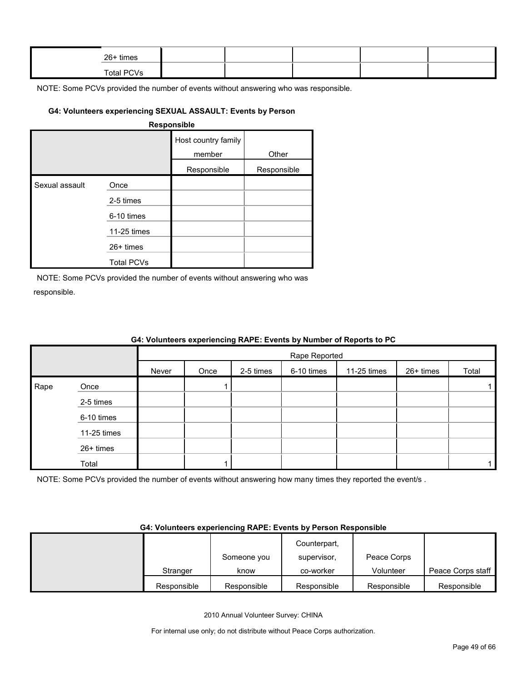| $26+$ times |  |  |  |
|-------------|--|--|--|
| Total PCVs  |  |  |  |

### **G4: Volunteers experiencing SEXUAL ASSAULT: Events by Person**

#### **Responsible**

|                |                   | Host country family<br>member | Other       |
|----------------|-------------------|-------------------------------|-------------|
|                |                   | Responsible                   | Responsible |
| Sexual assault | Once              |                               |             |
|                | 2-5 times         |                               |             |
|                | 6-10 times        |                               |             |
|                | 11-25 times       |                               |             |
|                | $26+$ times       |                               |             |
|                | <b>Total PCVs</b> |                               |             |

NOTE: Some PCVs provided the number of events without answering who was responsible.

|      |             |       | Rape Reported |           |            |             |           |       |  |
|------|-------------|-------|---------------|-----------|------------|-------------|-----------|-------|--|
|      |             | Never | Once          | 2-5 times | 6-10 times | 11-25 times | 26+ times | Total |  |
| Rape | Once        |       |               |           |            |             |           |       |  |
|      | 2-5 times   |       |               |           |            |             |           |       |  |
|      | 6-10 times  |       |               |           |            |             |           |       |  |
|      | 11-25 times |       |               |           |            |             |           |       |  |
|      | 26+ times   |       |               |           |            |             |           |       |  |
|      | Total       |       |               |           |            |             |           |       |  |

#### **G4: Volunteers experiencing RAPE: Events by Number of Reports to PC**

NOTE: Some PCVs provided the number of events without answering how many times they reported the event/s .

#### **G4: Volunteers experiencing RAPE: Events by Person Responsible**

|             |             | Counterpart, |             |                   |
|-------------|-------------|--------------|-------------|-------------------|
|             | Someone you | supervisor.  | Peace Corps |                   |
| Stranger    | know        | co-worker    | Volunteer   | Peace Corps staff |
| Responsible | Responsible | Responsible  | Responsible | Responsible       |

2010 Annual Volunteer Survey: CHINA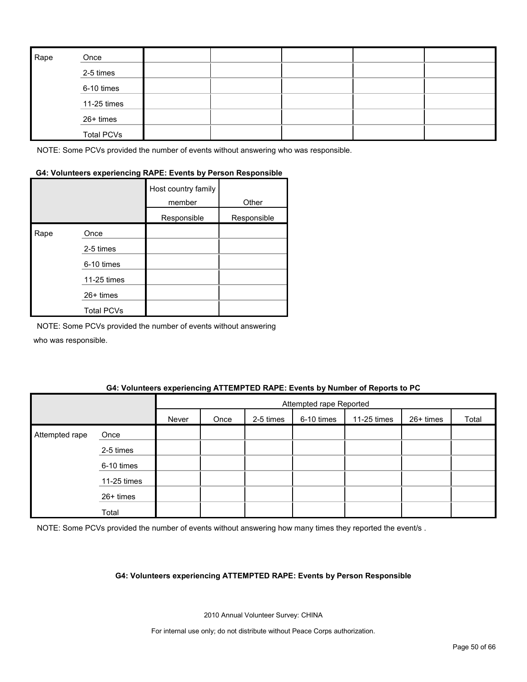| Rape | Once              |  |  |  |
|------|-------------------|--|--|--|
|      | 2-5 times         |  |  |  |
|      | 6-10 times        |  |  |  |
|      | 11-25 times       |  |  |  |
|      | 26+ times         |  |  |  |
|      | <b>Total PCVs</b> |  |  |  |

### **G4: Volunteers experiencing RAPE: Events by Person Responsible**

|      |                   | Host country family<br>member | Other       |
|------|-------------------|-------------------------------|-------------|
|      |                   | Responsible                   | Responsible |
| Rape | Once              |                               |             |
|      | 2-5 times         |                               |             |
|      | 6-10 times        |                               |             |
|      | 11-25 times       |                               |             |
|      | 26+ times         |                               |             |
|      | <b>Total PCVs</b> |                               |             |

NOTE: Some PCVs provided the number of events without answering who was responsible.

#### **G4: Volunteers experiencing ATTEMPTED RAPE: Events by Number of Reports to PC**

|                |             |       | Attempted rape Reported |           |            |             |           |       |
|----------------|-------------|-------|-------------------------|-----------|------------|-------------|-----------|-------|
|                |             | Never | Once                    | 2-5 times | 6-10 times | 11-25 times | 26+ times | Total |
| Attempted rape | Once        |       |                         |           |            |             |           |       |
|                | 2-5 times   |       |                         |           |            |             |           |       |
|                | 6-10 times  |       |                         |           |            |             |           |       |
|                | 11-25 times |       |                         |           |            |             |           |       |
|                | 26+ times   |       |                         |           |            |             |           |       |
|                | Total       |       |                         |           |            |             |           |       |

NOTE: Some PCVs provided the number of events without answering how many times they reported the event/s .

#### **G4: Volunteers experiencing ATTEMPTED RAPE: Events by Person Responsible**

2010 Annual Volunteer Survey: CHINA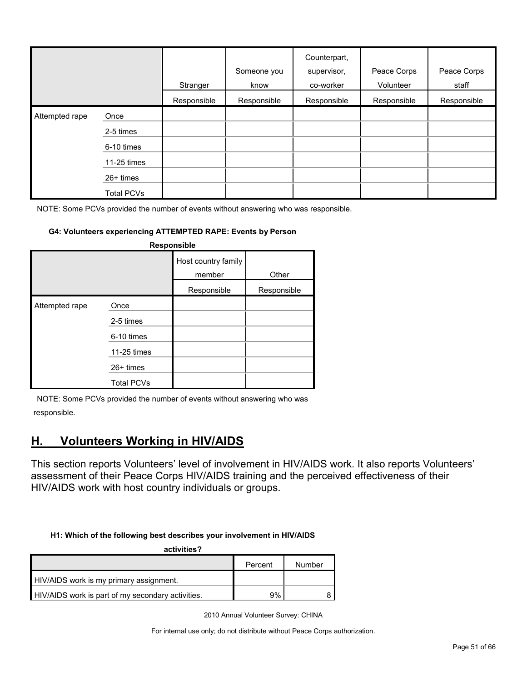|                |                   | Stranger    | Someone you<br>know | Counterpart,<br>supervisor,<br>co-worker | Peace Corps<br>Volunteer | Peace Corps<br>staff |
|----------------|-------------------|-------------|---------------------|------------------------------------------|--------------------------|----------------------|
|                |                   | Responsible | Responsible         | Responsible                              | Responsible              | Responsible          |
| Attempted rape | Once              |             |                     |                                          |                          |                      |
|                | 2-5 times         |             |                     |                                          |                          |                      |
|                | 6-10 times        |             |                     |                                          |                          |                      |
|                | 11-25 times       |             |                     |                                          |                          |                      |
|                | $26+$ times       |             |                     |                                          |                          |                      |
|                | <b>Total PCVs</b> |             |                     |                                          |                          |                      |

#### **G4: Volunteers experiencing ATTEMPTED RAPE: Events by Person**

| <b>Responsible</b> |                                                |                               |             |  |  |  |  |
|--------------------|------------------------------------------------|-------------------------------|-------------|--|--|--|--|
|                    |                                                | Host country family<br>member | Other       |  |  |  |  |
|                    |                                                | Responsible                   | Responsible |  |  |  |  |
| Attempted rape     | Once<br>2-5 times<br>6-10 times<br>11-25 times |                               |             |  |  |  |  |
|                    | $26+$ times<br><b>Total PCVs</b>               |                               |             |  |  |  |  |

NOTE: Some PCVs provided the number of events without answering who was responsible.

## <span id="page-50-0"></span>**H. Volunteers Working in HIV/AIDS**

This section reports Volunteers' level of involvement in HIV/AIDS work. It also reports Volunteers' assessment of their Peace Corps HIV/AIDS training and the perceived effectiveness of their HIV/AIDS work with host country individuals or groups.

#### **H1: Which of the following best describes your involvement in HIV/AIDS**

| activities?                                       |         |        |  |  |  |  |  |
|---------------------------------------------------|---------|--------|--|--|--|--|--|
|                                                   | Percent | Number |  |  |  |  |  |
| HIV/AIDS work is my primary assignment.           |         |        |  |  |  |  |  |
| HIV/AIDS work is part of my secondary activities. | 9%      |        |  |  |  |  |  |

2010 Annual Volunteer Survey: CHINA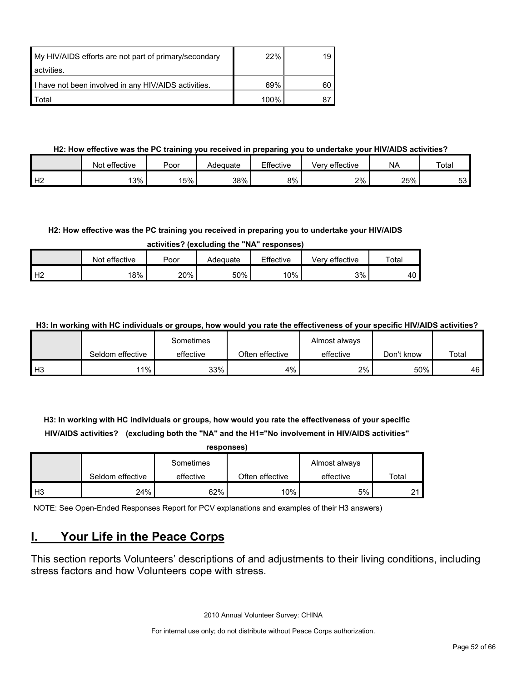| My HIV/AIDS efforts are not part of primary/secondary | 22%  | 19 |
|-------------------------------------------------------|------|----|
| actvities.                                            |      |    |
| I have not been involved in any HIV/AIDS activities.  | 69%  | 60 |
| Total                                                 | 100% |    |

#### **H2: How effective was the PC training you received in preparing you to undertake your HIV/AIDS activities?**

|                | Not effective | Poor | Adeɑuate | Effective | effective<br>Verv | <b>NA</b> | Total    |
|----------------|---------------|------|----------|-----------|-------------------|-----------|----------|
| H <sub>2</sub> | 13%           | 5%   | 38%      | 8%        | 2%                | 25%       | -0<br>ບບ |

#### **H2: How effective was the PC training you received in preparing you to undertake your HIV/AIDS**

**activities? (excluding the "NA" responses)**

|                | Not effective | Poor | Adequate | Effective | <sup>e</sup> effective<br>√erv | Total |
|----------------|---------------|------|----------|-----------|--------------------------------|-------|
| H <sub>2</sub> | 18%           | 20%  | 50%      | 10%       | 3%                             | 40    |

**H3: In working with HC individuals or groups, how would you rate the effectiveness of your specific HIV/AIDS activities?** 

|                |                  | Sometimes |                 | Almost always |            |       |
|----------------|------------------|-----------|-----------------|---------------|------------|-------|
|                | Seldom effective | effective | Often effective | effective     | Don't know | Total |
| H <sup>3</sup> | $11\%$           | 33%       | 4%              | 2%            | 50%        | 46    |

**H3: In working with HC individuals or groups, how would you rate the effectiveness of your specific HIV/AIDS activities? (excluding both the "NA" and the H1="No involvement in HIV/AIDS activities"** 

| responses)     |                  |           |                 |               |       |  |  |  |  |  |
|----------------|------------------|-----------|-----------------|---------------|-------|--|--|--|--|--|
|                |                  | Sometimes |                 | Almost always |       |  |  |  |  |  |
|                | Seldom effective | effective | Often effective | effective     | Total |  |  |  |  |  |
| H <sub>3</sub> | 24%              | 62%       | 10%             | 5%            |       |  |  |  |  |  |

NOTE: See Open-Ended Responses Report for PCV explanations and examples of their H3 answers)

## <span id="page-51-0"></span>**I. Your Life in the Peace Corps**

This section reports Volunteers' descriptions of and adjustments to their living conditions, including stress factors and how Volunteers cope with stress.

2010 Annual Volunteer Survey: CHINA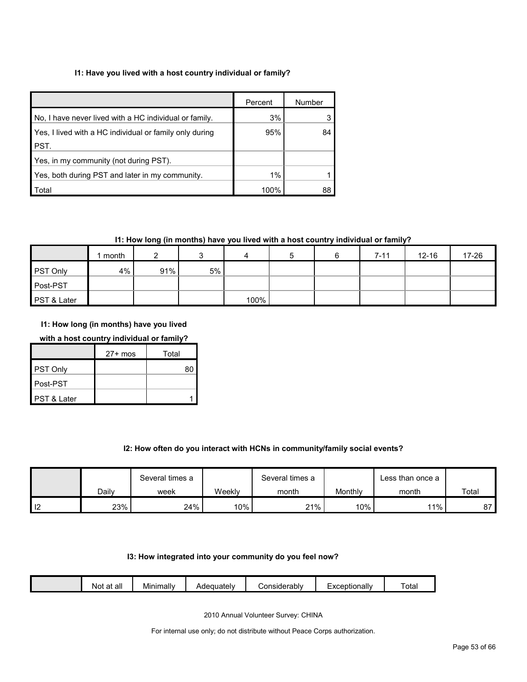#### **I1: Have you lived with a host country individual or family?**

|                                                         | Percent | Number |
|---------------------------------------------------------|---------|--------|
| No, I have never lived with a HC individual or family.  | 3%      |        |
| Yes, I lived with a HC individual or family only during | 95%     | 84     |
| PST.                                                    |         |        |
| Yes, in my community (not during PST).                  |         |        |
| Yes, both during PST and later in my community.         | $1\%$   |        |
| Total                                                   | 100%    |        |

#### **I1: How long (in months) have you lived with a host country individual or family?**

|                 | month |     |    | 4    | b | $7 - 11$ | $12 - 16$ | 17-26 |
|-----------------|-------|-----|----|------|---|----------|-----------|-------|
| <b>PST Only</b> | 4%    | 91% | 5% |      |   |          |           |       |
| Post-PST        |       |     |    |      |   |          |           |       |
| PST & Later     |       |     |    | 100% |   |          |           |       |

**I1: How long (in months) have you lived** 

#### **with a host country individual or family?**

|             | $27+$ mos | Total |
|-------------|-----------|-------|
| PST Only    |           | 80    |
| Post-PST    |           |       |
| PST & Later |           |       |

#### **I2: How often do you interact with HCNs in community/family social events?**

|    |       | Several times a |        | Several times a |         | Less than once a |       |
|----|-------|-----------------|--------|-----------------|---------|------------------|-------|
|    | Dailv | week            | Weeklv | month           | Monthly | month            | Total |
| -- | 23%   | 24%             | 10%    | 21%             | 10%     | $11\%$           | 07    |

#### **I3: How integrated into your community do you feel now?**

| - -<br><br><br>Tota.<br>Minimally<br>าsiderablv<br>$\sim$ $\sim$<br>equately:<br>Exceptionally<br>all<br>n+<br>νοι<br>. JOH<br>aι |
|-----------------------------------------------------------------------------------------------------------------------------------|
|-----------------------------------------------------------------------------------------------------------------------------------|

2010 Annual Volunteer Survey: CHINA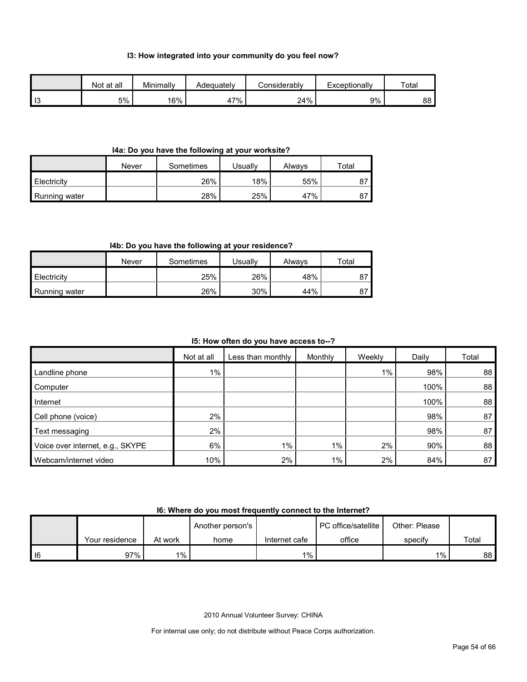#### **I3: How integrated into your community do you feel now?**

|                | Not at all | Minimally | Adeauatelv | Considerablv | Exceptionally | Total |
|----------------|------------|-----------|------------|--------------|---------------|-------|
| $\blacksquare$ | 5%         | 16%       | '7%<br>41  | 24%          | 9%            | 88    |

#### **I4a: Do you have the following at your worksite?**

|               | Never | Sometimes | Usuallv | Alwavs | Total |
|---------------|-------|-----------|---------|--------|-------|
| Electricity   |       | 26%       | 18%     | 55%    | ŏ     |
| Running water |       | 28%       | 25%     | 47%    | 87    |

#### **I4b: Do you have the following at your residence?**

|               | Never | Sometimes | Usuallv | Alwavs | ™otal |
|---------------|-------|-----------|---------|--------|-------|
| Electricity   |       | 25%       | 26%     | 48%    |       |
| Running water |       | 26%       | 30%     | 44%    |       |

#### **I5: How often do you have access to--?**

|                                  | Not at all | Less than monthly | Monthly | Weekly | Daily | Total |
|----------------------------------|------------|-------------------|---------|--------|-------|-------|
| Landline phone                   | $1\%$      |                   |         | 1%     | 98%   | 88    |
| Computer                         |            |                   |         |        | 100%  | 88    |
| Internet                         |            |                   |         |        | 100%  | 88    |
| Cell phone (voice)               | 2%         |                   |         |        | 98%   | 87    |
| Text messaging                   | 2%         |                   |         |        | 98%   | 87    |
| Voice over internet, e.g., SKYPE | 6%         | $1\%$             | $1\%$   | 2%     | 90%   | 88    |
| Webcam/internet video            | 10%        | 2%                | $1\%$   | 2%     | 84%   | 87    |

#### **I6: Where do you most frequently connect to the Internet?**

|      |                |         | Another person's |               | <b>PC</b> office/satellite | Other: Please |       |
|------|----------------|---------|------------------|---------------|----------------------------|---------------|-------|
|      | Your residence | At work | home             | Internet cafe | office                     | specify       | Total |
| I 16 | 97%            | $1\%$   |                  | $1\%$         |                            | $1\%$         | 88 I  |

2010 Annual Volunteer Survey: CHINA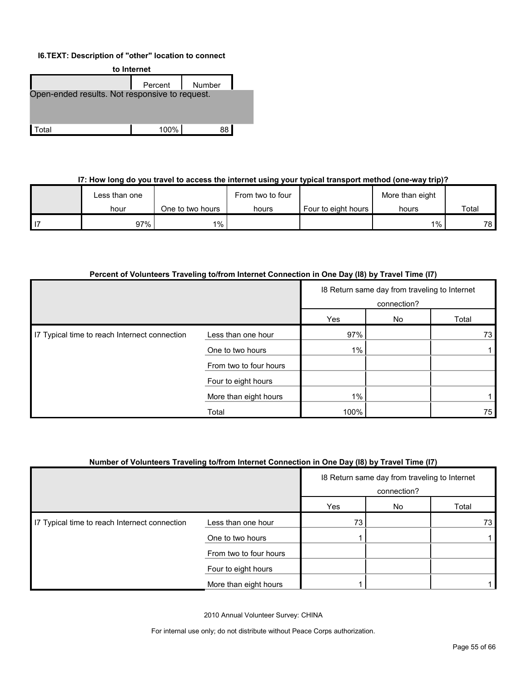#### **I6.TEXT: Description of "other" location to connect**



#### **I7: How long do you travel to access the internet using your typical transport method (one-way trip)?**

| Less than one |                  | From two to four |                     | More than eight |       |  |
|---------------|------------------|------------------|---------------------|-----------------|-------|--|
| hour          | One to two hours | hours            | Four to eight hours | hours           | Total |  |
| 97%           | $1\%$            |                  |                     | $1\%$           | 78.   |  |

#### **Percent of Volunteers Traveling to/from Internet Connection in One Day (I8) by Travel Time (I7)**

|                                               |                        | 18 Return same day from traveling to Internet<br>connection? |    |       |
|-----------------------------------------------|------------------------|--------------------------------------------------------------|----|-------|
|                                               |                        | Yes                                                          | No | Total |
| I7 Typical time to reach Internect connection | Less than one hour     | 97%                                                          |    | 73    |
|                                               | One to two hours       | $1\%$                                                        |    |       |
|                                               | From two to four hours |                                                              |    |       |
|                                               | Four to eight hours    |                                                              |    |       |
|                                               | More than eight hours  | $1\%$                                                        |    |       |
|                                               | Total                  | 100%                                                         |    | 75    |

#### **Number of Volunteers Traveling to/from Internet Connection in One Day (I8) by Travel Time (I7)**

|                                               |                        | 18 Return same day from traveling to Internet<br>connection? |    |       |
|-----------------------------------------------|------------------------|--------------------------------------------------------------|----|-------|
|                                               |                        | Yes                                                          | No | Total |
| I7 Typical time to reach Internect connection | Less than one hour     | 73                                                           |    | 73    |
|                                               | One to two hours       |                                                              |    |       |
|                                               | From two to four hours |                                                              |    |       |
|                                               | Four to eight hours    |                                                              |    |       |
|                                               | More than eight hours  |                                                              |    |       |

2010 Annual Volunteer Survey: CHINA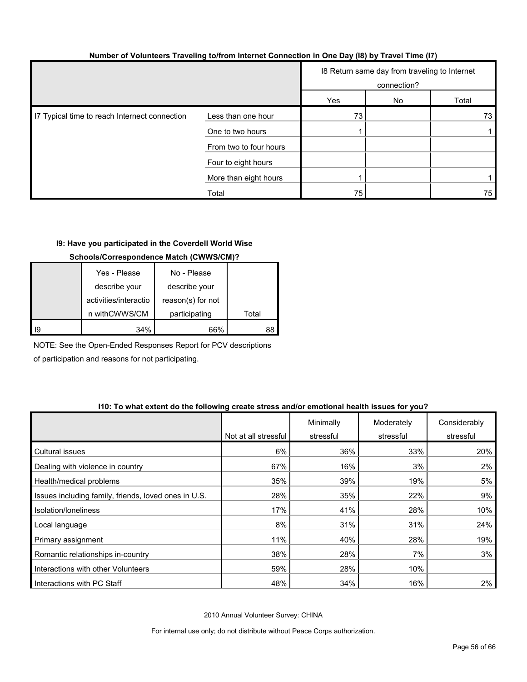| Number of Volunteers Traveling to/from Internet Connection in One Day (18) by Travel Time (17) |  |  |  |
|------------------------------------------------------------------------------------------------|--|--|--|
|                                                                                                |  |  |  |

|                                               |                        | 18 Return same day from traveling to Internet<br>connection? |    |       |
|-----------------------------------------------|------------------------|--------------------------------------------------------------|----|-------|
|                                               |                        | Yes                                                          | No | Total |
| I7 Typical time to reach Internect connection | Less than one hour     | 73                                                           |    | 73    |
|                                               | One to two hours       |                                                              |    |       |
|                                               | From two to four hours |                                                              |    |       |
|                                               | Four to eight hours    |                                                              |    |       |
|                                               | More than eight hours  |                                                              |    |       |
|                                               | Total                  | 75                                                           |    | 75    |

#### **I9: Have you participated in the Coverdell World Wise**

#### **Schools/Correspondence Match (CWWS/CM)?**

|    | Yes - Please          | No - Please       |       |
|----|-----------------------|-------------------|-------|
|    | describe your         | describe your     |       |
|    | activities/interactio | reason(s) for not |       |
|    | n withCWWS/CM         | participating     | Total |
| 19 | 34%                   | 66%               |       |

NOTE: See the Open-Ended Responses Report for PCV descriptions of participation and reasons for not participating.

#### **I10: To what extent do the following create stress and/or emotional health issues for you?**

|                                                      | Not at all stressful | Minimally<br>stressful | Moderately<br>stressful | Considerably<br>stressful |
|------------------------------------------------------|----------------------|------------------------|-------------------------|---------------------------|
| Cultural issues                                      | 6%                   | 36%                    | 33%                     | 20%                       |
| Dealing with violence in country                     | 67%                  | 16%                    | 3%                      | 2%                        |
| Health/medical problems                              | 35%                  | 39%                    | 19%                     | 5%                        |
| Issues including family, friends, loved ones in U.S. | 28%                  | 35%                    | 22%                     | 9%                        |
| Isolation/loneliness                                 | 17%                  | 41%                    | 28%                     | 10%                       |
| Local language                                       | 8%                   | 31%                    | 31%                     | 24%                       |
| Primary assignment                                   | 11%                  | 40%                    | 28%                     | 19%                       |
| Romantic relationships in-country                    | 38%                  | 28%                    | 7%                      | 3%                        |
| Interactions with other Volunteers                   | 59%                  | 28%                    | 10%                     |                           |
| Interactions with PC Staff                           | 48%                  | 34%                    | 16%                     | $2\%$                     |

2010 Annual Volunteer Survey: CHINA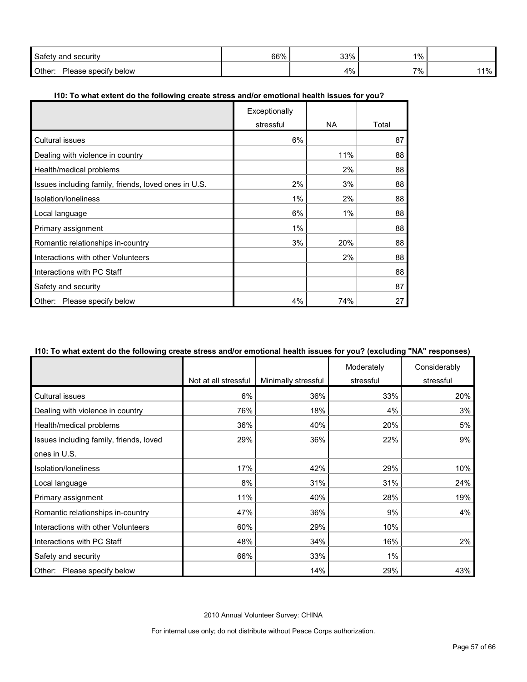| Safety<br>security<br>and             | 66% | 330/<br>ບບ                     | 1% |    |
|---------------------------------------|-----|--------------------------------|----|----|
| Other:<br>below<br>specity<br>lease ' |     | A 0/<br><u>. на т</u><br>7 I V | 7% | 1% |

#### **I10: To what extent do the following create stress and/or emotional health issues for you?**

|                                                      | Exceptionally |       |       |
|------------------------------------------------------|---------------|-------|-------|
|                                                      | stressful     | NA.   | Total |
| <b>Cultural issues</b>                               | 6%            |       | 87    |
| Dealing with violence in country                     |               | 11%   | 88    |
| Health/medical problems                              |               | 2%    | 88    |
| Issues including family, friends, loved ones in U.S. | 2%            | 3%    | 88    |
| Isolation/loneliness                                 | 1%            | 2%    | 88    |
| Local language                                       | 6%            | $1\%$ | 88    |
| Primary assignment                                   | $1\%$         |       | 88    |
| Romantic relationships in-country                    | 3%            | 20%   | 88    |
| Interactions with other Volunteers                   |               | 2%    | 88    |
| Interactions with PC Staff                           |               |       | 88    |
| Safety and security                                  |               |       | 87    |
| Please specify below<br>Other:                       | 4%            | 74%   | 27    |

#### **I10: To what extent do the following create stress and/or emotional health issues for you? (excluding "NA" responses)**

|                                         |                      |                     | Moderately | Considerably |
|-----------------------------------------|----------------------|---------------------|------------|--------------|
|                                         | Not at all stressful | Minimally stressful | stressful  | stressful    |
| Cultural issues                         | 6%                   | 36%                 | 33%        | 20%          |
| Dealing with violence in country        | 76%                  | 18%                 | 4%         | 3%           |
| Health/medical problems                 | 36%                  | 40%                 | 20%        | 5%           |
| Issues including family, friends, loved | 29%                  | 36%                 | 22%        | 9%           |
| ones in U.S.                            |                      |                     |            |              |
| Isolation/loneliness                    | 17%                  | 42%                 | 29%        | 10%          |
| Local language                          | 8%                   | 31%                 | 31%        | 24%          |
| Primary assignment                      | 11%                  | 40%                 | 28%        | 19%          |
| Romantic relationships in-country       | 47%                  | 36%                 | 9%         | 4%           |
| Interactions with other Volunteers      | 60%                  | 29%                 | 10%        |              |
| Interactions with PC Staff              | 48%                  | 34%                 | 16%        | 2%           |
| Safety and security                     | 66%                  | 33%                 | $1\%$      |              |
| Other: Please specify below             |                      | 14%                 | 29%        | 43%          |

2010 Annual Volunteer Survey: CHINA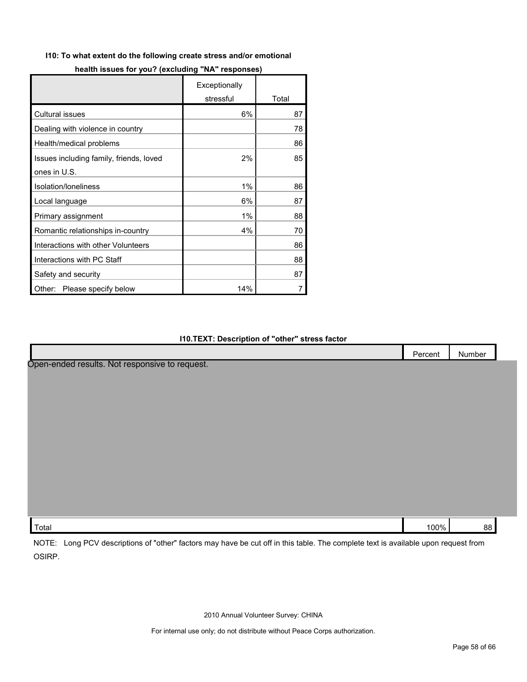#### **I10: To what extent do the following create stress and/or emotional**

|                                         | Exceptionally |       |
|-----------------------------------------|---------------|-------|
|                                         | stressful     | Total |
| Cultural issues                         | 6%            | 87    |
| Dealing with violence in country        |               | 78    |
| Health/medical problems                 |               | 86    |
| Issues including family, friends, loved | 2%            | 85    |
| ones in U.S.                            |               |       |
| Isolation/loneliness                    | 1%            | 86    |
| Local language                          | 6%            | 87    |
| Primary assignment                      | 1%            | 88    |
| Romantic relationships in-country       | 4%            | 70    |
| Interactions with other Volunteers      |               | 86    |
| Interactions with PC Staff              |               | 88    |
| Safety and security                     |               | 87    |
| Please specify below<br>Other:          | 14%           |       |

#### **I10.TEXT: Description of "other" stress factor**

|                                                                                                                                                       | Percent | Number |  |
|-------------------------------------------------------------------------------------------------------------------------------------------------------|---------|--------|--|
| Open-ended results. Not responsive to request.                                                                                                        |         |        |  |
|                                                                                                                                                       |         |        |  |
|                                                                                                                                                       |         |        |  |
|                                                                                                                                                       |         |        |  |
|                                                                                                                                                       |         |        |  |
|                                                                                                                                                       |         |        |  |
|                                                                                                                                                       |         |        |  |
|                                                                                                                                                       |         |        |  |
|                                                                                                                                                       |         |        |  |
|                                                                                                                                                       |         |        |  |
|                                                                                                                                                       |         |        |  |
| Total                                                                                                                                                 | 100%    | 88     |  |
| $N$ $\cap$ TE $\cdot$<br>Long PCV descriptions of "other" factors may baye be sut off in this table. The complete text is available upon request from |         |        |  |

NOTE: Long PCV descriptions of "other" factors may have be cut off in this table. The complete text is available upon request from OSIRP.

2010 Annual Volunteer Survey: CHINA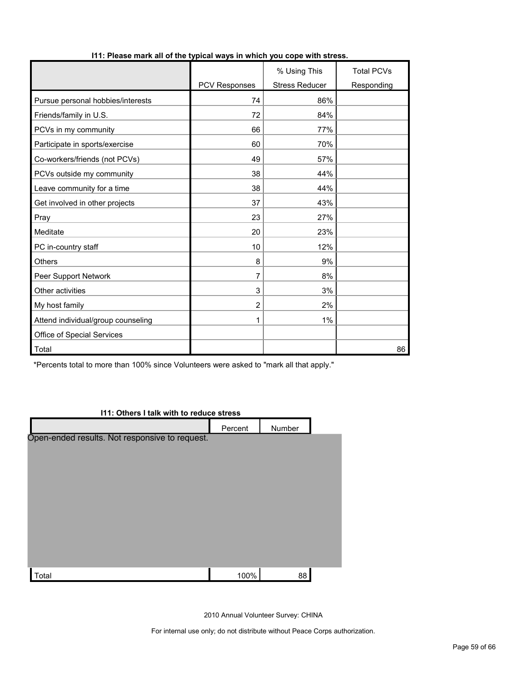|                                    |                | % Using This          | <b>Total PCVs</b> |
|------------------------------------|----------------|-----------------------|-------------------|
|                                    | PCV Responses  | <b>Stress Reducer</b> | Responding        |
| Pursue personal hobbies/interests  | 74             | 86%                   |                   |
| Friends/family in U.S.             | 72             | 84%                   |                   |
| PCVs in my community               | 66             | 77%                   |                   |
| Participate in sports/exercise     | 60             | 70%                   |                   |
| Co-workers/friends (not PCVs)      | 49             | 57%                   |                   |
| PCVs outside my community          | 38             | 44%                   |                   |
| Leave community for a time         | 38             | 44%                   |                   |
| Get involved in other projects     | 37             | 43%                   |                   |
| Pray                               | 23             | 27%                   |                   |
| Meditate                           | 20             | 23%                   |                   |
| PC in-country staff                | 10             | 12%                   |                   |
| <b>Others</b>                      | 8              | 9%                    |                   |
| Peer Support Network               | 7              | 8%                    |                   |
| Other activities                   | 3              | 3%                    |                   |
| My host family                     | $\overline{2}$ | 2%                    |                   |
| Attend individual/group counseling | 1              | 1%                    |                   |
| Office of Special Services         |                |                       |                   |
| Total                              |                |                       | 86                |

#### **I11: Please mark all of the typical ways in which you cope with stress.**

\*Percents total to more than 100% since Volunteers were asked to "mark all that apply."

#### **I11: Others I talk with to reduce stress**

|                                                | Percent | Number |  |
|------------------------------------------------|---------|--------|--|
| Open-ended results. Not responsive to request. |         |        |  |
|                                                |         |        |  |
|                                                |         |        |  |
|                                                |         |        |  |
|                                                |         |        |  |
|                                                |         |        |  |
|                                                |         |        |  |
|                                                |         |        |  |
|                                                |         |        |  |
| Total                                          | 100%    | 88     |  |

2010 Annual Volunteer Survey: CHINA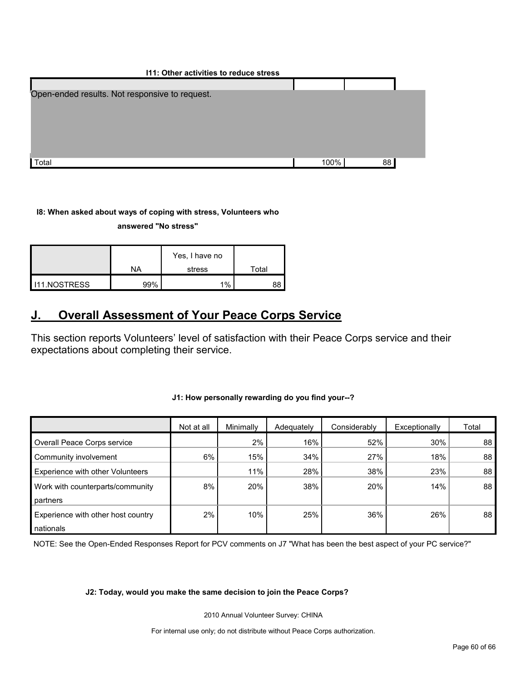| 111: Other activities to reduce stress         |      |    |  |
|------------------------------------------------|------|----|--|
|                                                |      |    |  |
| Open-ended results. Not responsive to request. |      |    |  |
|                                                |      |    |  |
|                                                |      |    |  |
|                                                |      |    |  |
|                                                |      |    |  |
|                                                |      |    |  |
| Total                                          | 100% | 88 |  |

#### **I8: When asked about ways of coping with stress, Volunteers who**

#### **answered "No stress"**

|                     | Yes, I have no |        |             |
|---------------------|----------------|--------|-------------|
|                     | <b>NA</b>      | stress | $\tau$ otal |
| <b>I11.NOSTRESS</b> | 99%            | 1%     | 88          |

## <span id="page-59-0"></span>**J. Overall Assessment of Your Peace Corps Service**

This section reports Volunteers' level of satisfaction with their Peace Corps service and their expectations about completing their service.

#### **J1: How personally rewarding do you find your--?**

|                                    | Not at all | Minimally | Adequately | Considerably | Exceptionally | Total |
|------------------------------------|------------|-----------|------------|--------------|---------------|-------|
| Overall Peace Corps service        |            | 2%        | 16%        | 52%          | 30%           | 88    |
| Community involvement              | 6%         | 15%       | 34%        | 27%          | 18%           | 88    |
| Experience with other Volunteers   |            | 11%       | 28%        | 38%          | 23%           | 88    |
| Work with counterparts/community   | 8%         | 20%       | 38%        | 20%          | 14%           | 88    |
| partners                           |            |           |            |              |               |       |
| Experience with other host country | 2%         | 10%       | 25%        | 36%          | 26%           | 88    |
| nationals                          |            |           |            |              |               |       |

NOTE: See the Open-Ended Responses Report for PCV comments on J7 "What has been the best aspect of your PC service?"

#### **J2: Today, would you make the same decision to join the Peace Corps?**

2010 Annual Volunteer Survey: CHINA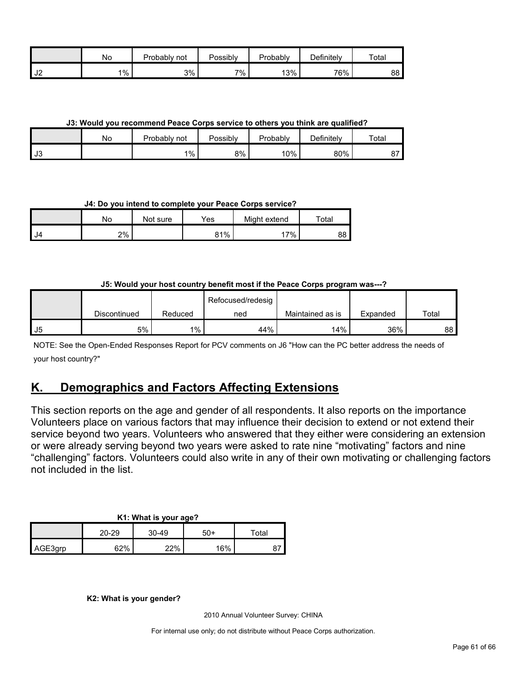|                | No      | Probably<br>not | Possibly | Probably | Definitely | Total |
|----------------|---------|-----------------|----------|----------|------------|-------|
| J <sub>2</sub> | $1\%$ , | 3%              | 7%       | 13%      | 76%        | 88 I  |

**J3: Would you recommend Peace Corps service to others you think are qualified?**

|      | No | Probably not | Possibly | Probably | $D$ efinitely | Total |
|------|----|--------------|----------|----------|---------------|-------|
| l J3 |    | $1\%$        | 8%       | 10%      | 80%           | o     |

**J4: Do you intend to complete your Peace Corps service?**

|      | No | Not sure | Yes | Might extend | $\tau$ otal |
|------|----|----------|-----|--------------|-------------|
| I J4 | 2% |          | 81% | '7%          | 88          |

#### **J5: Would your host country benefit most if the Peace Corps program was---?**

|    |              |         | Refocused/redesig |                  |          |       |
|----|--------------|---------|-------------------|------------------|----------|-------|
|    | Discontinued | Reduced | ned               | Maintained as is | Expanded | Total |
| J5 | 5%           | $1\%$   | 44%               | 14%              | 36%      | 88    |

NOTE: See the Open-Ended Responses Report for PCV comments on J6 "How can the PC better address the needs of your host country?"

## <span id="page-60-0"></span>**K. Demographics and Factors Affecting Extensions**

This section reports on the age and gender of all respondents. It also reports on the importance Volunteers place on various factors that may influence their decision to extend or not extend their service beyond two years. Volunteers who answered that they either were considering an extension or were already serving beyond two years were asked to rate nine "motivating" factors and nine "challenging" factors. Volunteers could also write in any of their own motivating or challenging factors not included in the list.

|         |       |       | $\sim$ |                            |
|---------|-------|-------|--------|----------------------------|
|         | 20-29 | 30-49 | 50+    | $\mathsf{r}_\mathsf{otal}$ |
| AGE3grp | 62%   | 22%   | 16%    |                            |

**K2: What is your gender?**

2010 Annual Volunteer Survey: CHINA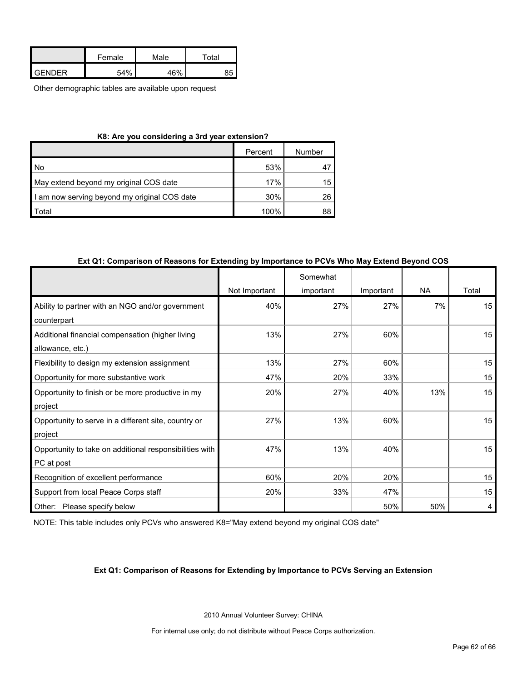|               | Female | Male | Total |
|---------------|--------|------|-------|
| <b>GENDER</b> | 54%    | 46%  |       |

Other demographic tables are available upon request

| K8: Are you considering a 3rd year extension? |      |    |  |  |  |
|-----------------------------------------------|------|----|--|--|--|
| Number<br>Percent                             |      |    |  |  |  |
| <b>No</b>                                     | 53%  |    |  |  |  |
| May extend beyond my original COS date        | 17%  | 15 |  |  |  |
| I am now serving beyond my original COS date  | 30%  | 26 |  |  |  |
| <b>Total</b>                                  | 100% | 88 |  |  |  |

#### **Ext Q1: Comparison of Reasons for Extending by Importance to PCVs Who May Extend Beyond COS**

|                                                         |               | Somewhat  |           |           |                  |
|---------------------------------------------------------|---------------|-----------|-----------|-----------|------------------|
|                                                         | Not Important | important | Important | <b>NA</b> | Total            |
| Ability to partner with an NGO and/or government        | 40%           | 27%       | 27%       | 7%        | 15               |
| counterpart                                             |               |           |           |           |                  |
| Additional financial compensation (higher living        | 13%           | 27%       | 60%       |           | 15               |
| allowance, etc.)                                        |               |           |           |           |                  |
| Flexibility to design my extension assignment           | 13%           | 27%       | 60%       |           | 15               |
| Opportunity for more substantive work                   | 47%           | 20%       | 33%       |           | 15               |
| Opportunity to finish or be more productive in my       | 20%           | 27%       | 40%       | 13%       | 15               |
| project                                                 |               |           |           |           |                  |
| Opportunity to serve in a different site, country or    | 27%           | 13%       | 60%       |           | 15               |
| project                                                 |               |           |           |           |                  |
| Opportunity to take on additional responsibilities with | 47%           | 13%       | 40%       |           | 15 <sub>15</sub> |
| PC at post                                              |               |           |           |           |                  |
| Recognition of excellent performance                    | 60%           | 20%       | 20%       |           | 15               |
| Support from local Peace Corps staff                    | 20%           | 33%       | 47%       |           | 15               |
| Other:<br>Please specify below                          |               |           | 50%       | 50%       | 4                |

NOTE: This table includes only PCVs who answered K8="May extend beyond my original COS date"

#### **Ext Q1: Comparison of Reasons for Extending by Importance to PCVs Serving an Extension**

2010 Annual Volunteer Survey: CHINA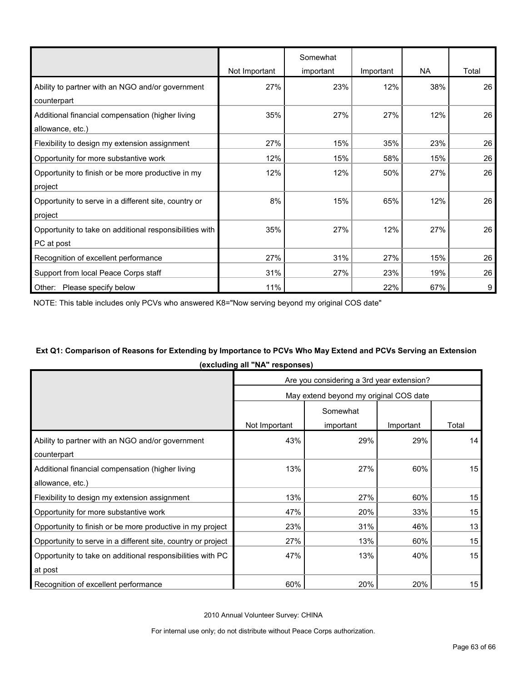|                                                         |               | Somewhat  |           |           |       |
|---------------------------------------------------------|---------------|-----------|-----------|-----------|-------|
|                                                         | Not Important | important | Important | <b>NA</b> | Total |
| Ability to partner with an NGO and/or government        | 27%           | 23%       | 12%       | 38%       | 26    |
| counterpart                                             |               |           |           |           |       |
| Additional financial compensation (higher living        | 35%           | 27%       | 27%       | 12%       | 26    |
| allowance, etc.)                                        |               |           |           |           |       |
| Flexibility to design my extension assignment           | 27%           | 15%       | 35%       | 23%       | 26    |
| Opportunity for more substantive work                   | 12%           | 15%       | 58%       | 15%       | 26    |
| Opportunity to finish or be more productive in my       | 12%           | 12%       | 50%       | 27%       | 26    |
| project                                                 |               |           |           |           |       |
| Opportunity to serve in a different site, country or    | 8%            | 15%       | 65%       | 12%       | 26    |
| project                                                 |               |           |           |           |       |
| Opportunity to take on additional responsibilities with | 35%           | 27%       | 12%       | 27%       | 26    |
| PC at post                                              |               |           |           |           |       |
| Recognition of excellent performance                    | 27%           | 31%       | 27%       | 15%       | 26    |
| Support from local Peace Corps staff                    | 31%           | 27%       | 23%       | 19%       | 26    |
| Other:<br>Please specify below                          | 11%           |           | 22%       | 67%       | 9     |

NOTE: This table includes only PCVs who answered K8="Now serving beyond my original COS date"

## **Ext Q1: Comparison of Reasons for Extending by Importance to PCVs Who May Extend and PCVs Serving an Extension (excluding all "NA" responses)**

|                                                              | Are you considering a 3rd year extension? |                                        |           |       |  |
|--------------------------------------------------------------|-------------------------------------------|----------------------------------------|-----------|-------|--|
|                                                              |                                           | May extend beyond my original COS date |           |       |  |
|                                                              | Somewhat                                  |                                        |           |       |  |
|                                                              | Not Important                             | important                              | Important | Total |  |
| Ability to partner with an NGO and/or government             | 43%                                       | 29%                                    | 29%       | 14    |  |
| counterpart                                                  |                                           |                                        |           |       |  |
| Additional financial compensation (higher living             | 13%                                       | 27%                                    | 60%       | 15    |  |
| allowance, etc.)                                             |                                           |                                        |           |       |  |
| Flexibility to design my extension assignment                | 13%                                       | 27%                                    | 60%       | 15    |  |
| Opportunity for more substantive work                        | 47%                                       | 20%                                    | 33%       | 15    |  |
| Opportunity to finish or be more productive in my project    | 23%                                       | 31%                                    | 46%       | 13    |  |
| Opportunity to serve in a different site, country or project | 27%                                       | 13%                                    | 60%       | 15    |  |
| Opportunity to take on additional responsibilities with PC   | 47%                                       | 13%                                    | 40%       | 15    |  |
| at post                                                      |                                           |                                        |           |       |  |
| Recognition of excellent performance                         | 60%                                       | 20%                                    | 20%       | 15    |  |

2010 Annual Volunteer Survey: CHINA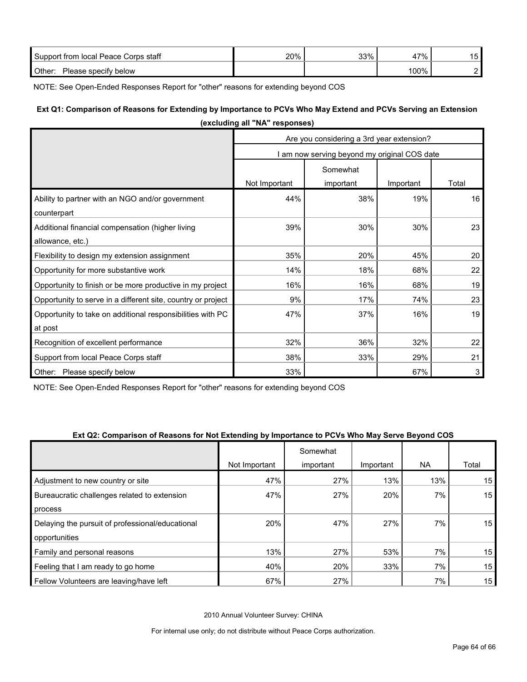| Support from local Peace Corps staff | 20% | 33% | '7%<br>4 | -<br>.5 |
|--------------------------------------|-----|-----|----------|---------|
| Other:<br>Please specify below       |     |     | 100%     |         |

NOTE: See Open-Ended Responses Report for "other" reasons for extending beyond COS

### **Ext Q1: Comparison of Reasons for Extending by Importance to PCVs Who May Extend and PCVs Serving an Extension (excluding all "NA" responses)**

|                                                              | Are you considering a 3rd year extension? |                                            |           |       |  |
|--------------------------------------------------------------|-------------------------------------------|--------------------------------------------|-----------|-------|--|
|                                                              |                                           | am now serving beyond my original COS date |           |       |  |
|                                                              | Somewhat                                  |                                            |           |       |  |
|                                                              | Not Important                             | important                                  | Important | Total |  |
| Ability to partner with an NGO and/or government             | 44%                                       | 38%                                        | 19%       | 16    |  |
| counterpart                                                  |                                           |                                            |           |       |  |
| Additional financial compensation (higher living             | 39%                                       | 30%                                        | 30%       | 23    |  |
| allowance, etc.)                                             |                                           |                                            |           |       |  |
| Flexibility to design my extension assignment                | 35%                                       | 20%                                        | 45%       | 20    |  |
| Opportunity for more substantive work                        | 14%                                       | 18%                                        | 68%       | 22    |  |
| Opportunity to finish or be more productive in my project    | 16%                                       | 16%                                        | 68%       | 19    |  |
| Opportunity to serve in a different site, country or project | 9%                                        | 17%                                        | 74%       | 23    |  |
| Opportunity to take on additional responsibilities with PC   | 47%                                       | 37%                                        | 16%       | 19    |  |
| at post                                                      |                                           |                                            |           |       |  |
| Recognition of excellent performance                         | 32%                                       | 36%                                        | 32%       | 22    |  |
| Support from local Peace Corps staff                         | 38%                                       | 33%                                        | 29%       | 21    |  |
| Other: Please specify below                                  | 33%                                       |                                            | 67%       | 3     |  |

NOTE: See Open-Ended Responses Report for "other" reasons for extending beyond COS

#### **Ext Q2: Comparison of Reasons for Not Extending by Importance to PCVs Who May Serve Beyond COS**

|                                                  |               | Somewhat  |           |       |                 |
|--------------------------------------------------|---------------|-----------|-----------|-------|-----------------|
|                                                  | Not Important | important | Important | NA.   | Total           |
| Adjustment to new country or site                | 47%           | 27%       | 13%       | 13%   | 15              |
| Bureaucratic challenges related to extension     | 47%           | 27%       | 20%       | 7%    | 15              |
| process                                          |               |           |           |       |                 |
| Delaying the pursuit of professional/educational | 20%           | 47%       | 27%       | 7%    | 15 <sup>1</sup> |
| opportunities                                    |               |           |           |       |                 |
| Family and personal reasons                      | 13%           | 27%       | 53%       | $7\%$ | 15              |
| Feeling that I am ready to go home               | 40%           | 20%       | 33%       | 7%    | 15              |
| Fellow Volunteers are leaving/have left          | 67%           | 27%       |           | 7%    | 15 <sub>h</sub> |

2010 Annual Volunteer Survey: CHINA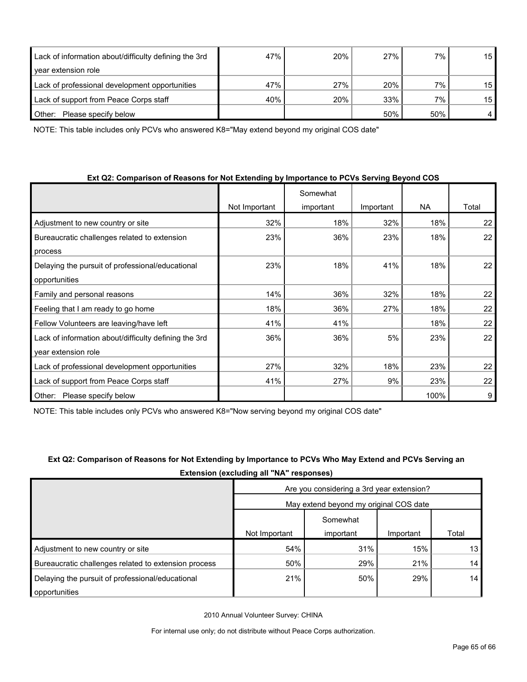| Lack of information about/difficulty defining the 3rd | 47% | 20% | 27% | 7%  | 15              |
|-------------------------------------------------------|-----|-----|-----|-----|-----------------|
| year extension role                                   |     |     |     |     |                 |
| Lack of professional development opportunities        | 47% | 27% | 20% | 7%  | 15 <sup>1</sup> |
| Lack of support from Peace Corps staff                | 40% | 20% | 33% | 7%  | 15              |
| Please specify below<br>Other:                        |     |     | 50% | 50% |                 |

NOTE: This table includes only PCVs who answered K8="May extend beyond my original COS date"

| Ext Q2: Comparison of Reasons for Not Extending by Importance to PCVs Serving Beyond COS |  |
|------------------------------------------------------------------------------------------|--|
|------------------------------------------------------------------------------------------|--|

|                                                       |               | Somewhat  |           |           |       |
|-------------------------------------------------------|---------------|-----------|-----------|-----------|-------|
|                                                       | Not Important | important | Important | <b>NA</b> | Total |
| Adjustment to new country or site                     | 32%           | 18%       | 32%       | 18%       | 22    |
| Bureaucratic challenges related to extension          | 23%           | 36%       | 23%       | 18%       | 22    |
| process                                               |               |           |           |           |       |
| Delaying the pursuit of professional/educational      | 23%           | 18%       | 41%       | 18%       | 22    |
| opportunities                                         |               |           |           |           |       |
| Family and personal reasons                           | 14%           | 36%       | 32%       | 18%       | 22    |
| Feeling that I am ready to go home                    | 18%           | 36%       | 27%       | 18%       | 22    |
| Fellow Volunteers are leaving/have left               | 41%           | 41%       |           | 18%       | 22    |
| Lack of information about/difficulty defining the 3rd | 36%           | 36%       | 5%        | 23%       | 22    |
| year extension role                                   |               |           |           |           |       |
| Lack of professional development opportunities        | 27%           | 32%       | 18%       | 23%       | 22    |
| Lack of support from Peace Corps staff                | 41%           | 27%       | 9%        | 23%       | 22    |
| Please specify below<br>Other:                        |               |           |           | 100%      | 9     |

NOTE: This table includes only PCVs who answered K8="Now serving beyond my original COS date"

|                                                      | Extension (excluding all "NA" responses)  |           |           |       |
|------------------------------------------------------|-------------------------------------------|-----------|-----------|-------|
|                                                      | Are you considering a 3rd year extension? |           |           |       |
|                                                      | May extend beyond my original COS date    |           |           |       |
|                                                      |                                           | Somewhat  |           |       |
|                                                      | Not Important                             | important | Important | Total |
| Adjustment to new country or site                    | 54%                                       | 31%       | 15%       | 13    |
| Bureaucratic challenges related to extension process | 50%                                       | 29%       | 21%       | 14    |
| Delaying the pursuit of professional/educational     | 21%                                       | 50%       | 29%       | 14    |
| opportunities                                        |                                           |           |           |       |

# **Ext Q2: Comparison of Reasons for Not Extending by Importance to PCVs Who May Extend and PCVs Serving an**

2010 Annual Volunteer Survey: CHINA